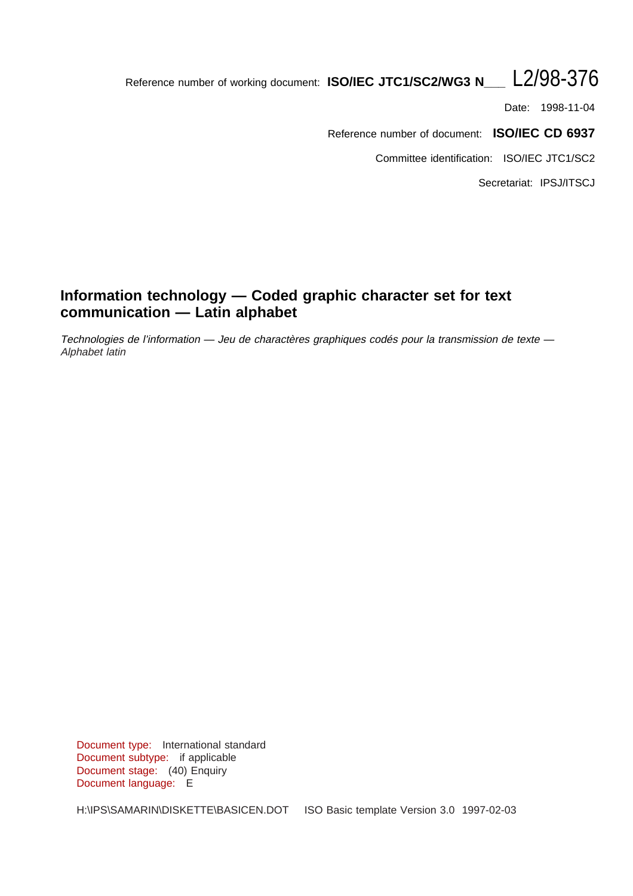# Reference number of working document: **ISO/IEC JTC1/SC2/WG3 N\_\_\_** L2/98-376

Date: 1998-11-04

Reference number of document: **ISO/IEC CD 6937**

Committee identification: ISO/IEC JTC1/SC2

Secretariat: IPSJ/ITSCJ

# **Information technology — Coded graphic character set for text communication — Latin alphabet**

Technologies de l'information — Jeu de charactères graphiques codés pour la transmission de texte — Alphabet latin

Document type: International standard Document subtype: if applicable Document stage: (40) Enquiry Document language: E

H:\IPS\SAMARIN\DISKETTE\BASICEN.DOT ISO Basic template Version 3.0 1997-02-03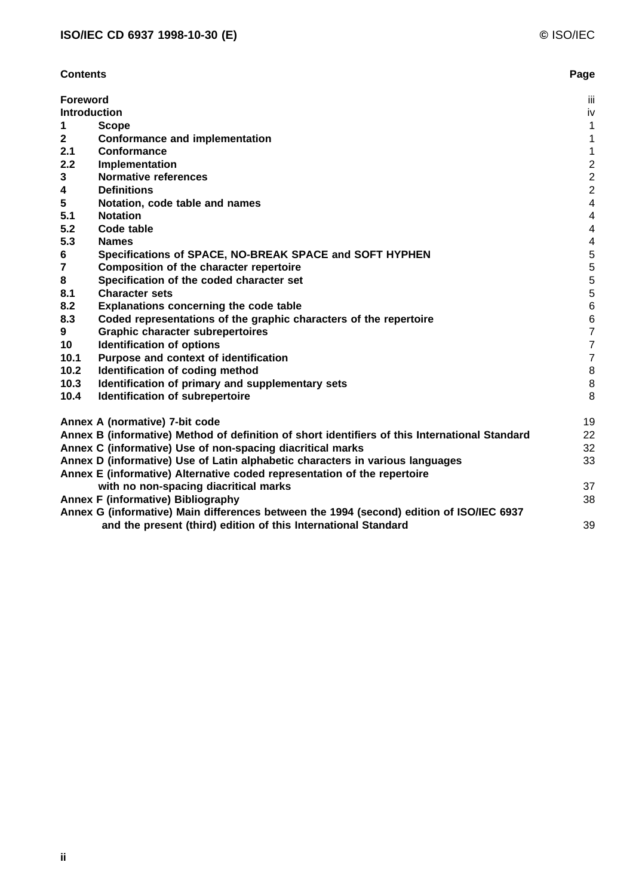| <b>Contents</b>                                                                                | Page                    |
|------------------------------------------------------------------------------------------------|-------------------------|
| <b>Foreword</b>                                                                                | Ϊij                     |
| Introduction                                                                                   | iv                      |
| <b>Scope</b><br>1                                                                              | $\mathbf{1}$            |
| $\mathbf{2}$<br><b>Conformance and implementation</b>                                          | 1                       |
| 2.1<br>Conformance                                                                             | $\mathbf{1}$            |
| 2.2<br>Implementation                                                                          | $\boldsymbol{2}$        |
| 3<br><b>Normative references</b>                                                               | $\overline{c}$          |
| <b>Definitions</b><br>4                                                                        | $\overline{2}$          |
| 5<br>Notation, code table and names                                                            | $\overline{4}$          |
| 5.1<br><b>Notation</b>                                                                         | $\overline{4}$          |
| 5.2<br>Code table                                                                              | $\overline{4}$          |
| 5.3<br><b>Names</b>                                                                            | $\overline{\mathbf{4}}$ |
| Specifications of SPACE, NO-BREAK SPACE and SOFT HYPHEN<br>6                                   | $\sqrt{5}$              |
| $\overline{\mathbf{r}}$<br>Composition of the character repertoire                             | $\sqrt{5}$              |
| 8<br>Specification of the coded character set                                                  | $\sqrt{5}$              |
| <b>Character sets</b><br>8.1                                                                   | $\sqrt{5}$              |
| 8.2<br>Explanations concerning the code table                                                  | $\,6$                   |
| 8.3<br>Coded representations of the graphic characters of the repertoire                       | $\,$ 6 $\,$             |
| <b>Graphic character subrepertoires</b><br>9                                                   | $\overline{7}$          |
| <b>Identification of options</b><br>10                                                         | $\overline{7}$          |
| Purpose and context of identification<br>10.1                                                  | $\boldsymbol{7}$        |
| Identification of coding method<br>10.2                                                        | $\,8\,$                 |
| 10.3<br>Identification of primary and supplementary sets                                       | $\, 8$                  |
| 10.4<br>Identification of subrepertoire                                                        | 8                       |
| Annex A (normative) 7-bit code                                                                 | 19                      |
| Annex B (informative) Method of definition of short identifiers of this International Standard | 22                      |
| Annex C (informative) Use of non-spacing diacritical marks                                     | 32                      |
| Annex D (informative) Use of Latin alphabetic characters in various languages                  | 33                      |
| Annex E (informative) Alternative coded representation of the repertoire                       |                         |
| with no non-spacing diacritical marks                                                          | 37                      |
| <b>Annex F (informative) Bibliography</b>                                                      | 38                      |
| Annex G (informative) Main differences between the 1994 (second) edition of ISO/IEC 6937       |                         |
| and the present (third) edition of this International Standard                                 | 39                      |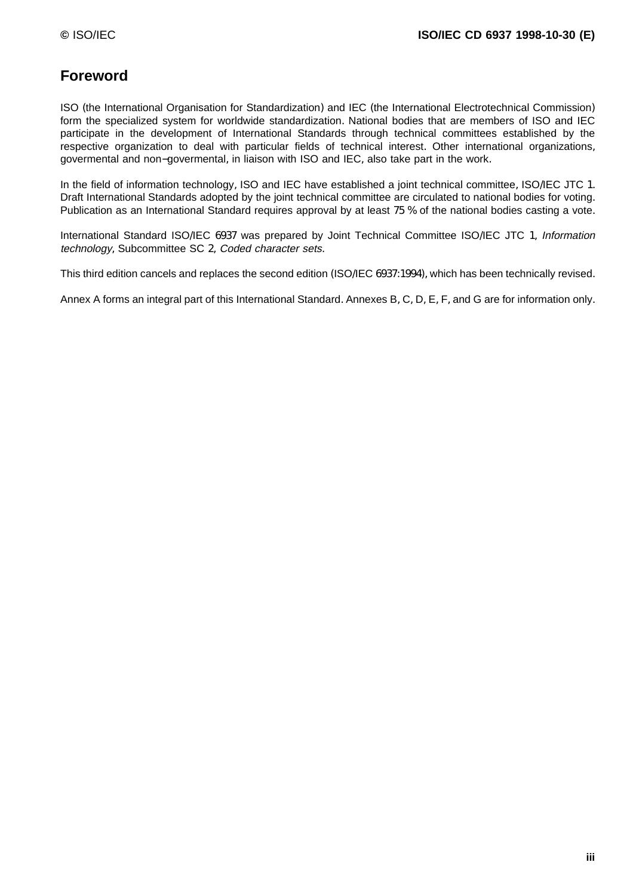# **Foreword**

ISO (the International Organisation for Standardization) and IEC (the International Electrotechnical Commission) form the specialized system for worldwide standardization. National bodies that are members of ISO and IEC participate in the development of International Standards through technical committees established by the respective organization to deal with particular fields of technical interest. Other international organizations, govermental and non−govermental, in liaison with ISO and IEC, also take part in the work.

In the field of information technology, ISO and IEC have established a joint technical committee, ISO/IEC JTC 1. Draft International Standards adopted by the joint technical committee are circulated to national bodies for voting. Publication as an International Standard requires approval by at least 75 % of the national bodies casting a vote.

International Standard ISO/IEC 6937 was prepared by Joint Technical Committee ISO/IEC JTC 1, Information technology, Subcommittee SC 2, Coded character sets.

This third edition cancels and replaces the second edition (ISO/IEC 6937:1994), which has been technically revised.

Annex A forms an integral part of this International Standard. Annexes B, C, D, E, F, and G are for information only.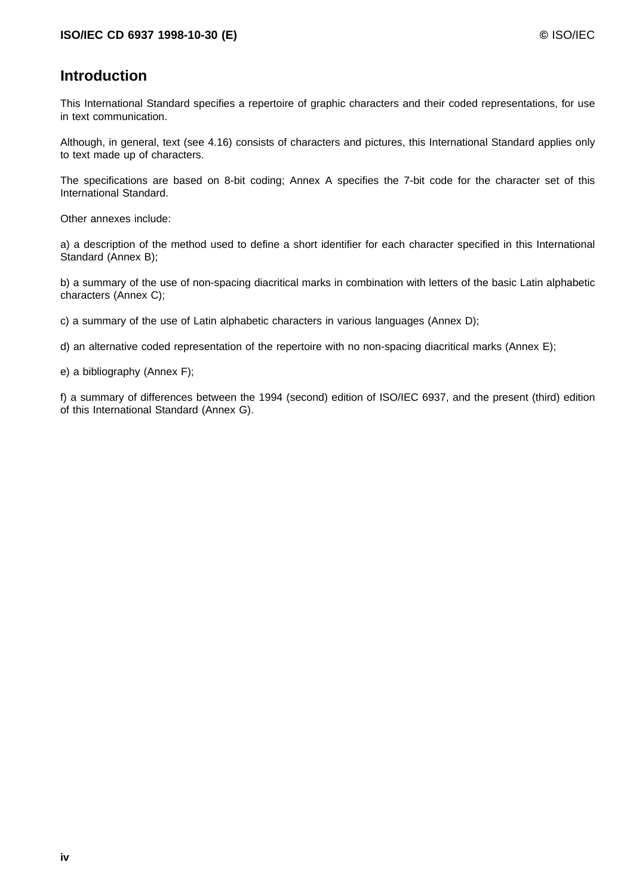# **Introduction**

This International Standard specifies a repertoire of graphic characters and their coded representations, for use in text communication.

Although, in general, text (see 4.16) consists of characters and pictures, this International Standard applies only to text made up of characters.

The specifications are based on 8-bit coding; Annex A specifies the 7-bit code for the character set of this International Standard.

Other annexes include:

a) a description of the method used to define a short identifier for each character specified in this International Standard (Annex B);

b) a summary of the use of non-spacing diacritical marks in combination with letters of the basic Latin alphabetic characters (Annex C);

c) a summary of the use of Latin alphabetic characters in various languages (Annex D);

d) an alternative coded representation of the repertoire with no non-spacing diacritical marks (Annex E);

e) a bibliography (Annex F);

f) a summary of differences between the 1994 (second) edition of ISO/IEC 6937, and the present (third) edition of this International Standard (Annex G).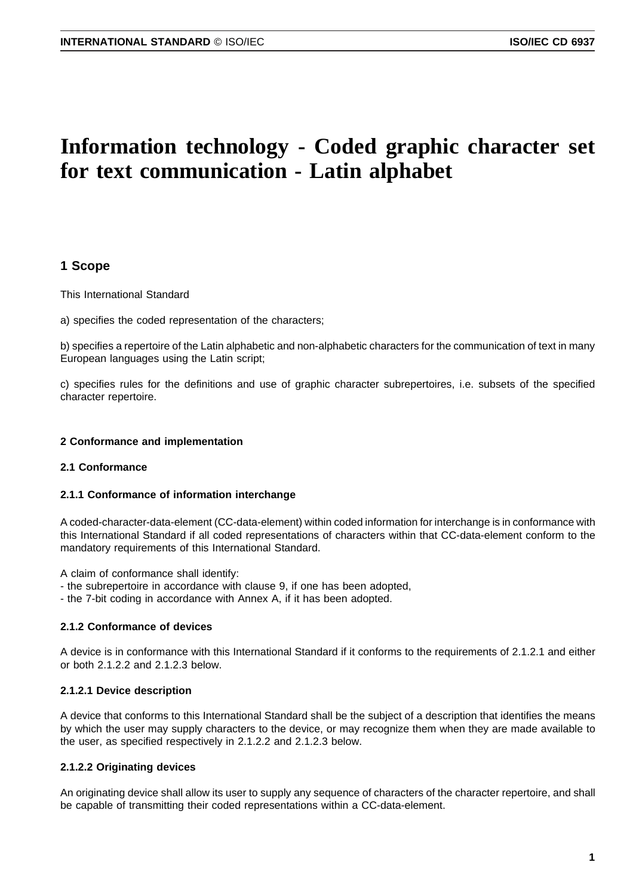# **Information technology - Coded graphic character set for text communication - Latin alphabet**

### **1 Scope**

This International Standard

a) specifies the coded representation of the characters;

b) specifies a repertoire of the Latin alphabetic and non-alphabetic characters for the communication of text in many European languages using the Latin script;

c) specifies rules for the definitions and use of graphic character subrepertoires, i.e. subsets of the specified character repertoire.

#### **2 Conformance and implementation**

### **2.1 Conformance**

#### **2.1.1 Conformance of information interchange**

A coded-character-data-element (CC-data-element) within coded information for interchange is in conformance with this International Standard if all coded representations of characters within that CC-data-element conform to the mandatory requirements of this International Standard.

A claim of conformance shall identify:

- the subrepertoire in accordance with clause 9, if one has been adopted,
- the 7-bit coding in accordance with Annex A, if it has been adopted.

#### **2.1.2 Conformance of devices**

A device is in conformance with this International Standard if it conforms to the requirements of 2.1.2.1 and either or both 2.1.2.2 and 2.1.2.3 below.

#### **2.1.2.1 Device description**

A device that conforms to this International Standard shall be the subject of a description that identifies the means by which the user may supply characters to the device, or may recognize them when they are made available to the user, as specified respectively in 2.1.2.2 and 2.1.2.3 below.

### **2.1.2.2 Originating devices**

An originating device shall allow its user to supply any sequence of characters of the character repertoire, and shall be capable of transmitting their coded representations within a CC-data-element.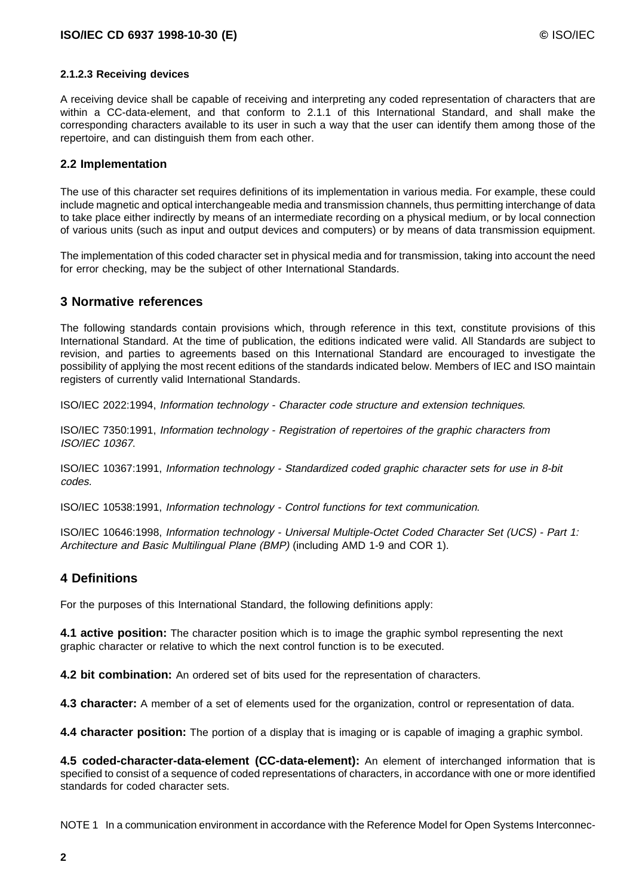### **2.1.2.3 Receiving devices**

A receiving device shall be capable of receiving and interpreting any coded representation of characters that are within a CC-data-element, and that conform to 2.1.1 of this International Standard, and shall make the corresponding characters available to its user in such a way that the user can identify them among those of the repertoire, and can distinguish them from each other.

### **2.2 Implementation**

The use of this character set requires definitions of its implementation in various media. For example, these could include magnetic and optical interchangeable media and transmission channels, thus permitting interchange of data to take place either indirectly by means of an intermediate recording on a physical medium, or by local connection of various units (such as input and output devices and computers) or by means of data transmission equipment.

The implementation of this coded character set in physical media and for transmission, taking into account the need for error checking, may be the subject of other International Standards.

### **3 Normative references**

The following standards contain provisions which, through reference in this text, constitute provisions of this International Standard. At the time of publication, the editions indicated were valid. All Standards are subject to revision, and parties to agreements based on this International Standard are encouraged to investigate the possibility of applying the most recent editions of the standards indicated below. Members of IEC and ISO maintain registers of currently valid International Standards.

ISO/IEC 2022:1994, Information technology - Character code structure and extension techniques.

ISO/IEC 7350:1991, Information technology - Registration of repertoires of the graphic characters from ISO/IEC 10367.

ISO/IEC 10367:1991, Information technology - Standardized coded graphic character sets for use in 8-bit codes.

ISO/IEC 10538:1991, Information technology - Control functions for text communication.

ISO/IEC 10646:1998, Information technology - Universal Multiple-Octet Coded Character Set (UCS) - Part 1: Architecture and Basic Multilingual Plane (BMP) (including AMD 1-9 and COR 1).

### **4 Definitions**

For the purposes of this International Standard, the following definitions apply:

**4.1 active position:** The character position which is to image the graphic symbol representing the next graphic character or relative to which the next control function is to be executed.

**4.2 bit combination:** An ordered set of bits used for the representation of characters.

**4.3 character:** A member of a set of elements used for the organization, control or representation of data.

**4.4 character position:** The portion of a display that is imaging or is capable of imaging a graphic symbol.

**4.5 coded-character-data-element (CC-data-element):** An element of interchanged information that is specified to consist of a sequence of coded representations of characters, in accordance with one or more identified standards for coded character sets.

NOTE 1 In a communication environment in accordance with the Reference Model for Open Systems Interconnec-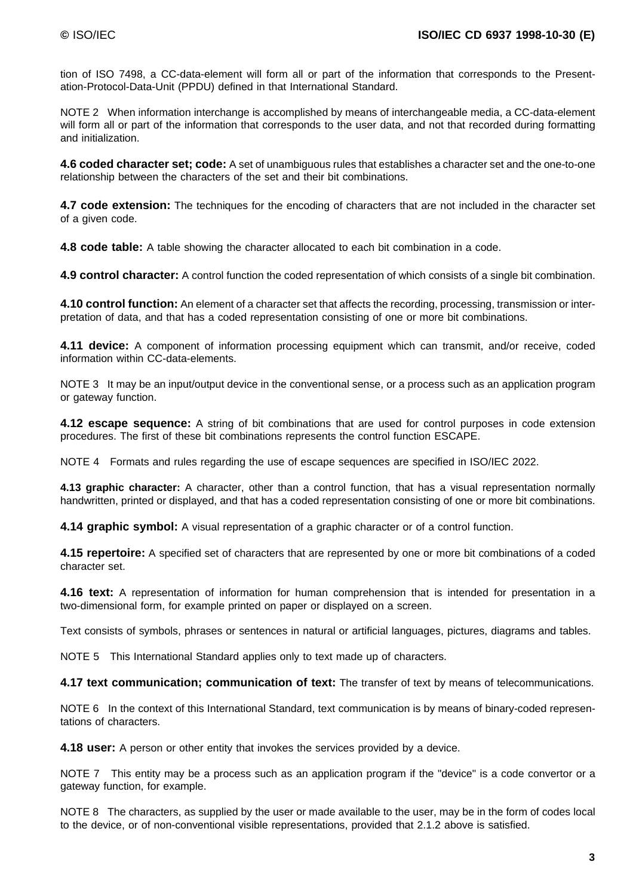tion of ISO 7498, a CC-data-element will form all or part of the information that corresponds to the Presentation-Protocol-Data-Unit (PPDU) defined in that International Standard.

NOTE 2 When information interchange is accomplished by means of interchangeable media, a CC-data-element will form all or part of the information that corresponds to the user data, and not that recorded during formatting and initialization.

**4.6 coded character set; code:** A set of unambiguous rules that establishes a character set and the one-to-one relationship between the characters of the set and their bit combinations.

**4.7 code extension:** The techniques for the encoding of characters that are not included in the character set of a given code.

**4.8 code table:** A table showing the character allocated to each bit combination in a code.

**4.9 control character:** A control function the coded representation of which consists of a single bit combination.

**4.10 control function:** An element of a character set that affects the recording, processing, transmission or interpretation of data, and that has a coded representation consisting of one or more bit combinations.

**4.11 device:** A component of information processing equipment which can transmit, and/or receive, coded information within CC-data-elements.

NOTE 3 It may be an input/output device in the conventional sense, or a process such as an application program or gateway function.

**4.12 escape sequence:** A string of bit combinations that are used for control purposes in code extension procedures. The first of these bit combinations represents the control function ESCAPE.

NOTE 4 Formats and rules regarding the use of escape sequences are specified in ISO/IEC 2022.

**4.13 graphic character:** A character, other than a control function, that has a visual representation normally handwritten, printed or displayed, and that has a coded representation consisting of one or more bit combinations.

**4.14 graphic symbol:** A visual representation of a graphic character or of a control function.

**4.15 repertoire:** A specified set of characters that are represented by one or more bit combinations of a coded character set.

**4.16 text:** A representation of information for human comprehension that is intended for presentation in a two-dimensional form, for example printed on paper or displayed on a screen.

Text consists of symbols, phrases or sentences in natural or artificial languages, pictures, diagrams and tables.

NOTE 5 This International Standard applies only to text made up of characters.

**4.17 text communication; communication of text:** The transfer of text by means of telecommunications.

NOTE 6 In the context of this International Standard, text communication is by means of binary-coded representations of characters.

**4.18 user:** A person or other entity that invokes the services provided by a device.

NOTE 7 This entity may be a process such as an application program if the "device" is a code convertor or a gateway function, for example.

NOTE 8 The characters, as supplied by the user or made available to the user, may be in the form of codes local to the device, or of non-conventional visible representations, provided that 2.1.2 above is satisfied.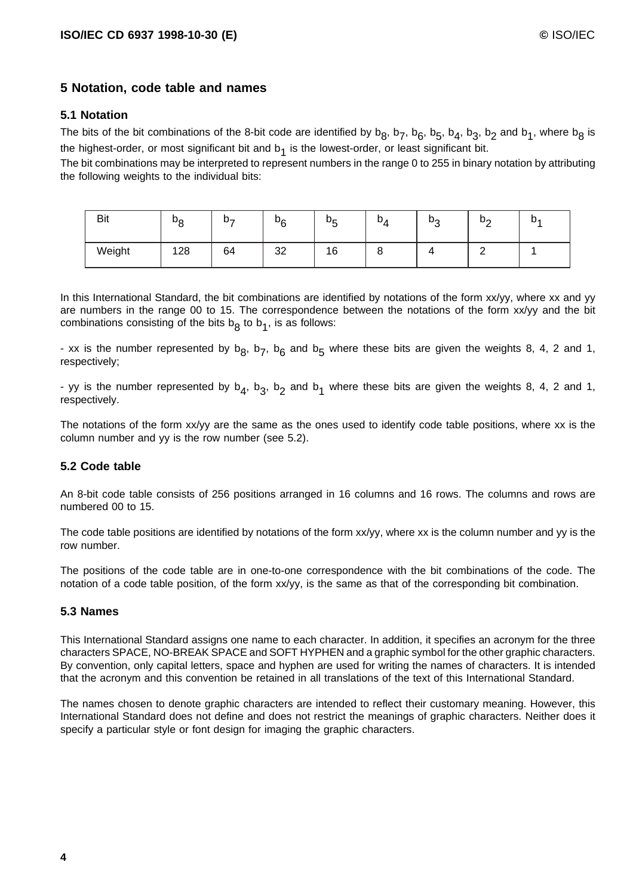### **5 Notation, code table and names**

### **5.1 Notation**

The bits of the bit combinations of the 8-bit code are identified by  $b_8$ ,  $b_7$ ,  $b_6$ ,  $b_5$ ,  $b_4$ ,  $b_3$ ,  $b_2$  and  $b_1$ , where  $b_8$  is the highest-order, or most significant bit and  $b<sub>1</sub>$  is the lowest-order, or least significant bit.

The bit combinations may be interpreted to represent numbers in the range 0 to 255 in binary notation by attributing the following weights to the individual bits:

| <b>Bit</b> | $b_8$ | $D_{\tau}$ | $b_6$ | Dς<br>ັ | $\mathbf{D}_{\mathbf{A}}$ | b <sub>o</sub><br>◡ | $D_{\Omega}$<br>- | υ, |
|------------|-------|------------|-------|---------|---------------------------|---------------------|-------------------|----|
| Weight     | 128   | 64         | 32    | 16      | O                         |                     |                   |    |

In this International Standard, the bit combinations are identified by notations of the form xx/yy, where xx and yy are numbers in the range 00 to 15. The correspondence between the notations of the form xx/yy and the bit combinations consisting of the bits  $b<sub>A</sub>$  to  $b<sub>1</sub>$ , is as follows:

- xx is the number represented by  $b_8$ ,  $b_7$ ,  $b_6$  and  $b_5$  where these bits are given the weights 8, 4, 2 and 1, respectively;

- yy is the number represented by  $b_4$ ,  $b_3$ ,  $b_2$  and  $b_1$  where these bits are given the weights 8, 4, 2 and 1, respectively.

The notations of the form xx/yy are the same as the ones used to identify code table positions, where xx is the column number and yy is the row number (see 5.2).

### **5.2 Code table**

An 8-bit code table consists of 256 positions arranged in 16 columns and 16 rows. The columns and rows are numbered 00 to 15.

The code table positions are identified by notations of the form xx/yy, where xx is the column number and yy is the row number.

The positions of the code table are in one-to-one correspondence with the bit combinations of the code. The notation of a code table position, of the form xx/yy, is the same as that of the corresponding bit combination.

### **5.3 Names**

This International Standard assigns one name to each character. In addition, it specifies an acronym for the three characters SPACE, NO-BREAK SPACE and SOFT HYPHEN and a graphic symbol for the other graphic characters. By convention, only capital letters, space and hyphen are used for writing the names of characters. It is intended that the acronym and this convention be retained in all translations of the text of this International Standard.

The names chosen to denote graphic characters are intended to reflect their customary meaning. However, this International Standard does not define and does not restrict the meanings of graphic characters. Neither does it specify a particular style or font design for imaging the graphic characters.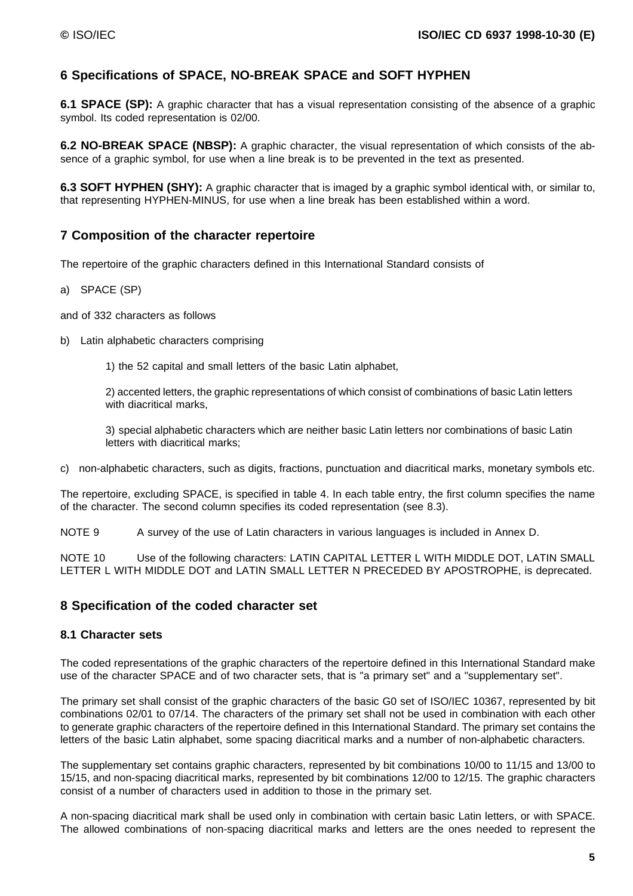### **6 Specifications of SPACE, NO-BREAK SPACE and SOFT HYPHEN**

**6.1 SPACE (SP):** A graphic character that has a visual representation consisting of the absence of a graphic symbol. Its coded representation is 02/00.

**6.2 NO-BREAK SPACE (NBSP):** A graphic character, the visual representation of which consists of the absence of a graphic symbol, for use when a line break is to be prevented in the text as presented.

**6.3 SOFT HYPHEN (SHY):** A graphic character that is imaged by a graphic symbol identical with, or similar to, that representing HYPHEN-MINUS, for use when a line break has been established within a word.

### **7 Composition of the character repertoire**

The repertoire of the graphic characters defined in this International Standard consists of

a) SPACE (SP)

and of 332 characters as follows

b) Latin alphabetic characters comprising

1) the 52 capital and small letters of the basic Latin alphabet,

2) accented letters, the graphic representations of which consist of combinations of basic Latin letters with diacritical marks.

3) special alphabetic characters which are neither basic Latin letters nor combinations of basic Latin letters with diacritical marks;

c) non-alphabetic characters, such as digits, fractions, punctuation and diacritical marks, monetary symbols etc.

The repertoire, excluding SPACE, is specified in table 4. In each table entry, the first column specifies the name of the character. The second column specifies its coded representation (see 8.3).

NOTE 9 A survey of the use of Latin characters in various languages is included in Annex D.

NOTE 10 Use of the following characters: LATIN CAPITAL LETTER L WITH MIDDLE DOT, LATIN SMALL LETTER L WITH MIDDLE DOT and LATIN SMALL LETTER N PRECEDED BY APOSTROPHE, is deprecated.

### **8 Specification of the coded character set**

### **8.1 Character sets**

The coded representations of the graphic characters of the repertoire defined in this International Standard make use of the character SPACE and of two character sets, that is "a primary set" and a "supplementary set".

The primary set shall consist of the graphic characters of the basic G0 set of ISO/IEC 10367, represented by bit combinations 02/01 to 07/14. The characters of the primary set shall not be used in combination with each other to generate graphic characters of the repertoire defined in this International Standard. The primary set contains the letters of the basic Latin alphabet, some spacing diacritical marks and a number of non-alphabetic characters.

The supplementary set contains graphic characters, represented by bit combinations 10/00 to 11/15 and 13/00 to 15/15, and non-spacing diacritical marks, represented by bit combinations 12/00 to 12/15. The graphic characters consist of a number of characters used in addition to those in the primary set.

A non-spacing diacritical mark shall be used only in combination with certain basic Latin letters, or with SPACE. The allowed combinations of non-spacing diacritical marks and letters are the ones needed to represent the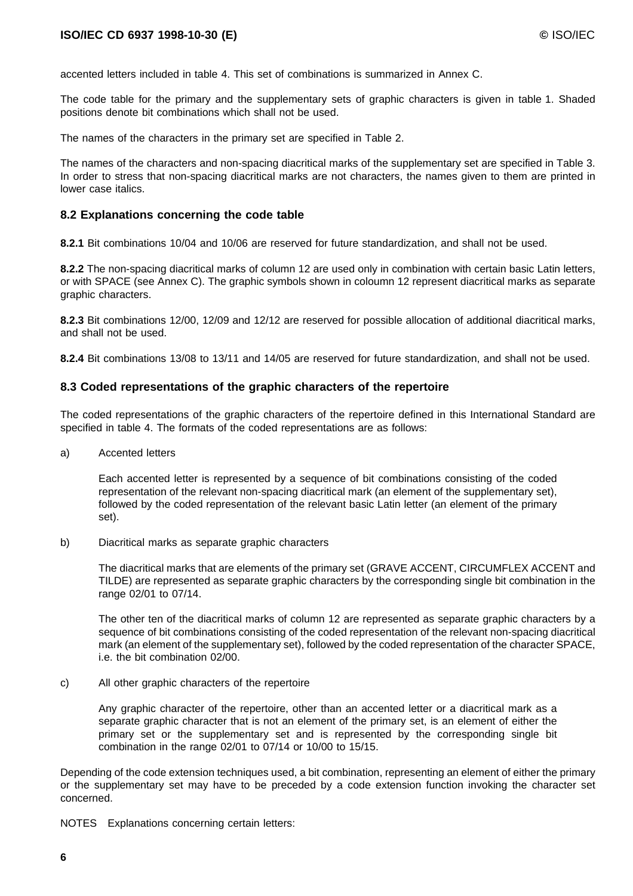accented letters included in table 4. This set of combinations is summarized in Annex C.

The code table for the primary and the supplementary sets of graphic characters is given in table 1. Shaded positions denote bit combinations which shall not be used.

The names of the characters in the primary set are specified in Table 2.

The names of the characters and non-spacing diacritical marks of the supplementary set are specified in Table 3. In order to stress that non-spacing diacritical marks are not characters, the names given to them are printed in lower case italics.

#### **8.2 Explanations concerning the code table**

**8.2.1** Bit combinations 10/04 and 10/06 are reserved for future standardization, and shall not be used.

**8.2.2** The non-spacing diacritical marks of column 12 are used only in combination with certain basic Latin letters, or with SPACE (see Annex C). The graphic symbols shown in coloumn 12 represent diacritical marks as separate graphic characters.

**8.2.3** Bit combinations 12/00, 12/09 and 12/12 are reserved for possible allocation of additional diacritical marks, and shall not be used.

**8.2.4** Bit combinations 13/08 to 13/11 and 14/05 are reserved for future standardization, and shall not be used.

#### **8.3 Coded representations of the graphic characters of the repertoire**

The coded representations of the graphic characters of the repertoire defined in this International Standard are specified in table 4. The formats of the coded representations are as follows:

a) Accented letters

Each accented letter is represented by a sequence of bit combinations consisting of the coded representation of the relevant non-spacing diacritical mark (an element of the supplementary set), followed by the coded representation of the relevant basic Latin letter (an element of the primary set).

b) Diacritical marks as separate graphic characters

The diacritical marks that are elements of the primary set (GRAVE ACCENT, CIRCUMFLEX ACCENT and TILDE) are represented as separate graphic characters by the corresponding single bit combination in the range 02/01 to 07/14.

The other ten of the diacritical marks of column 12 are represented as separate graphic characters by a sequence of bit combinations consisting of the coded representation of the relevant non-spacing diacritical mark (an element of the supplementary set), followed by the coded representation of the character SPACE, i.e. the bit combination 02/00.

c) All other graphic characters of the repertoire

Any graphic character of the repertoire, other than an accented letter or a diacritical mark as a separate graphic character that is not an element of the primary set, is an element of either the primary set or the supplementary set and is represented by the corresponding single bit combination in the range 02/01 to 07/14 or 10/00 to 15/15.

Depending of the code extension techniques used, a bit combination, representing an element of either the primary or the supplementary set may have to be preceded by a code extension function invoking the character set concerned.

NOTES Explanations concerning certain letters: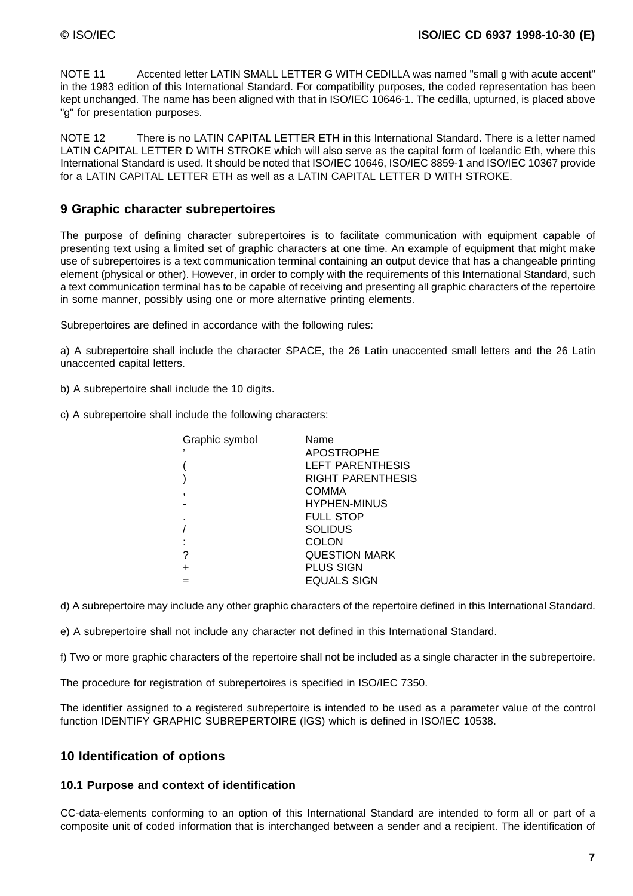NOTE 11 Accented letter LATIN SMALL LETTER G WITH CEDILLA was named "small g with acute accent" in the 1983 edition of this International Standard. For compatibility purposes, the coded representation has been kept unchanged. The name has been aligned with that in ISO/IEC 10646-1. The cedilla, upturned, is placed above "g" for presentation purposes.

NOTE 12 There is no LATIN CAPITAL LETTER ETH in this International Standard. There is a letter named LATIN CAPITAL LETTER D WITH STROKE which will also serve as the capital form of Icelandic Eth, where this International Standard is used. It should be noted that ISO/IEC 10646, ISO/IEC 8859-1 and ISO/IEC 10367 provide for a LATIN CAPITAL LETTER ETH as well as a LATIN CAPITAL LETTER D WITH STROKE.

### **9 Graphic character subrepertoires**

The purpose of defining character subrepertoires is to facilitate communication with equipment capable of presenting text using a limited set of graphic characters at one time. An example of equipment that might make use of subrepertoires is a text communication terminal containing an output device that has a changeable printing element (physical or other). However, in order to comply with the requirements of this International Standard, such a text communication terminal has to be capable of receiving and presenting all graphic characters of the repertoire in some manner, possibly using one or more alternative printing elements.

Subrepertoires are defined in accordance with the following rules:

a) A subrepertoire shall include the character SPACE, the 26 Latin unaccented small letters and the 26 Latin unaccented capital letters.

b) A subrepertoire shall include the 10 digits.

c) A subrepertoire shall include the following characters:

| Graphic symbol | Name                 |
|----------------|----------------------|
|                | <b>APOSTROPHE</b>    |
|                | LEFT PARENTHESIS     |
|                | RIGHT PARENTHESIS    |
|                | <b>COMMA</b>         |
|                | <b>HYPHEN-MINUS</b>  |
|                | <b>FULL STOP</b>     |
|                | SOLIDUS              |
|                | COLON                |
|                | <b>QUESTION MARK</b> |
|                | <b>PLUS SIGN</b>     |
|                | EQUALS SIGN          |

d) A subrepertoire may include any other graphic characters of the repertoire defined in this International Standard.

e) A subrepertoire shall not include any character not defined in this International Standard.

f) Two or more graphic characters of the repertoire shall not be included as a single character in the subrepertoire.

The procedure for registration of subrepertoires is specified in ISO/IEC 7350.

The identifier assigned to a registered subrepertoire is intended to be used as a parameter value of the control function IDENTIFY GRAPHIC SUBREPERTOIRE (IGS) which is defined in ISO/IEC 10538.

### **10 Identification of options**

### **10.1 Purpose and context of identification**

CC-data-elements conforming to an option of this International Standard are intended to form all or part of a composite unit of coded information that is interchanged between a sender and a recipient. The identification of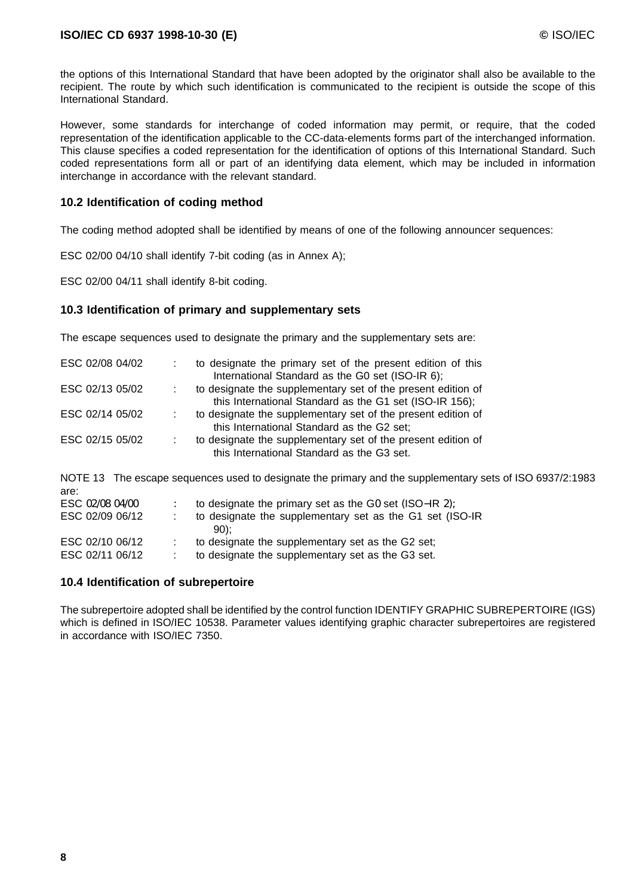the options of this International Standard that have been adopted by the originator shall also be available to the recipient. The route by which such identification is communicated to the recipient is outside the scope of this International Standard.

However, some standards for interchange of coded information may permit, or require, that the coded representation of the identification applicable to the CC-data-elements forms part of the interchanged information. This clause specifies a coded representation for the identification of options of this International Standard. Such coded representations form all or part of an identifying data element, which may be included in information interchange in accordance with the relevant standard.

### **10.2 Identification of coding method**

The coding method adopted shall be identified by means of one of the following announcer sequences:

ESC 02/00 04/10 shall identify 7-bit coding (as in Annex A);

ESC 02/00 04/11 shall identify 8-bit coding.

### **10.3 Identification of primary and supplementary sets**

The escape sequences used to designate the primary and the supplementary sets are:

| ESC 02/08 04/02 | to designate the primary set of the present edition of this<br>International Standard as the G0 set (ISO-IR 6);         |
|-----------------|-------------------------------------------------------------------------------------------------------------------------|
| ESC 02/13 05/02 | to designate the supplementary set of the present edition of<br>this International Standard as the G1 set (ISO-IR 156); |
| ESC 02/14 05/02 | to designate the supplementary set of the present edition of<br>this International Standard as the G2 set;              |
| ESC 02/15 05/02 | to designate the supplementary set of the present edition of<br>this International Standard as the G3 set.              |

NOTE 13 The escape sequences used to designate the primary and the supplementary sets of ISO 6937/2:1983 are: ESC 02/08 04/00 : to designate the primary set as the G0 set (ISO–IR 2);<br>ESC 02/09 06/12 : to designate the supplementary set as the G1 set (IS to designate the supplementary set as the G1 set (ISO-IR

| _________       | to docignate the cappionionially cot as the CT cot (iOC)<br>$90$ : |
|-----------------|--------------------------------------------------------------------|
| ESC 02/10 06/12 | to designate the supplementary set as the G2 set;                  |
| ESC 02/11 06/12 | to designate the supplementary set as the G3 set.                  |

### **10.4 Identification of subrepertoire**

The subrepertoire adopted shall be identified by the control function IDENTIFY GRAPHIC SUBREPERTOIRE (IGS) which is defined in ISO/IEC 10538. Parameter values identifying graphic character subrepertoires are registered in accordance with ISO/IEC 7350.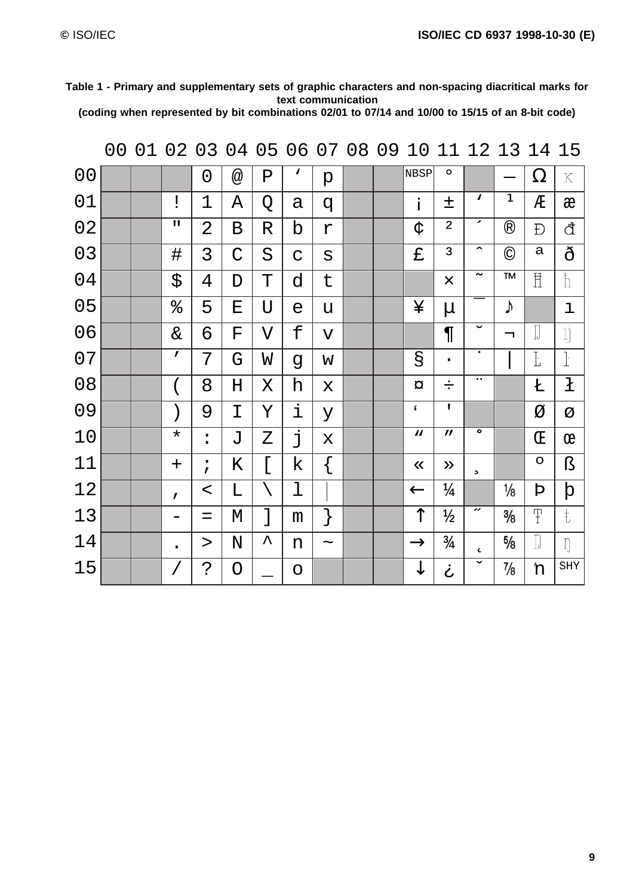| Table 1 - Primary and supplementary sets of graphic characters and non-spacing diacritical marks for                                                                                       |  |
|--------------------------------------------------------------------------------------------------------------------------------------------------------------------------------------------|--|
| text communication                                                                                                                                                                         |  |
| $\mathcal{L} = \mathbf{I}$ , and $\mathbf{I} = \mathbf{I}$ , and $\mathbf{I} = \mathbf{I}$ , and $\mathbf{I} = \mathbf{I}$ , and $\mathbf{I} = \mathbf{I}$ , and $\mathbf{I} = \mathbf{I}$ |  |

**(coding when represented by bit combinations 02/01 to 07/14 and 10/00 to 15/15 of an 8-bit code)**

|                | 0 <sub>0</sub> | 01 | 02           | 03             | 04                        | 05 |              | 06 07 08                | 09 | 10                        | 11                          |                             | 12 13         | 14                      | 15                |
|----------------|----------------|----|--------------|----------------|---------------------------|----|--------------|-------------------------|----|---------------------------|-----------------------------|-----------------------------|---------------|-------------------------|-------------------|
| 0 <sub>0</sub> |                |    |              | $\overline{0}$ | $^\text{\textregistered}$ | Ρ  | $\mathbf{v}$ | $\rm p$                 |    | NBSP                      | $\mathsf{o}$                |                             |               | $\Omega$                | $\mathbf K$       |
| 01             |                |    | Ĩ            | $\mathbf 1$    | Α                         | Q  | а            | q                       |    | i                         | 土                           | V                           | $\mathbf{1}$  | Æ                       | æ                 |
| 02             |                |    | П            | $\overline{2}$ | $\, {\bf B}$              | R  | b            | $\Upsilon$              |    | ද්                        | $\overline{2}$              | ╭                           | $^\circledR$  | Đ                       | đ                 |
| 03             |                |    | $\sharp$     | 3              | $\mathcal{C}$             | S  | $\mathbf C$  | $\rm s$                 |    | £                         | 3                           | $\hat{\phantom{a}}$         | $\odot$       | a                       | ð                 |
| 04             |                |    | \$           | 4              | D                         | T  | d            | t                       |    |                           | $\times$                    | $\tilde{\phantom{m}}$       | <b>TM</b>     | $\overline{\mathbb{H}}$ | $\mathbb{I}$      |
| 0 <sub>5</sub> |                |    | ್ಯ           | 5              | E                         | U  | $\epsilon$   | u                       |    | ¥                         | $\mu$                       |                             | $\sqrt{ }$    |                         | ı                 |
| 06             |                |    | $\&$         | 6              | ${\bf F}$                 | V  | £            | $\overline{\mathsf{V}}$ |    |                           | $\P$                        | $\check{ }$                 | ┑             | $\prod_{i=1}^{n}$       | $\prod_{i=1}^{n}$ |
| 07             |                |    | $\mathbf{r}$ | 7              | G                         | W  | g            | W                       |    | g                         | $\bullet$                   | ٠                           |               | Ŀ                       | $\mathbf{r}$      |
| 08             |                |    | $\left($     | 8              | $H_{\rm}$                 | Χ  | h            | X                       |    | $\alpha$                  | ÷                           | н.                          |               | Ł                       | ł                 |
| 09             |                |    | $\big)$      | 9              | I                         | Υ  | i            | У                       |    | ſ                         | $\mathbf{I}$                |                             |               | Ø                       | Ø                 |
| 10             |                |    | $\star$      | $\ddot{\cdot}$ | J                         | Ζ  | j            | X                       |    | $\boldsymbol{\mathsf{M}}$ | $\boldsymbol{\prime\prime}$ | $\bullet$                   |               | Œ                       | œ                 |
| 11             |                |    | $\pm$        | $\dot{I}$      | Κ                         | [  | k            | $\{$                    |    | $\ll$                     | $\gg$                       | $\mathfrak s$               |               | $\mathsf{o}$            | ß                 |
| 12             |                |    | $\mathbf{r}$ | $\,<$          | L                         |    | ı            |                         |    | $\leftarrow$              | $\frac{1}{4}$               |                             | $\frac{1}{8}$ | Þ                       | þ                 |
| 13             |                |    |              | $=$            | М                         | ]  | m            | }                       |    | ↑                         | $\frac{1}{2}$               | $\boldsymbol{\prime\prime}$ | $\frac{3}{8}$ | Ŧ                       | $\ddagger$        |
| 14             |                |    | $\bullet$    | $\rm{>}$       | ${\rm N}$                 | ᄉ  | n            | $\thicksim$             |    | $\rightarrow$             | $\frac{3}{4}$               | $\epsilon$                  | $\frac{5}{8}$ | $\prod_{i=1}^{n}$       | $\iint$           |
| 15             |                |    |              | .<br>?         | O                         |    | O            |                         |    | ↓                         | ځ                           | $\checkmark$                | $\frac{7}{8}$ | 'n                      | SHY               |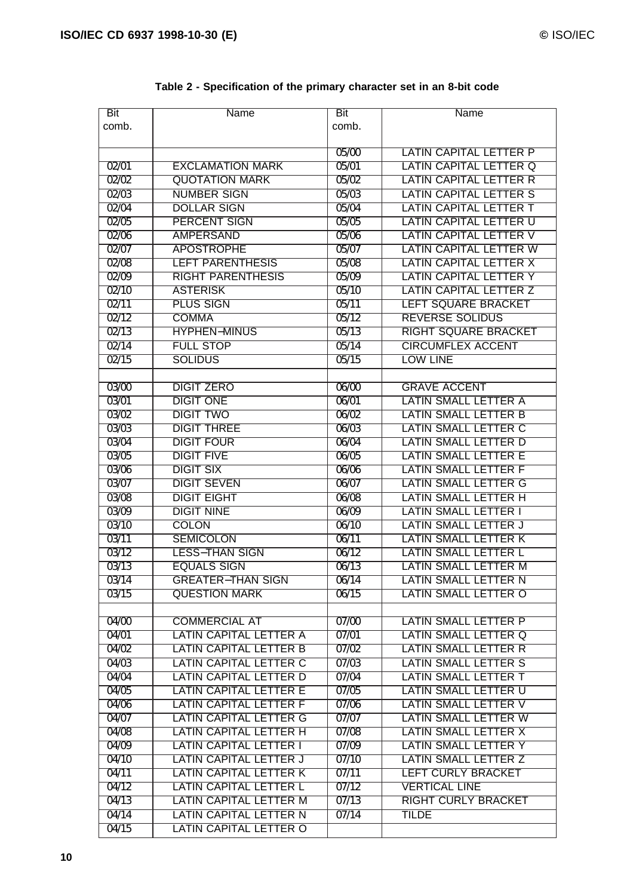| <b>Bit</b>     | <b>Name</b>                           | <b>Bit</b> | Name                                        |
|----------------|---------------------------------------|------------|---------------------------------------------|
| comb.          |                                       | comb.      |                                             |
|                |                                       |            |                                             |
|                |                                       | 05/00      | <b>LATIN CAPITAL LETTER P</b>               |
| 02/01          | <b>EXCLAMATION MARK</b>               | 05/01      | <b>LATIN CAPITAL LETTER Q</b>               |
| 02/02          | <b>QUOTATION MARK</b>                 | 05/02      | <b>LATIN CAPITAL LETTER R</b>               |
| 02/03          | <b>NUMBER SIGN</b>                    | 05/03      | <b>LATIN CAPITAL LETTER S</b>               |
| 02/04          | <b>DOLLAR SIGN</b>                    | 05/04      | <b>LATIN CAPITAL LETTER T</b>               |
| 02/05          | <b>PERCENT SIGN</b>                   | 05/05      | <b>LATIN CAPITAL LETTER U</b>               |
| 02/06          | <b>AMPERSAND</b>                      | 05/06      | LATIN CAPITAL LETTER V                      |
| 02/07          | <b>APOSTROPHE</b>                     | 05/07      | <b>LATIN CAPITAL LETTER W</b>               |
| 02/08          | <b>LEFT PARENTHESIS</b>               | 05/08      | <b>LATIN CAPITAL LETTER X</b>               |
| 02/09          | <b>RIGHT PARENTHESIS</b>              | 05/09      | <b>LATIN CAPITAL LETTER Y</b>               |
| 02/10          | <b>ASTERISK</b>                       | 05/10      | <b>LATIN CAPITAL LETTER Z</b>               |
| 02/11          | PLUS SIGN                             | 05/11      | LEFT SQUARE BRACKET                         |
| 02/12          | <b>COMMA</b>                          | 05/12      | <b>REVERSE SOLIDUS</b>                      |
| 02/13          | <b>HYPHEN-MINUS</b>                   | 05/13      | <b>RIGHT SQUARE BRACKET</b>                 |
| 02/14          | <b>FULL STOP</b>                      | 05/14      | <b>CIRCUMFLEX ACCENT</b>                    |
| $\sqrt{02/15}$ | <b>SOLIDUS</b>                        |            | <b>LOW LINE</b>                             |
|                |                                       | 05/15      |                                             |
|                |                                       |            |                                             |
| 03/00          | <b>DIGIT ZERO</b><br><b>DIGIT ONE</b> | 06/00      | <b>GRAVE ACCENT</b><br>LATIN SMALL LETTER A |
| 03/01          |                                       | 06/01      |                                             |
| 03/02          | <b>DIGIT TWO</b>                      | 06/02      | LATIN SMALL LETTER B                        |
| 03/03          | <b>DIGIT THREE</b>                    | 06/03      | LATIN SMALL LETTER C                        |
| 03/04          | <b>DIGIT FOUR</b>                     | 06/04      | LATIN SMALL LETTER D                        |
| 03/05          | <b>DIGIT FIVE</b>                     | 06/05      | <b>LATIN SMALL LETTER E</b>                 |
| 03/06          | <b>DIGIT SIX</b>                      | 06/06      | <b>LATIN SMALL LETTER F</b>                 |
| 03/07          | <b>DIGIT SEVEN</b>                    | 06/07      | <b>LATIN SMALL LETTER G</b>                 |
| 03/08          | <b>DIGIT EIGHT</b>                    | 06/08      | LATIN SMALL LETTER H                        |
| 03/09          | <b>DIGIT NINE</b>                     | 06/09      | <b>LATIN SMALL LETTER I</b>                 |
| 03/10          | <b>COLON</b>                          | 06/10      | <b>LATIN SMALL LETTER J</b>                 |
| 03/11          | <b>SEMICOLON</b>                      | 06/11      | LATIN SMALL LETTER K                        |
| 03/12          | <b>LESS-THAN SIGN</b>                 | 06/12      | LATIN SMALL LETTER L                        |
| 03/13          | <b>EQUALS SIGN</b>                    | 06/13      | LATIN SMALL LETTER M                        |
| 03/14          | <b>GREATER-THAN SIGN</b>              | 06/14      | LATIN SMALL LETTER N                        |
| 03/15          | <b>QUESTION MARK</b>                  | 06/15      | LATIN SMALL LETTER O                        |
|                |                                       |            |                                             |
| 04/00          | <b>COMMERCIAL AT</b>                  | 07/00      | LATIN SMALL LETTER P                        |
| 04/01          | LATIN CAPITAL LETTER A                | 07/01      | LATIN SMALL LETTER Q                        |
| 04/02          | <b>LATIN CAPITAL LETTER B</b>         | 07/02      | LATIN SMALL LETTER R                        |
| 04/03          | LATIN CAPITAL LETTER C                | 07/03      | LATIN SMALL LETTER S                        |
| 04/04          | <b>LATIN CAPITAL LETTER D</b>         | 07/04      | <b>LATIN SMALL LETTER T</b>                 |
| 04/05          | <b>LATIN CAPITAL LETTER E</b>         | 07/05      | <b>LATIN SMALL LETTER U</b>                 |
| 04/06          | <b>LATIN CAPITAL LETTER F</b>         | 07/06      | <b>LATIN SMALL LETTER V</b>                 |
| 04/07          | <b>LATIN CAPITAL LETTER G</b>         | 07/07      | LATIN SMALL LETTER W                        |
| 04/08          | LATIN CAPITAL LETTER H                | 07/08      | LATIN SMALL LETTER X                        |
| 04/09          | <b>LATIN CAPITAL LETTER I</b>         | 07/09      | <b>LATIN SMALL LETTER Y</b>                 |
| 04/10          | <b>LATIN CAPITAL LETTER J</b>         | 07/10      | LATIN SMALL LETTER Z                        |
| 04/11          | <b>LATIN CAPITAL LETTER K</b>         | 07/11      | LEFT CURLY BRACKET                          |
| 04/12          | <b>LATIN CAPITAL LETTER L</b>         | 07/12      | <b>VERTICAL LINE</b>                        |
| 04/13          | LATIN CAPITAL LETTER M                | 07/13      | <b>RIGHT CURLY BRACKET</b>                  |
| 04/14          | LATIN CAPITAL LETTER N                | 07/14      | TILDE                                       |
| 04/15          | LATIN CAPITAL LETTER O                |            |                                             |
|                |                                       |            |                                             |

### **Table 2 - Specification of the primary character set in an 8-bit code**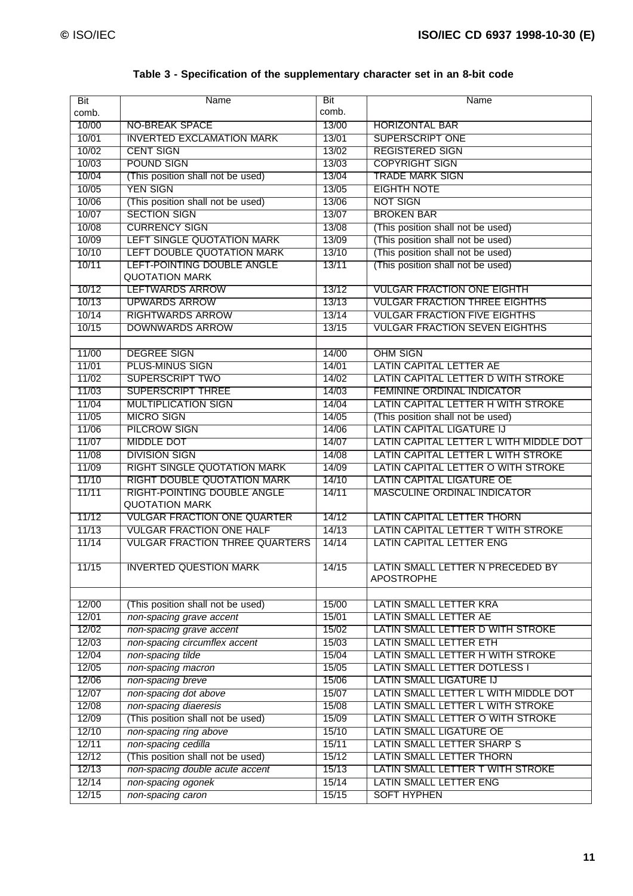| Bit   | Name                                  | <b>Bit</b> | Name                                   |
|-------|---------------------------------------|------------|----------------------------------------|
| comb. |                                       | comb.      |                                        |
| 10/00 | <b>NO-BREAK SPACE</b>                 | 13/00      | <b>HORIZONTAL BAR</b>                  |
| 10/01 | <b>INVERTED EXCLAMATION MARK</b>      | 13/01      | <b>SUPERSCRIPT ONE</b>                 |
| 10/02 | <b>CENT SIGN</b>                      | 13/02      | <b>REGISTERED SIGN</b>                 |
| 10/03 | <b>POUND SIGN</b>                     | 13/03      | <b>COPYRIGHT SIGN</b>                  |
| 10/04 | (This position shall not be used)     | 13/04      | <b>TRADE MARK SIGN</b>                 |
| 10/05 | <b>YEN SIGN</b>                       | 13/05      | <b>EIGHTH NOTE</b>                     |
| 10/06 | (This position shall not be used)     | 13/06      | <b>NOT SIGN</b>                        |
| 10/07 | <b>SECTION SIGN</b>                   | 13/07      | <b>BROKEN BAR</b>                      |
| 10/08 | <b>CURRENCY SIGN</b>                  | 13/08      | (This position shall not be used)      |
| 10/09 | LEFT SINGLE QUOTATION MARK            | 13/09      | (This position shall not be used)      |
| 10/10 | LEFT DOUBLE QUOTATION MARK            | 13/10      | (This position shall not be used)      |
| 10/11 | LEFT-POINTING DOUBLE ANGLE            | 13/11      | (This position shall not be used)      |
|       | <b>QUOTATION MARK</b>                 |            |                                        |
| 10/12 | <b>LEFTWARDS ARROW</b>                | 13/12      | <b>VULGAR FRACTION ONE EIGHTH</b>      |
| 10/13 | <b>UPWARDS ARROW</b>                  | 13/13      | <b>VULGAR FRACTION THREE EIGHTHS</b>   |
| 10/14 | <b>RIGHTWARDS ARROW</b>               | 13/14      | <b>VULGAR FRACTION FIVE EIGHTHS</b>    |
| 10/15 | <b>DOWNWARDS ARROW</b>                | 13/15      | <b>VULGAR FRACTION SEVEN EIGHTHS</b>   |
|       |                                       |            |                                        |
| 11/00 | <b>DEGREE SIGN</b>                    | 14/00      | <b>OHM SIGN</b>                        |
| 11/01 | <b>PLUS-MINUS SIGN</b>                | 14/01      | <b>LATIN CAPITAL LETTER AE</b>         |
| 11/02 | <b>SUPERSCRIPT TWO</b>                | 14/02      | LATIN CAPITAL LETTER D WITH STROKE     |
| 11/03 | <b>SUPERSCRIPT THREE</b>              | 14/03      | <b>FEMININE ORDINAL INDICATOR</b>      |
| 11/04 | <b>MULTIPLICATION SIGN</b>            | 14/04      | LATIN CAPITAL LETTER H WITH STROKE     |
| 11/05 | <b>MICRO SIGN</b>                     | 14/05      | (This position shall not be used)      |
| 11/06 | <b>PILCROW SIGN</b>                   | 14/06      | <b>LATIN CAPITAL LIGATURE IJ</b>       |
| 11/07 | <b>MIDDLE DOT</b>                     | 14/07      | LATIN CAPITAL LETTER L WITH MIDDLE DOT |
| 11/08 | <b>DIVISION SIGN</b>                  | 14/08      | LATIN CAPITAL LETTER L WITH STROKE     |
| 11/09 | <b>RIGHT SINGLE QUOTATION MARK</b>    | 14/09      | LATIN CAPITAL LETTER O WITH STROKE     |
| 11/10 | <b>RIGHT DOUBLE QUOTATION MARK</b>    | 14/10      | <b>LATIN CAPITAL LIGATURE OE</b>       |
| 11/11 | <b>RIGHT-POINTING DOUBLE ANGLE</b>    | 14/11      | <b>MASCULINE ORDINAL INDICATOR</b>     |
|       | <b>QUOTATION MARK</b>                 |            |                                        |
| 11/12 | <b>VULGAR FRACTION ONE QUARTER</b>    | 14/12      | <b>LATIN CAPITAL LETTER THORN</b>      |
| 11/13 | <b>VULGAR FRACTION ONE HALF</b>       | 14/13      | LATIN CAPITAL LETTER T WITH STROKE     |
| 11/14 | <b>VULGAR FRACTION THREE QUARTERS</b> | 14/14      | <b>LATIN CAPITAL LETTER ENG</b>        |
|       |                                       |            |                                        |
| 11/15 | <b>INVERTED QUESTION MARK</b>         | 14/15      | LATIN SMALL LETTER N PRECEDED BY       |
|       |                                       |            | <b>APOSTROPHE</b>                      |
|       |                                       |            |                                        |
| 12/00 | (This position shall not be used)     | 15/00      | LATIN SMALL LETTER KRA                 |
| 12/01 | non-spacing grave accent              | 15/01      | LATIN SMALL LETTER AE                  |
| 12/02 | non-spacing grave accent              | 15/02      | LATIN SMALL LETTER D WITH STROKE       |
| 12/03 | non-spacing circumflex accent         | 15/03      | LATIN SMALL LETTER ETH                 |
| 12/04 | non-spacing tilde                     | 15/04      | LATIN SMALL LETTER H WITH STROKE       |
| 12/05 | non-spacing macron                    | 15/05      | <b>LATIN SMALL LETTER DOTLESS I</b>    |
| 12/06 | non-spacing breve                     | 15/06      | LATIN SMALL LIGATURE IJ                |
| 12/07 | non-spacing dot above                 | 15/07      | LATIN SMALL LETTER L WITH MIDDLE DOT   |
| 12/08 | non-spacing diaeresis                 | 15/08      | LATIN SMALL LETTER L WITH STROKE       |
| 12/09 | (This position shall not be used)     | 15/09      | LATIN SMALL LETTER O WITH STROKE       |
| 12/10 | non-spacing ring above                | 15/10      | LATIN SMALL LIGATURE OE                |
| 12/11 | non-spacing cedilla                   | 15/11      | LATIN SMALL LETTER SHARP S             |
| 12/12 | (This position shall not be used)     | 15/12      | LATIN SMALL LETTER THORN               |
| 12/13 | non-spacing double acute accent       | 15/13      | LATIN SMALL LETTER T WITH STROKE       |
| 12/14 | non-spacing ogonek                    | 15/14      | LATIN SMALL LETTER ENG                 |
| 12/15 | non-spacing caron                     | 15/15      | <b>SOFT HYPHEN</b>                     |
|       |                                       |            |                                        |

### **Table 3 - Specification of the supplementary character set in an 8-bit code**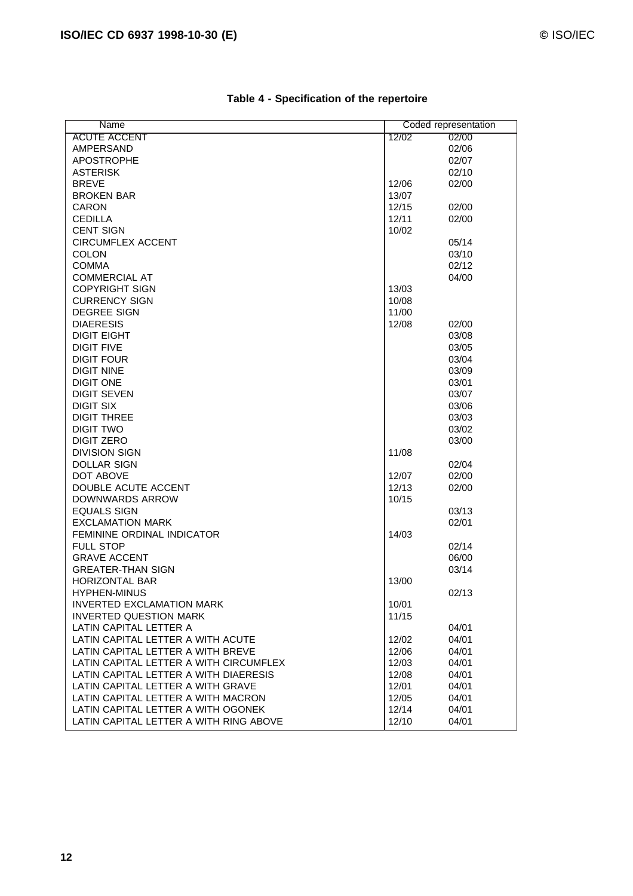| Name                                   |                | Coded representation |
|----------------------------------------|----------------|----------------------|
| <b>ACUTE ACCENT</b>                    | 12/02          | 02/00                |
| <b>AMPERSAND</b>                       |                | 02/06                |
| <b>APOSTROPHE</b>                      |                | 02/07                |
| <b>ASTERISK</b>                        |                | 02/10                |
| <b>BREVE</b>                           | 12/06          | 02/00                |
| <b>BROKEN BAR</b>                      | 13/07          |                      |
| <b>CARON</b>                           | 12/15          | 02/00                |
| <b>CEDILLA</b>                         | 12/11          | 02/00                |
| <b>CENT SIGN</b>                       | 10/02          |                      |
| <b>CIRCUMFLEX ACCENT</b>               |                | 05/14                |
| <b>COLON</b>                           |                | 03/10                |
| <b>COMMA</b>                           |                | 02/12                |
| <b>COMMERCIAL AT</b>                   |                | 04/00                |
| <b>COPYRIGHT SIGN</b>                  | 13/03          |                      |
| <b>CURRENCY SIGN</b>                   | 10/08          |                      |
| <b>DEGREE SIGN</b>                     | 11/00          |                      |
| <b>DIAERESIS</b>                       | 12/08          | 02/00                |
| <b>DIGIT EIGHT</b>                     |                | 03/08                |
| <b>DIGIT FIVE</b>                      |                | 03/05                |
| <b>DIGIT FOUR</b>                      |                | 03/04                |
| <b>DIGIT NINE</b>                      |                | 03/09                |
| <b>DIGIT ONE</b>                       |                | 03/01                |
| <b>DIGIT SEVEN</b>                     |                | 03/07                |
| <b>DIGIT SIX</b>                       |                | 03/06                |
| <b>DIGIT THREE</b>                     |                | 03/03                |
| <b>DIGIT TWO</b>                       |                | 03/02                |
| <b>DIGIT ZERO</b>                      |                | 03/00                |
| <b>DIVISION SIGN</b>                   | 11/08          |                      |
| <b>DOLLAR SIGN</b>                     |                | 02/04                |
| <b>DOT ABOVE</b>                       |                | 02/00                |
| DOUBLE ACUTE ACCENT                    | 12/07<br>12/13 | 02/00                |
| DOWNWARDS ARROW                        | 10/15          |                      |
| <b>EQUALS SIGN</b>                     |                |                      |
| <b>EXCLAMATION MARK</b>                |                | 03/13                |
|                                        |                | 02/01                |
| FEMININE ORDINAL INDICATOR             | 14/03          |                      |
| <b>FULL STOP</b>                       |                | 02/14                |
| <b>GRAVE ACCENT</b>                    |                | 06/00                |
| <b>GREATER-THAN SIGN</b>               |                | 03/14                |
| HORIZONTAL BAR                         | 13/00          |                      |
| <b>HYPHEN-MINUS</b>                    |                | 02/13                |
| <b>INVERTED EXCLAMATION MARK</b>       | 10/01          |                      |
| <b>INVERTED QUESTION MARK</b>          | 11/15          |                      |
| LATIN CAPITAL LETTER A                 |                | 04/01                |
| LATIN CAPITAL LETTER A WITH ACUTE      | 12/02          | 04/01                |
| LATIN CAPITAL LETTER A WITH BREVE      | 12/06          | 04/01                |
| LATIN CAPITAL LETTER A WITH CIRCUMFLEX | 12/03          | 04/01                |
| LATIN CAPITAL LETTER A WITH DIAERESIS  | 12/08          | 04/01                |
| LATIN CAPITAL LETTER A WITH GRAVE      | 12/01          | 04/01                |
| LATIN CAPITAL LETTER A WITH MACRON     | 12/05          | 04/01                |
| LATIN CAPITAL LETTER A WITH OGONEK     | 12/14          | 04/01                |
| LATIN CAPITAL LETTER A WITH RING ABOVE | 12/10          | 04/01                |

### **Table 4 - Specification of the repertoire**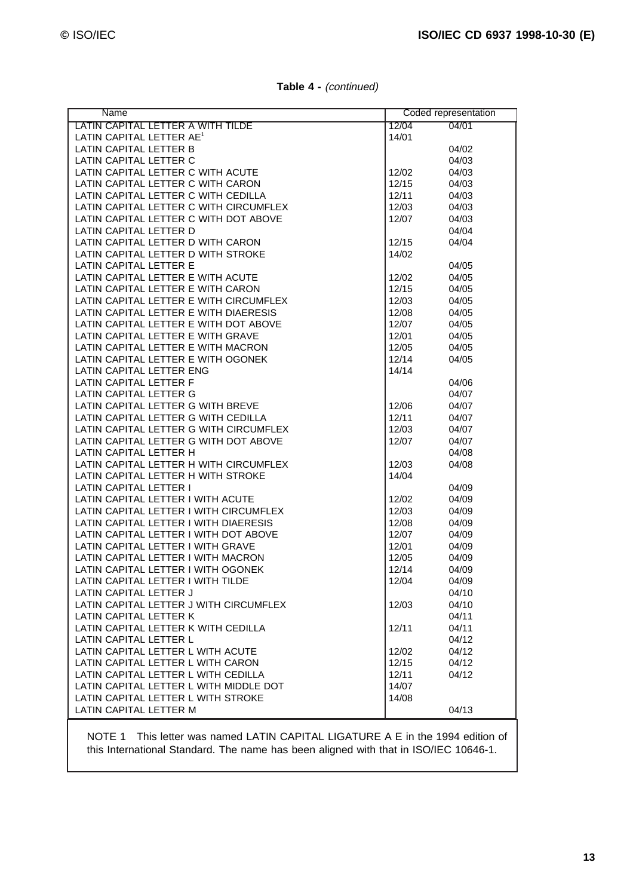| Name                                   |       | Coded representation |
|----------------------------------------|-------|----------------------|
| LATIN CAPITAL LETTER A WITH TILDE      | 12/04 | 04/01                |
| LATIN CAPITAL LETTER AE <sup>1</sup>   | 14/01 |                      |
| LATIN CAPITAL LETTER B                 |       | 04/02                |
| LATIN CAPITAL LETTER C                 |       | 04/03                |
| LATIN CAPITAL LETTER C WITH ACUTE      | 12/02 | 04/03                |
| LATIN CAPITAL LETTER C WITH CARON      | 12/15 | 04/03                |
| LATIN CAPITAL LETTER C WITH CEDILLA    | 12/11 | 04/03                |
| LATIN CAPITAL LETTER C WITH CIRCUMFLEX | 12/03 | 04/03                |
| LATIN CAPITAL LETTER C WITH DOT ABOVE  | 12/07 | 04/03                |
| LATIN CAPITAL LETTER D                 |       | 04/04                |
| LATIN CAPITAL LETTER D WITH CARON      | 12/15 | 04/04                |
| LATIN CAPITAL LETTER D WITH STROKE     | 14/02 |                      |
| LATIN CAPITAL LETTER E                 |       | 04/05                |
| LATIN CAPITAL LETTER E WITH ACUTE      | 12/02 | 04/05                |
| LATIN CAPITAL LETTER E WITH CARON      | 12/15 | 04/05                |
| LATIN CAPITAL LETTER E WITH CIRCUMFLEX | 12/03 | 04/05                |
| LATIN CAPITAL LETTER E WITH DIAERESIS  | 12/08 | 04/05                |
| LATIN CAPITAL LETTER E WITH DOT ABOVE  | 12/07 | 04/05                |
| LATIN CAPITAL LETTER E WITH GRAVE      | 12/01 | 04/05                |
| LATIN CAPITAL LETTER E WITH MACRON     | 12/05 | 04/05                |
| LATIN CAPITAL LETTER E WITH OGONEK     | 12/14 | 04/05                |
| LATIN CAPITAL LETTER ENG               | 14/14 |                      |
| LATIN CAPITAL LETTER F                 |       | 04/06                |
| LATIN CAPITAL LETTER G                 |       | 04/07                |
| LATIN CAPITAL LETTER G WITH BREVE      | 12/06 | 04/07                |
| LATIN CAPITAL LETTER G WITH CEDILLA    | 12/11 | 04/07                |
| LATIN CAPITAL LETTER G WITH CIRCUMFLEX | 12/03 | 04/07                |
| LATIN CAPITAL LETTER G WITH DOT ABOVE  | 12/07 | 04/07                |
| LATIN CAPITAL LETTER H                 |       | 04/08                |
| LATIN CAPITAL LETTER H WITH CIRCUMFLEX | 12/03 | 04/08                |
| LATIN CAPITAL LETTER H WITH STROKE     | 14/04 |                      |
| <b>LATIN CAPITAL LETTER I</b>          |       | 04/09                |
| LATIN CAPITAL LETTER I WITH ACUTE      | 12/02 | 04/09                |
| LATIN CAPITAL LETTER I WITH CIRCUMFLEX | 12/03 | 04/09                |
| LATIN CAPITAL LETTER I WITH DIAERESIS  | 12/08 | 04/09                |
| LATIN CAPITAL LETTER I WITH DOT ABOVE  | 12/07 | 04/09                |
| LATIN CAPITAL LETTER I WITH GRAVE      | 12/01 | 04/09                |
| LATIN CAPITAL LETTER I WITH MACRON     | 12/05 | 04/09                |
| LATIN CAPITAL LETTER I WITH OGONEK     | 12/14 | 04/09                |
| LATIN CAPITAL LETTER I WITH TILDE      | 12/04 | 04/09                |
| LATIN CAPITAL LETTER J                 |       | 04/10                |
| LATIN CAPITAL LETTER J WITH CIRCUMFLEX | 12/03 | 04/10                |
| LATIN CAPITAL LETTER K                 |       | 04/11                |
| LATIN CAPITAL LETTER K WITH CEDILLA    | 12/11 | 04/11                |
| LATIN CAPITAL LETTER L                 |       | 04/12                |
| LATIN CAPITAL LETTER L WITH ACUTE      | 12/02 | 04/12                |
| LATIN CAPITAL LETTER L WITH CARON      | 12/15 | 04/12                |
| LATIN CAPITAL LETTER L WITH CEDILLA    | 12/11 | 04/12                |
| LATIN CAPITAL LETTER L WITH MIDDLE DOT | 14/07 |                      |
| LATIN CAPITAL LETTER L WITH STROKE     | 14/08 |                      |
| LATIN CAPITAL LETTER M                 |       | 04/13                |
|                                        |       |                      |

**Table 4 -** (continued)

NOTE 1 This letter was named LATIN CAPITAL LIGATURE A E in the 1994 edition of this International Standard. The name has been aligned with that in ISO/IEC 10646-1.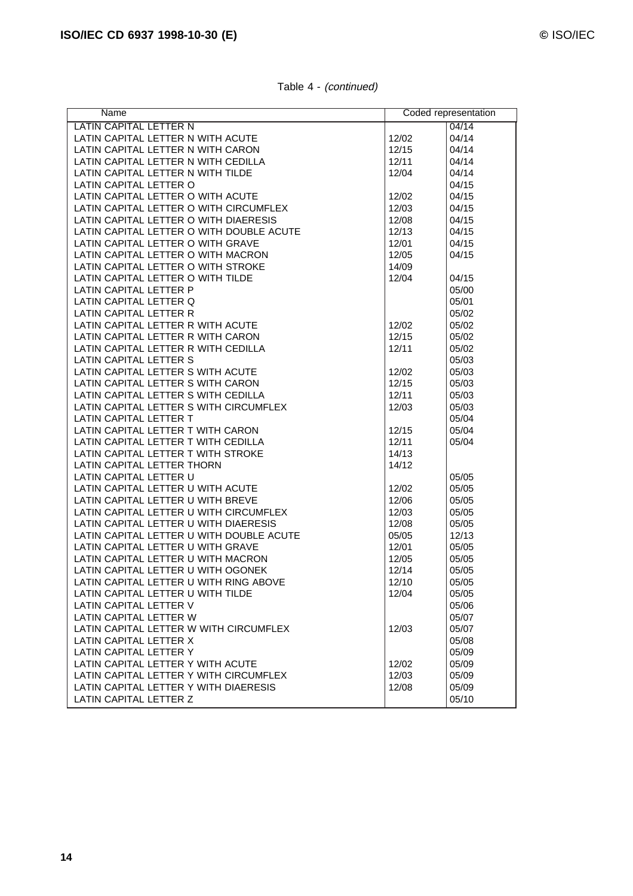| Name                                                                        |       | Coded representation |
|-----------------------------------------------------------------------------|-------|----------------------|
| LATIN CAPITAL LETTER N                                                      |       | 04/14                |
| LATIN CAPITAL LETTER N WITH ACUTE                                           | 12/02 | 04/14                |
| LATIN CAPITAL LETTER N WITH CARON                                           | 12/15 | 04/14                |
| LATIN CAPITAL LETTER N WITH CEDILLA                                         | 12/11 | 04/14                |
| LATIN CAPITAL LETTER N WITH TILDE                                           | 12/04 | 04/14                |
| LATIN CAPITAL LETTER O                                                      |       | 04/15                |
| LATIN CAPITAL LETTER O WITH ACUTE                                           | 12/02 | 04/15                |
| LATIN CAPITAL LETTER O WITH CIRCUMFLEX                                      | 12/03 | 04/15                |
| LATIN CAPITAL LETTER O WITH DIAERESIS                                       | 12/08 | 04/15                |
| LATIN CAPITAL LETTER O WITH DOUBLE ACUTE                                    | 12/13 | 04/15                |
| LATIN CAPITAL LETTER O WITH GRAVE                                           | 12/01 | 04/15                |
| LATIN CAPITAL LETTER O WITH MACRON                                          | 12/05 | 04/15                |
| LATIN CAPITAL LETTER O WITH STROKE                                          | 14/09 |                      |
| LATIN CAPITAL LETTER O WITH TILDE                                           | 12/04 | 04/15                |
| LATIN CAPITAL LETTER P                                                      |       | 05/00                |
| LATIN CAPITAL LETTER Q                                                      |       | 05/01                |
| LATIN CAPITAL LETTER R                                                      |       | 05/02                |
| LATIN CAPITAL LETTER R WITH ACUTE                                           | 12/02 | 05/02                |
| LATIN CAPITAL LETTER R WITH CARON                                           | 12/15 | 05/02                |
| LATIN CAPITAL LETTER R WITH CEDILLA                                         | 12/11 | 05/02                |
| LATIN CAPITAL LETTER S                                                      |       | 05/03                |
| LATIN CAPITAL LETTER S WITH ACUTE                                           | 12/02 | 05/03                |
| LATIN CAPITAL LETTER S WITH CARON                                           | 12/15 | 05/03                |
| LATIN CAPITAL LETTER S WITH CEDILLA                                         | 12/11 | 05/03                |
| LATIN CAPITAL LETTER S WITH CIRCUMFLEX                                      | 12/03 | 05/03                |
| LATIN CAPITAL LETTER T                                                      |       | 05/04                |
| LATIN CAPITAL LETTER T WITH CARON                                           | 12/15 | 05/04                |
| LATIN CAPITAL LETTER T WITH CEDILLA                                         | 12/11 | 05/04                |
| LATIN CAPITAL LETTER T WITH STROKE                                          | 14/13 |                      |
| LATIN CAPITAL LETTER THORN                                                  | 14/12 |                      |
| LATIN CAPITAL LETTER U                                                      |       | 05/05                |
| LATIN CAPITAL LETTER U WITH ACUTE                                           | 12/02 | 05/05                |
|                                                                             |       |                      |
| LATIN CAPITAL LETTER U WITH BREVE<br>LATIN CAPITAL LETTER U WITH CIRCUMFLEX | 12/06 | 05/05                |
|                                                                             | 12/03 | 05/05                |
| LATIN CAPITAL LETTER U WITH DIAERESIS                                       | 12/08 | 05/05                |
| LATIN CAPITAL LETTER U WITH DOUBLE ACUTE                                    | 05/05 | 12/13                |
| LATIN CAPITAL LETTER U WITH GRAVE                                           | 12/01 | 05/05                |
| LATIN CAPITAL LETTER U WITH MACRON                                          | 12/05 | 05/05                |
| LATIN CAPITAL LETTER U WITH OGONEK                                          | 12/14 | 05/05                |
| LATIN CAPITAL LETTER U WITH RING ABOVE                                      | 12/10 | 05/05                |
| LATIN CAPITAL LETTER U WITH TILDE                                           | 12/04 | 05/05                |
| LATIN CAPITAL LETTER V                                                      |       | 05/06                |
| LATIN CAPITAL LETTER W                                                      |       | 05/07                |
| LATIN CAPITAL LETTER W WITH CIRCUMFLEX                                      | 12/03 | 05/07                |
| LATIN CAPITAL LETTER X                                                      |       | 05/08                |
| LATIN CAPITAL LETTER Y                                                      |       | 05/09                |
| LATIN CAPITAL LETTER Y WITH ACUTE                                           | 12/02 | 05/09                |
| LATIN CAPITAL LETTER Y WITH CIRCUMFLEX                                      | 12/03 | 05/09                |
| LATIN CAPITAL LETTER Y WITH DIAERESIS                                       | 12/08 | 05/09                |
| LATIN CAPITAL LETTER Z                                                      |       | 05/10                |

Table 4 - (continued)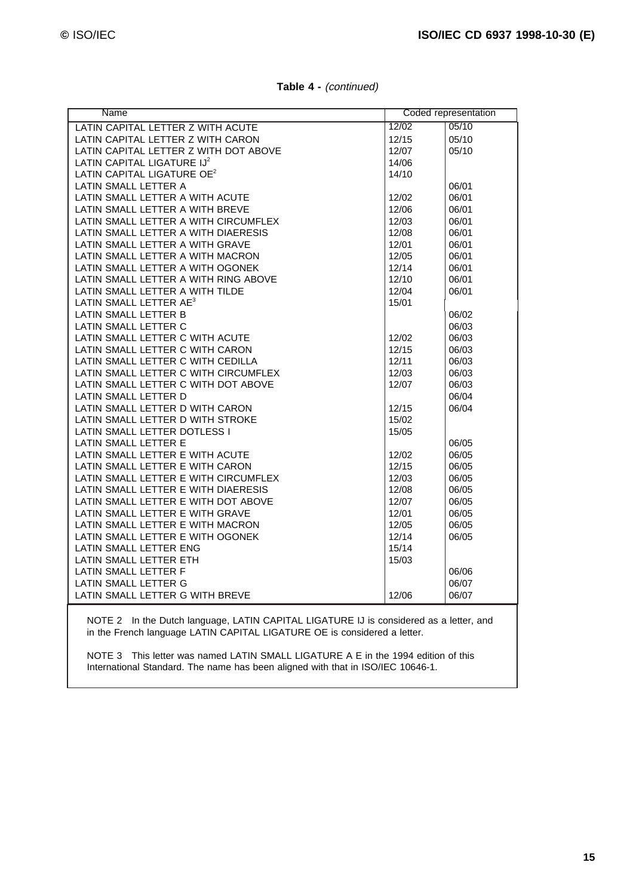| Name                                   |       | Coded representation |
|----------------------------------------|-------|----------------------|
| LATIN CAPITAL LETTER Z WITH ACUTE      | 12/02 | 05/10                |
| LATIN CAPITAL LETTER Z WITH CARON      | 12/15 | 05/10                |
| LATIN CAPITAL LETTER Z WITH DOT ABOVE  | 12/07 | 05/10                |
| LATIN CAPITAL LIGATURE IJ <sup>2</sup> | 14/06 |                      |
| LATIN CAPITAL LIGATURE OE <sup>2</sup> | 14/10 |                      |
| LATIN SMALL LETTER A                   |       | 06/01                |
| LATIN SMALL LETTER A WITH ACUTE        | 12/02 | 06/01                |
| LATIN SMALL LETTER A WITH BREVE        | 12/06 | 06/01                |
| LATIN SMALL LETTER A WITH CIRCUMFLEX   | 12/03 | 06/01                |
| LATIN SMALL LETTER A WITH DIAERESIS    | 12/08 | 06/01                |
| LATIN SMALL LETTER A WITH GRAVE        | 12/01 | 06/01                |
| LATIN SMALL LETTER A WITH MACRON       | 12/05 | 06/01                |
| LATIN SMALL LETTER A WITH OGONEK       | 12/14 | 06/01                |
| LATIN SMALL LETTER A WITH RING ABOVE   | 12/10 | 06/01                |
| LATIN SMALL LETTER A WITH TILDE        | 12/04 | 06/01                |
| LATIN SMALL LETTER AE <sup>3</sup>     | 15/01 |                      |
| LATIN SMALL LETTER B                   |       | 06/02                |
| LATIN SMALL LETTER C                   |       | 06/03                |
| LATIN SMALL LETTER C WITH ACUTE        | 12/02 | 06/03                |
| LATIN SMALL LETTER C WITH CARON        | 12/15 | 06/03                |
| LATIN SMALL LETTER C WITH CEDILLA      | 12/11 | 06/03                |
| LATIN SMALL LETTER C WITH CIRCUMFLEX   | 12/03 | 06/03                |
| LATIN SMALL LETTER C WITH DOT ABOVE    | 12/07 | 06/03                |
| LATIN SMALL LETTER D                   |       | 06/04                |
| LATIN SMALL LETTER D WITH CARON        | 12/15 | 06/04                |
| LATIN SMALL LETTER D WITH STROKE       | 15/02 |                      |
| LATIN SMALL LETTER DOTLESS I           | 15/05 |                      |
| LATIN SMALL LETTER E                   |       | 06/05                |
| LATIN SMALL LETTER E WITH ACUTE        | 12/02 | 06/05                |
| LATIN SMALL LETTER E WITH CARON        | 12/15 | 06/05                |
| LATIN SMALL LETTER E WITH CIRCUMFLEX   | 12/03 | 06/05                |
| LATIN SMALL LETTER E WITH DIAERESIS    | 12/08 | 06/05                |
| LATIN SMALL LETTER E WITH DOT ABOVE    | 12/07 | 06/05                |
| LATIN SMALL LETTER E WITH GRAVE        | 12/01 | 06/05                |
| LATIN SMALL LETTER E WITH MACRON       | 12/05 | 06/05                |
| LATIN SMALL LETTER E WITH OGONEK       | 12/14 | 06/05                |
| LATIN SMALL LETTER ENG                 | 15/14 |                      |
| LATIN SMALL LETTER ETH                 | 15/03 |                      |
| LATIN SMALL LETTER F                   |       | 06/06                |
| LATIN SMALL LETTER G                   |       | 06/07                |
| LATIN SMALL LETTER G WITH BREVE        | 12/06 | 06/07                |
|                                        |       |                      |

**Table 4 -** (continued)

NOTE 2 In the Dutch language, LATIN CAPITAL LIGATURE IJ is considered as a letter, and in the French language LATIN CAPITAL LIGATURE OE is considered a letter.

NOTE 3 This letter was named LATIN SMALL LIGATURE A E in the 1994 edition of this International Standard. The name has been aligned with that in ISO/IEC 10646-1.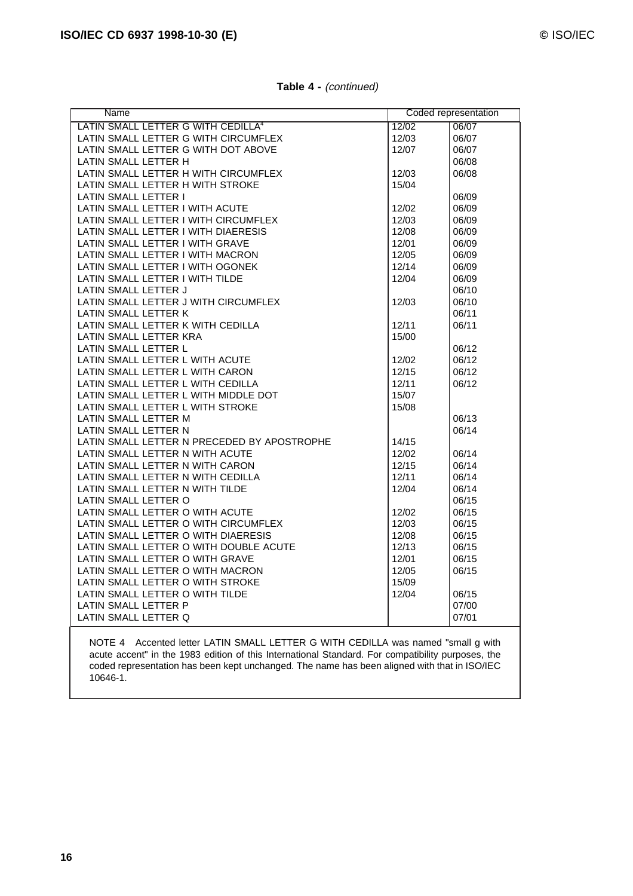| Name                                           |       | Coded representation |
|------------------------------------------------|-------|----------------------|
| LATIN SMALL LETTER G WITH CEDILLA <sup>4</sup> | 12/02 | 06/07                |
| LATIN SMALL LETTER G WITH CIRCUMFLEX           | 12/03 | 06/07                |
| LATIN SMALL LETTER G WITH DOT ABOVE            | 12/07 | 06/07                |
| LATIN SMALL LETTER H                           |       | 06/08                |
| LATIN SMALL LETTER H WITH CIRCUMFLEX           | 12/03 | 06/08                |
| LATIN SMALL LETTER H WITH STROKE               | 15/04 |                      |
| <b>LATIN SMALL LETTER I</b>                    |       | 06/09                |
| LATIN SMALL LETTER I WITH ACUTE                | 12/02 | 06/09                |
| LATIN SMALL LETTER I WITH CIRCUMFLEX           | 12/03 | 06/09                |
| LATIN SMALL LETTER I WITH DIAERESIS            | 12/08 | 06/09                |
| LATIN SMALL LETTER I WITH GRAVE                | 12/01 | 06/09                |
| LATIN SMALL LETTER I WITH MACRON               | 12/05 | 06/09                |
| LATIN SMALL LETTER I WITH OGONEK               | 12/14 | 06/09                |
| LATIN SMALL LETTER I WITH TILDE                | 12/04 | 06/09                |
| LATIN SMALL LETTER J                           |       | 06/10                |
| LATIN SMALL LETTER J WITH CIRCUMFLEX           | 12/03 | 06/10                |
| LATIN SMALL LETTER K                           |       | 06/11                |
| LATIN SMALL LETTER K WITH CEDILLA              | 12/11 | 06/11                |
| LATIN SMALL LETTER KRA                         | 15/00 |                      |
| LATIN SMALL LETTER L                           |       | 06/12                |
| LATIN SMALL LETTER L WITH ACUTE                | 12/02 | 06/12                |
| LATIN SMALL LETTER L WITH CARON                | 12/15 | 06/12                |
| LATIN SMALL LETTER L WITH CEDILLA              | 12/11 | 06/12                |
| LATIN SMALL LETTER L WITH MIDDLE DOT           | 15/07 |                      |
| LATIN SMALL LETTER L WITH STROKE               | 15/08 |                      |
| LATIN SMALL LETTER M                           |       | 06/13                |
| LATIN SMALL LETTER N                           |       | 06/14                |
| LATIN SMALL LETTER N PRECEDED BY APOSTROPHE    | 14/15 |                      |
| LATIN SMALL LETTER N WITH ACUTE                | 12/02 | 06/14                |
| LATIN SMALL LETTER N WITH CARON                | 12/15 | 06/14                |
| LATIN SMALL LETTER N WITH CEDILLA              | 12/11 | 06/14                |
| LATIN SMALL LETTER N WITH TILDE                | 12/04 | 06/14                |
| LATIN SMALL LETTER O                           |       | 06/15                |
| LATIN SMALL LETTER O WITH ACUTE                | 12/02 | 06/15                |
| LATIN SMALL LETTER O WITH CIRCUMFLEX           | 12/03 | 06/15                |
| LATIN SMALL LETTER O WITH DIAERESIS            | 12/08 | 06/15                |
| LATIN SMALL LETTER O WITH DOUBLE ACUTE         | 12/13 | 06/15                |
| LATIN SMALL LETTER O WITH GRAVE                | 12/01 | 06/15                |
| LATIN SMALL LETTER O WITH MACRON               | 12/05 | 06/15                |
| LATIN SMALL LETTER O WITH STROKE               | 15/09 |                      |
| LATIN SMALL LETTER O WITH TILDE                | 12/04 | 06/15                |
| LATIN SMALL LETTER P                           |       | 07/00                |
| LATIN SMALL LETTER Q                           |       | 07/01                |

### **Table 4 -** (continued)

NOTE 4 Accented letter LATIN SMALL LETTER G WITH CEDILLA was named "small g with acute accent" in the 1983 edition of this International Standard. For compatibility purposes, the coded representation has been kept unchanged. The name has been aligned with that in ISO/IEC 10646-1.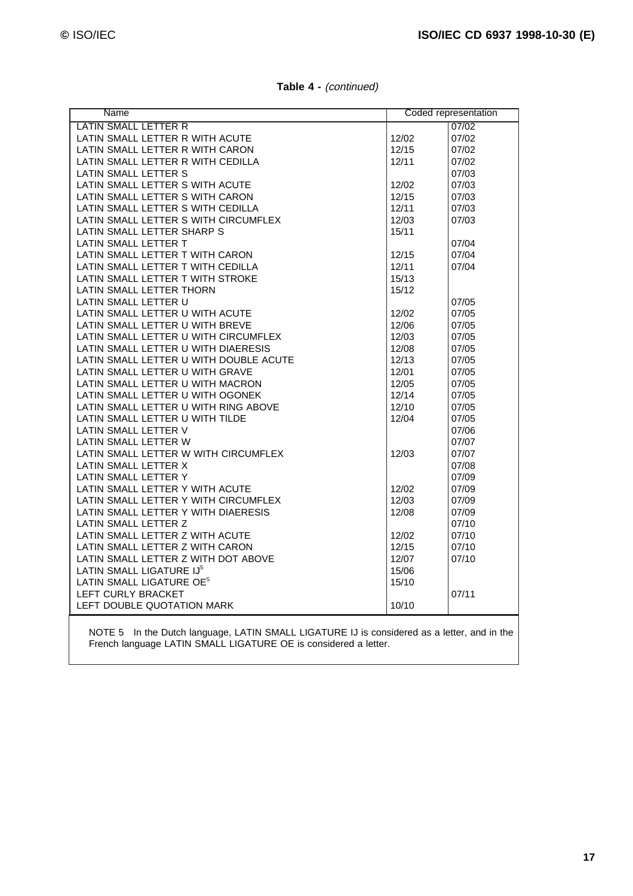| Name                                   |       | Coded representation |
|----------------------------------------|-------|----------------------|
| LATIN SMALL LETTER R                   |       | 07/02                |
| LATIN SMALL LETTER R WITH ACUTE        | 12/02 | 07/02                |
| LATIN SMALL LETTER R WITH CARON        | 12/15 | 07/02                |
| LATIN SMALL LETTER R WITH CEDILLA      | 12/11 | 07/02                |
| LATIN SMALL LETTER S                   |       | 07/03                |
| LATIN SMALL LETTER S WITH ACUTE        | 12/02 | 07/03                |
| LATIN SMALL LETTER S WITH CARON        | 12/15 | 07/03                |
| LATIN SMALL LETTER S WITH CEDILLA      | 12/11 | 07/03                |
| LATIN SMALL LETTER S WITH CIRCUMFLEX   | 12/03 | 07/03                |
| LATIN SMALL LETTER SHARP S             | 15/11 |                      |
| LATIN SMALL LETTER T                   |       | 07/04                |
| LATIN SMALL LETTER T WITH CARON        | 12/15 | 07/04                |
| LATIN SMALL LETTER T WITH CEDILLA      | 12/11 | 07/04                |
| LATIN SMALL LETTER T WITH STROKE       | 15/13 |                      |
| LATIN SMALL LETTER THORN               | 15/12 |                      |
| LATIN SMALL LETTER U                   |       | 07/05                |
| LATIN SMALL LETTER U WITH ACUTE        | 12/02 | 07/05                |
| LATIN SMALL LETTER U WITH BREVE        | 12/06 | 07/05                |
| LATIN SMALL LETTER U WITH CIRCUMFLEX   | 12/03 | 07/05                |
| LATIN SMALL LETTER U WITH DIAERESIS    | 12/08 | 07/05                |
| LATIN SMALL LETTER U WITH DOUBLE ACUTE | 12/13 | 07/05                |
| LATIN SMALL LETTER U WITH GRAVE        | 12/01 | 07/05                |
| LATIN SMALL LETTER U WITH MACRON       | 12/05 | 07/05                |
| LATIN SMALL LETTER U WITH OGONEK       | 12/14 | 07/05                |
| LATIN SMALL LETTER U WITH RING ABOVE   | 12/10 | 07/05                |
| LATIN SMALL LETTER U WITH TILDE        | 12/04 | 07/05                |
| LATIN SMALL LETTER V                   |       | 07/06                |
| LATIN SMALL LETTER W                   |       | 07/07                |
| LATIN SMALL LETTER W WITH CIRCUMFLEX   | 12/03 | 07/07                |
| LATIN SMALL LETTER X                   |       | 07/08                |
| LATIN SMALL LETTER Y                   |       | 07/09                |
| LATIN SMALL LETTER Y WITH ACUTE        | 12/02 | 07/09                |
| LATIN SMALL LETTER Y WITH CIRCUMFLEX   | 12/03 | 07/09                |
| LATIN SMALL LETTER Y WITH DIAERESIS    | 12/08 | 07/09                |
| LATIN SMALL LETTER Z                   |       | 07/10                |
| LATIN SMALL LETTER Z WITH ACUTE        | 12/02 | 07/10                |
| LATIN SMALL LETTER Z WITH CARON        | 12/15 | 07/10                |
| LATIN SMALL LETTER Z WITH DOT ABOVE    | 12/07 | 07/10                |
| LATIN SMALL LIGATURE IJ <sup>5</sup>   | 15/06 |                      |
| LATIN SMALL LIGATURE OE <sup>5</sup>   | 15/10 |                      |
| LEFT CURLY BRACKET                     |       | 07/11                |
| LEFT DOUBLE QUOTATION MARK             | 10/10 |                      |
|                                        |       |                      |

**Table 4 -** (continued)

NOTE 5 In the Dutch language, LATIN SMALL LIGATURE IJ is considered as a letter, and in the French language LATIN SMALL LIGATURE OE is considered a letter.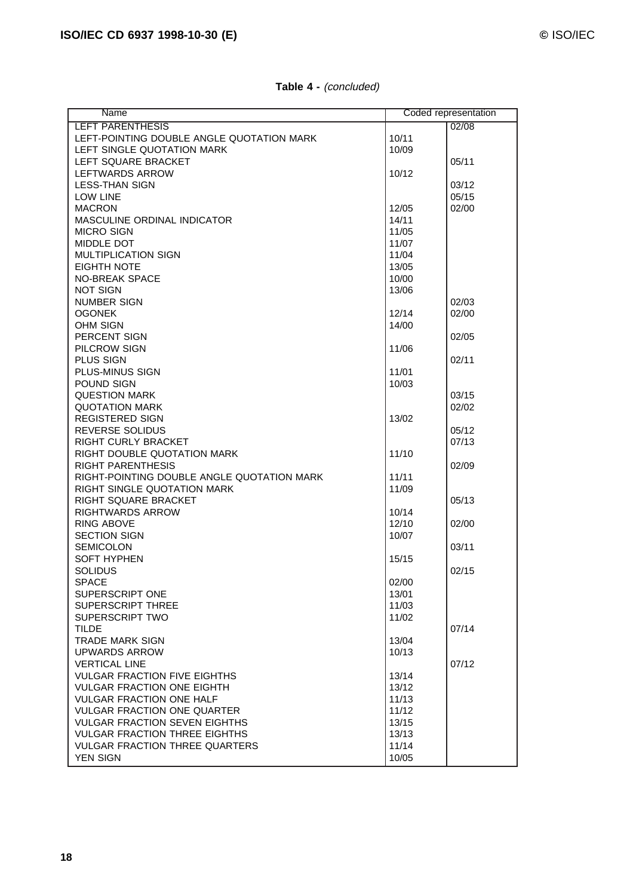| Name                                       |       | Coded representation |
|--------------------------------------------|-------|----------------------|
| <b>LEFT PARENTHESIS</b>                    |       | 02/08                |
| LEFT-POINTING DOUBLE ANGLE QUOTATION MARK  | 10/11 |                      |
| LEFT SINGLE QUOTATION MARK                 | 10/09 |                      |
| LEFT SQUARE BRACKET                        |       | 05/11                |
| LEFTWARDS ARROW                            | 10/12 |                      |
| <b>LESS-THAN SIGN</b>                      |       | 03/12                |
| <b>LOW LINE</b>                            |       | 05/15                |
| <b>MACRON</b>                              | 12/05 | 02/00                |
| MASCULINE ORDINAL INDICATOR                | 14/11 |                      |
| <b>MICRO SIGN</b>                          | 11/05 |                      |
| MIDDLE DOT                                 | 11/07 |                      |
| <b>MULTIPLICATION SIGN</b>                 | 11/04 |                      |
| <b>EIGHTH NOTE</b>                         | 13/05 |                      |
| <b>NO-BREAK SPACE</b>                      | 10/00 |                      |
| <b>NOT SIGN</b>                            | 13/06 |                      |
| <b>NUMBER SIGN</b>                         |       | 02/03                |
| <b>OGONEK</b>                              | 12/14 | 02/00                |
| <b>OHM SIGN</b>                            | 14/00 |                      |
| PERCENT SIGN                               |       | 02/05                |
| PILCROW SIGN                               | 11/06 |                      |
| PLUS SIGN                                  |       | 02/11                |
| <b>PLUS-MINUS SIGN</b>                     | 11/01 |                      |
| POUND SIGN                                 | 10/03 |                      |
| <b>QUESTION MARK</b>                       |       | 03/15                |
| <b>QUOTATION MARK</b>                      |       | 02/02                |
| <b>REGISTERED SIGN</b>                     | 13/02 |                      |
| REVERSE SOLIDUS                            |       | 05/12                |
| <b>RIGHT CURLY BRACKET</b>                 |       | 07/13                |
| RIGHT DOUBLE QUOTATION MARK                | 11/10 |                      |
| <b>RIGHT PARENTHESIS</b>                   |       | 02/09                |
| RIGHT-POINTING DOUBLE ANGLE QUOTATION MARK | 11/11 |                      |
| RIGHT SINGLE QUOTATION MARK                | 11/09 |                      |
| RIGHT SQUARE BRACKET                       |       | 05/13                |
| <b>RIGHTWARDS ARROW</b>                    | 10/14 |                      |
| <b>RING ABOVE</b>                          | 12/10 | 02/00                |
| <b>SECTION SIGN</b>                        | 10/07 |                      |
| <b>SEMICOLON</b>                           |       | 03/11                |
| <b>SOFT HYPHEN</b>                         | 15/15 |                      |
| <b>SOLIDUS</b>                             |       | 02/15                |
| <b>SPACE</b>                               | 02/00 |                      |
| SUPERSCRIPT ONE                            | 13/01 |                      |
| <b>SUPERSCRIPT THREE</b>                   | 11/03 |                      |
| <b>SUPERSCRIPT TWO</b>                     | 11/02 |                      |
| <b>TILDE</b>                               |       | 07/14                |
| <b>TRADE MARK SIGN</b>                     | 13/04 |                      |
| <b>UPWARDS ARROW</b>                       | 10/13 |                      |
| <b>VERTICAL LINE</b>                       |       | 07/12                |
| <b>VULGAR FRACTION FIVE EIGHTHS</b>        | 13/14 |                      |
| <b>VULGAR FRACTION ONE EIGHTH</b>          | 13/12 |                      |
| <b>VULGAR FRACTION ONE HALF</b>            | 11/13 |                      |
| <b>VULGAR FRACTION ONE QUARTER</b>         | 11/12 |                      |
| <b>VULGAR FRACTION SEVEN EIGHTHS</b>       | 13/15 |                      |
| <b>VULGAR FRACTION THREE EIGHTHS</b>       | 13/13 |                      |
| <b>VULGAR FRACTION THREE QUARTERS</b>      | 11/14 |                      |
| <b>YEN SIGN</b>                            | 10/05 |                      |

#### **Table 4 -** (concluded)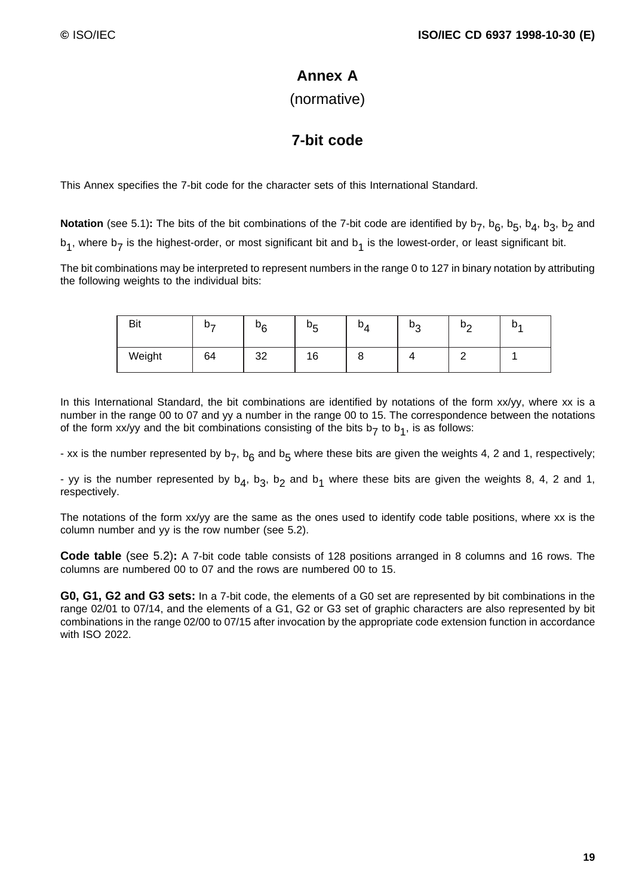# **Annex A**

(normative)

# **7-bit code**

This Annex specifies the 7-bit code for the character sets of this International Standard.

**Notation** (see 5.1): The bits of the bit combinations of the 7-bit code are identified by  $b_7$ ,  $b_6$ ,  $b_5$ ,  $b_4$ ,  $b_3$ ,  $b_2$  and  $b_1$ , where  $b_7$  is the highest-order, or most significant bit and  $b_1$  is the lowest-order, or least significant bit.

The bit combinations may be interpreted to represent numbers in the range 0 to 127 in binary notation by attributing the following weights to the individual bits:

| <b>Bit</b> | ມ– | υ <sub>ς</sub> | bς<br>ັ | ັ<br>$\overline{ }$ | υo<br>ت | הט | b. |
|------------|----|----------------|---------|---------------------|---------|----|----|
| Weight     | 64 | つつ<br>ےں       | 16      | -<br>ບ              |         |    |    |

In this International Standard, the bit combinations are identified by notations of the form xx/yy, where xx is a number in the range 00 to 07 and yy a number in the range 00 to 15. The correspondence between the notations of the form xx/yy and the bit combinations consisting of the bits  $b_7$  to  $b_1$ , is as follows:

- xx is the number represented by  $b_7$ ,  $b_6$  and  $b_5$  where these bits are given the weights 4, 2 and 1, respectively;

- yy is the number represented by  $b_4$ ,  $b_3$ ,  $b_2$  and  $b_1$  where these bits are given the weights 8, 4, 2 and 1, respectively.

The notations of the form xx/yy are the same as the ones used to identify code table positions, where xx is the column number and yy is the row number (see 5.2).

**Code table** (see 5.2)**:** A 7-bit code table consists of 128 positions arranged in 8 columns and 16 rows. The columns are numbered 00 to 07 and the rows are numbered 00 to 15.

**G0, G1, G2 and G3 sets:** In a 7-bit code, the elements of a G0 set are represented by bit combinations in the range 02/01 to 07/14, and the elements of a G1, G2 or G3 set of graphic characters are also represented by bit combinations in the range 02/00 to 07/15 after invocation by the appropriate code extension function in accordance with ISO 2022.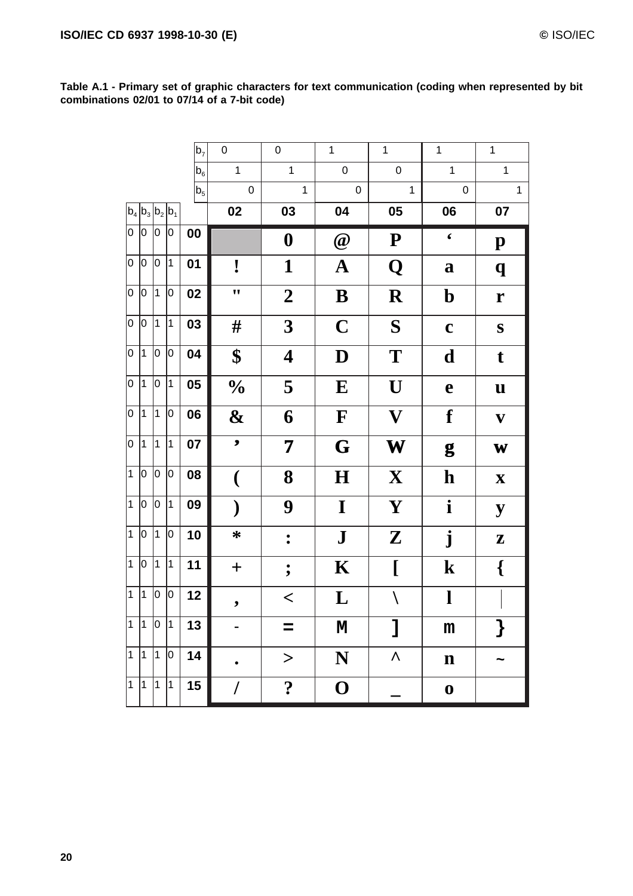**Table A.1 - Primary set of graphic characters for text communication (coding when represented by bit combinations 02/01 to 07/14 of a 7-bit code)**

|                |             |           |                     | $ b_7 $        | $\pmb{0}$                | $\pmb{0}$             | $\mathbf{1}$     | $\mathbf 1$               | $\mathbf{1}$     | $\mathbf{1}$              |
|----------------|-------------|-----------|---------------------|----------------|--------------------------|-----------------------|------------------|---------------------------|------------------|---------------------------|
|                |             |           |                     | b <sub>6</sub> | $\mathbf{1}$             | $\mathbf{1}$          | $\mathsf 0$      | $\mathbf 0$               | $\mathbf{1}$     | $\mathbf{1}$              |
|                |             |           |                     | $ b_5 $        | $\pmb{0}$                | $\mathbf{1}$          | $\pmb{0}$        | $\mathbf{1}$              | $\pmb{0}$        | $\mathbf{1}$              |
|                |             |           | $ b_4 b_3 b_2 b_1 $ |                | 02                       | 03                    | 04               | 05                        | 06               | 07                        |
| $\overline{0}$ | 10          | 0         | 10                  | 00             |                          | $\boldsymbol{0}$      | $\omega$         | ${\bf P}$                 | $\pmb{\zeta}$    | $\mathbf{p}$              |
| 0              | 0           | lо        | 1                   | 01             | !                        | $\mathbf{1}$          | ${\bf A}$        | Q                         | $\mathbf a$      | $\boldsymbol{q}$          |
| $\overline{0}$ | 0           | $\vert$ 1 | lо                  | 02             | $\bullet$                | $\boldsymbol{2}$      | B                | $\mathbf R$               | $\mathbf b$      | $\mathbf r$               |
| $\overline{0}$ | 0           | 11        | 1                   | 03             | #                        | $\boldsymbol{3}$      | $\mathbf C$      | S                         | $\mathbf c$      | S                         |
| $\overline{0}$ | 1           | 0         | 0                   | 04             | \$                       | 4                     | D                | T                         | d                | $\mathbf t$               |
| $\overline{0}$ | $\mathbf 1$ | O         | 1                   | 05             | $\frac{1}{2}$            | 5                     | ${\bf E}$        | U                         | $\mathbf e$      | $\mathbf u$               |
| 0              | $\vert$ 1   | $\vert$ 1 | lо                  | 06             | $\mathbf{\&}$            | 6                     | $\mathbf F$      | $\boldsymbol{\mathrm{V}}$ | f                | $\mathbf{V}$              |
| O              | $\mathbf 1$ | $\vert$ 1 | 1                   | 07             | $\overline{\phantom{0}}$ | 7                     | G                | W                         | g                | W                         |
| $\overline{1}$ | 10          | 0         | 0                   | 08             | $\overline{\mathcal{N}}$ | 8                     | $\bf H$          | $\mathbf{X}$              | $\mathbf h$      | $\boldsymbol{\mathrm{X}}$ |
| $\overline{1}$ | 0           | 0         | 1                   | 09             | $\mathcal Y$             | 9                     | $\mathbf I$      | Y                         | $\mathbf{i}$     | ${\bf y}$                 |
| $\overline{1}$ | 0           | $\vert$ 1 | 0                   | 10             | $\ast$                   | $\ddot{\bullet}$      | ${\bf J}$        | ${\bf Z}$                 | ${\bf j}$        | Z                         |
| $\overline{1}$ | 0           | $\vert$ 1 | $\vert$ 1           | 11             | $\boldsymbol{+}$         | $\ddot{\phantom{0}},$ | $\mathbf K$      | $\overline{L}$            | $\mathbf k$      | $\{$                      |
| $\overline{1}$ | 1           | 0         | 0                   | 12             | $\bullet$                | $\lt$                 | $\mathbf L$      | $\backslash$              | $\mathbf{l}$     |                           |
| $\mathbf{1}$   | 1           | 10        | 1                   | 13             |                          | $=$                   | M                | 1                         | m                | $\}$                      |
| $\overline{1}$ | $\vert$ 1   | $\vert$ 1 | $ 0\rangle$         | 14             |                          | $\geq$                | N                | Λ                         | $\mathbf n$      |                           |
| $\mathbf{1}$   | $\vert$ 1   | $\vert$ 1 | 1                   | 15             | I                        | $\ddot{\cdot}$        | $\boldsymbol{0}$ |                           | $\boldsymbol{0}$ |                           |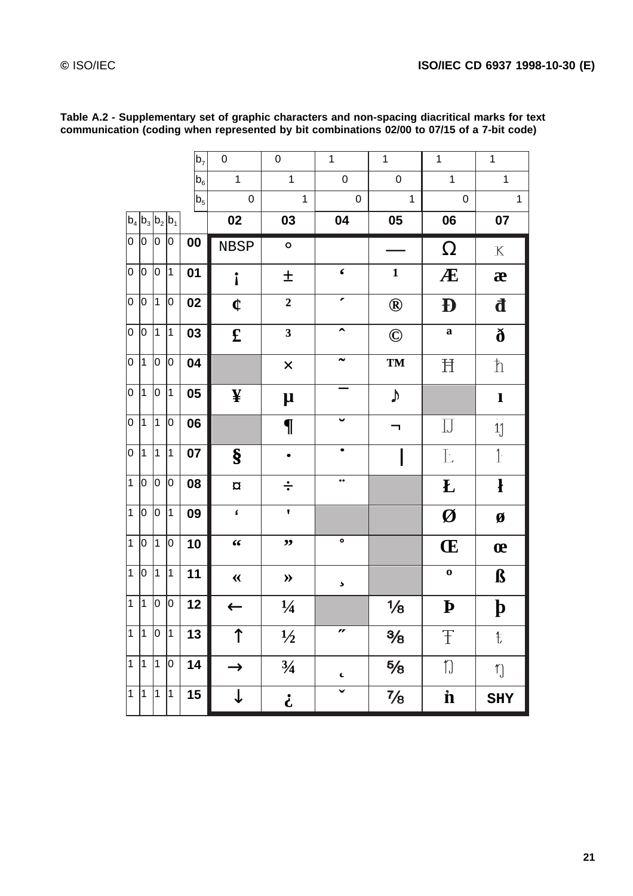|                |                |             |                         | $b_7$   | $\mathbf 0$                                | $\mathbf 0$                | $\mathbf{1}$          | $\mathbf{1}$    | $\mathbf{1}$       | $\mathbf 1$               |
|----------------|----------------|-------------|-------------------------|---------|--------------------------------------------|----------------------------|-----------------------|-----------------|--------------------|---------------------------|
|                |                |             |                         | $b_6$   | $\mathbf{1}$                               | $\mathbf{1}$               | $\mathbf 0$           | $\mathbf 0$     | $\mathbf{1}$       | $\overline{1}$            |
|                |                |             |                         | $ b_5 $ | $\mathbf 0$                                | $\mathbf{1}$               | $\pmb{0}$             | $\mathbf{1}$    | $\mathbf 0$        | $\mathbf{1}$              |
|                |                |             | $b_4 b_3 b_2 b_1$       |         | 02                                         | 03                         | 04                    | 05              | 06                 | 07                        |
| 0              | 10             | 0           | 0                       | 00      | <b>NBSP</b>                                | $\circ$                    |                       |                 | $\Omega$           | $\mathbf X$               |
| 0              | 10             | l0          | 1                       | 01      | $\mathbf{i}$                               | 土                          | $\pmb{\zeta}$         | $\mathbf{1}$    | Æ                  | æ                         |
| $\overline{0}$ | 0              | 1           | 0                       | 02      | ¢                                          | $\mathbf{2}$               | ∕                     | $^{\circledR}$  | Đ                  | đ                         |
| $\overline{0}$ | 0              | $\vert$ 1   | $\overline{1}$          | 03      | $\mathbf f$                                | $\overline{\mathbf{3}}$    | $\hat{\phantom{a}}$   | $\odot$         | $\mathbf a$        | $\eth$                    |
| 0              | $\mathbf 1$    | 0           | 0                       | 04      |                                            | $\times$                   |                       | <b>TM</b>       | Ħ                  | $\boldsymbol{\hbar}$      |
| 0              | $\mathbf 1$    | 0           | $\overline{\mathbf{1}}$ | 05      | ¥                                          | $\mu$                      |                       | $\blacklozenge$ |                    | $\mathbf{l}$              |
| 0              | $\mathbf{1}$   | 1           | 0                       | 06      |                                            | $\P$                       |                       | ┑               | $\prod$            | $\overline{11}$           |
| 0              | $\mathbf 1$    | $\vert$ 1   | 1                       | 07      | $\S$                                       |                            |                       |                 | Ŀ                  | $1 -$                     |
| $\overline{1}$ | 0              | 0           | 0                       | 08      | $\overline{\alpha}$                        | $\frac{1}{\cdot}$          | $\bullet$ $\bullet$   |                 | $\bf{L}$           | $\mathbf{r}$              |
| $\mathbf{1}$   | 0              | 0           | 1                       | 09      | $\hat{\mathbf{f}}$                         | ,                          |                       |                 | Ø                  | Ø                         |
| $\mathbf{1}$   | 0              | 1           | 10                      | 10      | $\textbf{\textit{6}}\,\textbf{\textit{6}}$ | ,,                         | ٠                     |                 | Œ                  | œ                         |
| $\mathbf{1}$   | 0              | 1           | $\mathbf 1$             | 11      | $\ll$                                      | $\gg$                      | $\blacktriangleright$ |                 | $\bf{0}$           | $\boldsymbol{\beta}$      |
| $\mathbf{1}$   | $\mathbf 1$    | 0           | 0                       | 12      | $\leftarrow$                               | $\frac{1}{4}$              |                       | $\frac{1}{8}$   | $\mathbf{p}$       | $\boldsymbol{\mathsf{b}}$ |
| $\mathbf{1}$   | $\vert$ 1      | $ 0\rangle$ | 1                       | 13      | ↑                                          | $\frac{1}{2}$              | n                     | $\frac{3}{8}$   | Ŧ                  | ŧ                         |
| $\mathbf{1}$   | $\mathbf{1}$   | 1           | $ 0\rangle$             | 14      | $\rightarrow$                              | $\frac{3}{4}$              | L                     | $\frac{5}{8}$   | $\eta$             | $\eta$                    |
| $\mathbf{1}$   | $\overline{1}$ | $\vert$ 1   | 1                       | 15      | ↓                                          | $\boldsymbol{\dot{\iota}}$ | v                     | $\frac{7}{8}$   | $\mathbf{\dot{n}}$ | <b>SHY</b>                |

**Table A.2 - Supplementary set of graphic characters and non-spacing diacritical marks for text communication (coding when represented by bit combinations 02/00 to 07/15 of a 7-bit code)**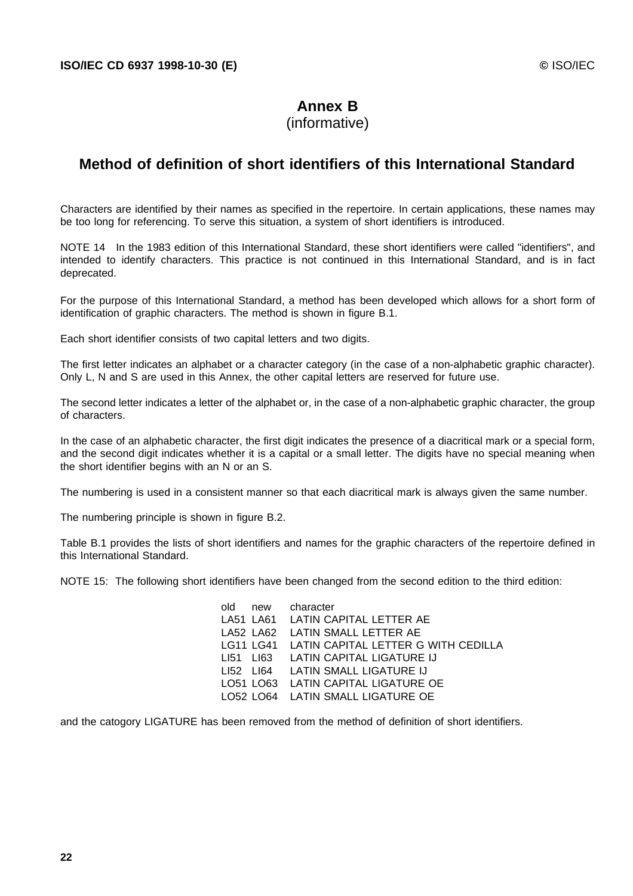# **Annex B**

### (informative)

# **Method of definition of short identifiers of this International Standard**

Characters are identified by their names as specified in the repertoire. In certain applications, these names may be too long for referencing. To serve this situation, a system of short identifiers is introduced.

NOTE 14 In the 1983 edition of this International Standard, these short identifiers were called "identifiers", and intended to identify characters. This practice is not continued in this International Standard, and is in fact deprecated.

For the purpose of this International Standard, a method has been developed which allows for a short form of identification of graphic characters. The method is shown in figure B.1.

Each short identifier consists of two capital letters and two digits.

The first letter indicates an alphabet or a character category (in the case of a non-alphabetic graphic character). Only L, N and S are used in this Annex, the other capital letters are reserved for future use.

The second letter indicates a letter of the alphabet or, in the case of a non-alphabetic graphic character, the group of characters.

In the case of an alphabetic character, the first digit indicates the presence of a diacritical mark or a special form, and the second digit indicates whether it is a capital or a small letter. The digits have no special meaning when the short identifier begins with an N or an S.

The numbering is used in a consistent manner so that each diacritical mark is always given the same number.

The numbering principle is shown in figure B.2.

Table B.1 provides the lists of short identifiers and names for the graphic characters of the repertoire defined in this International Standard.

NOTE 15: The following short identifiers have been changed from the second edition to the third edition:

|  | old new character                             |
|--|-----------------------------------------------|
|  | LA51 LA61 LATIN CAPITAL LETTER AE             |
|  | LA52 LA62 LATIN SMALL LETTER AE               |
|  | LG11 LG41 LATIN CAPITAL LETTER G WITH CEDILLA |
|  | LI51 LI63 LATIN CAPITAL LIGATURE IJ           |
|  | LI52 LI64 LATIN SMALL LIGATURE IJ             |
|  | LO51 LO63 LATIN CAPITAL LIGATURE OE           |
|  | LO52 LO64 LATIN SMALL LIGATURE OE             |

and the catogory LIGATURE has been removed from the method of definition of short identifiers.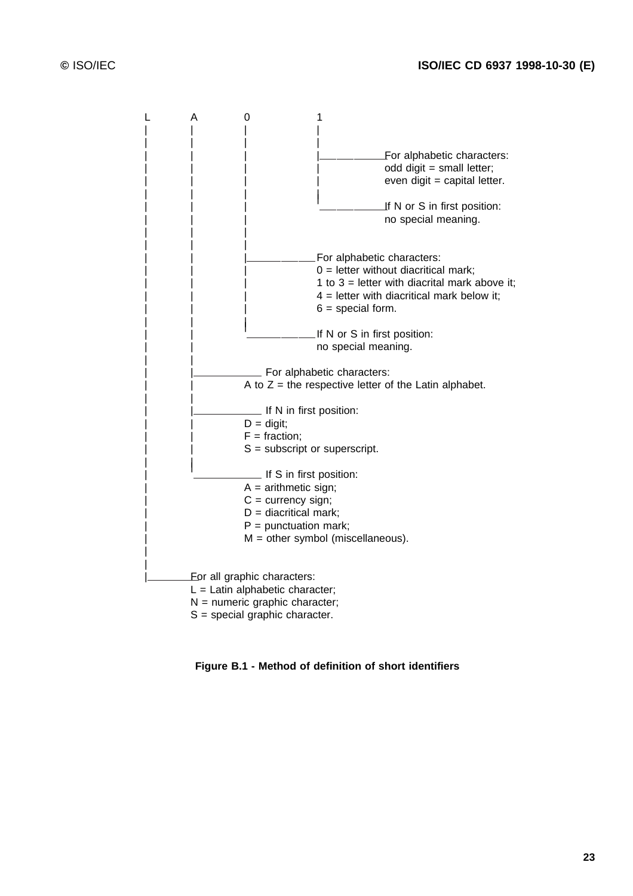

**Figure B.1 - Method of definition of short identifiers**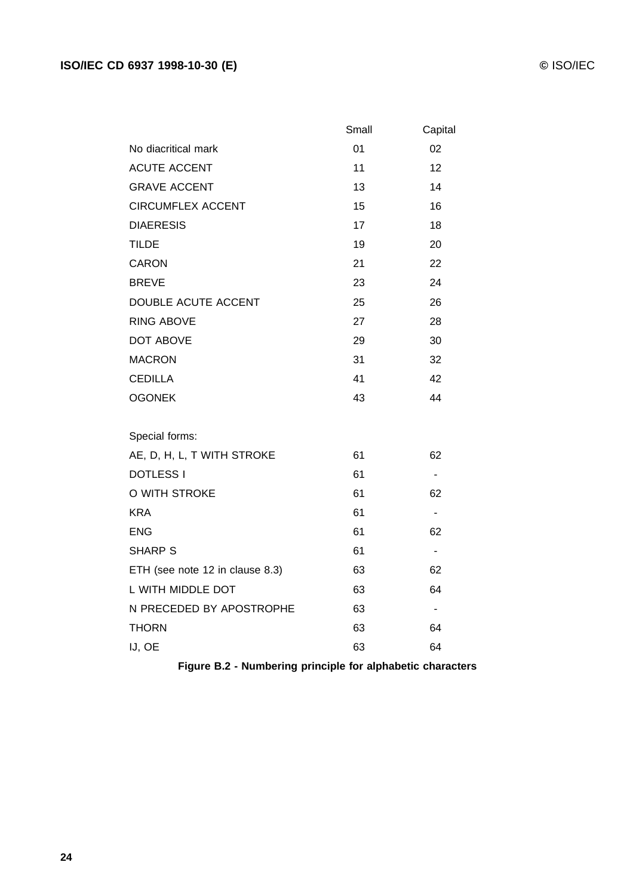|                                 | Small | Capital                      |
|---------------------------------|-------|------------------------------|
| No diacritical mark             | 01    | 02                           |
| <b>ACUTE ACCENT</b>             | 11    | 12                           |
| <b>GRAVE ACCENT</b>             | 13    | 14                           |
| <b>CIRCUMFLEX ACCENT</b>        | 15    | 16                           |
| <b>DIAERESIS</b>                | 17    | 18                           |
| <b>TILDE</b>                    | 19    | 20                           |
| <b>CARON</b>                    | 21    | 22                           |
| <b>BREVE</b>                    | 23    | 24                           |
| DOUBLE ACUTE ACCENT             | 25    | 26                           |
| <b>RING ABOVE</b>               | 27    | 28                           |
| <b>DOT ABOVE</b>                | 29    | 30                           |
| <b>MACRON</b>                   | 31    | 32                           |
| <b>CEDILLA</b>                  | 41    | 42                           |
| <b>OGONEK</b>                   | 43    | 44                           |
| Special forms:                  |       |                              |
| AE, D, H, L, T WITH STROKE      | 61    | 62                           |
| <b>DOTLESS I</b>                | 61    | $\overline{\phantom{a}}$     |
| O WITH STROKE                   | 61    | 62                           |
| <b>KRA</b>                      | 61    | $\overline{\phantom{a}}$     |
| <b>ENG</b>                      | 61    | 62                           |
| <b>SHARP S</b>                  | 61    | $\blacksquare$               |
| ETH (see note 12 in clause 8.3) | 63    | 62                           |
| L WITH MIDDLE DOT               | 63    | 64                           |
| N PRECEDED BY APOSTROPHE        | 63    | $\qquad \qquad \blacksquare$ |
| <b>THORN</b>                    | 63    | 64                           |
| IJ, OE                          | 63    | 64                           |

**Figure B.2 - Numbering principle for alphabetic characters**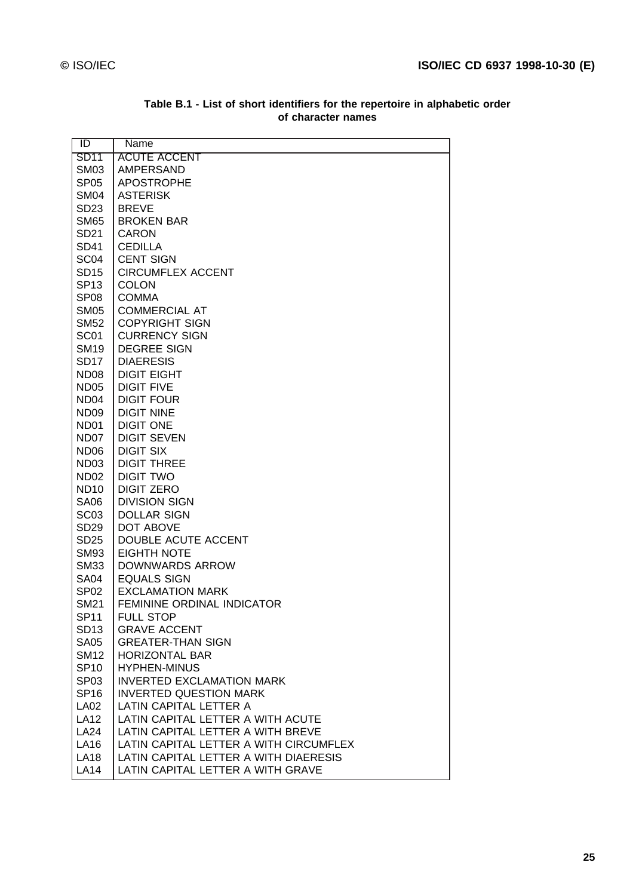| ID               | Name                                   |
|------------------|----------------------------------------|
| <b>SD11</b>      | <b>ACUTE ACCENT</b>                    |
| <b>SM03</b>      | <b>AMPERSAND</b>                       |
| SP <sub>05</sub> | <b>APOSTROPHE</b>                      |
| <b>SM04</b>      | <b>ASTERISK</b>                        |
| SD23             | <b>BREVE</b>                           |
| <b>SM65</b>      | <b>BROKEN BAR</b>                      |
| SD21             | <b>CARON</b>                           |
| <b>SD41</b>      | <b>CEDILLA</b>                         |
| SC <sub>04</sub> | <b>CENT SIGN</b>                       |
| <b>SD15</b>      | <b>CIRCUMFLEX ACCENT</b>               |
| SP13             | <b>COLON</b>                           |
| SP <sub>08</sub> | <b>COMMA</b>                           |
| <b>SM05</b>      | <b>COMMERCIAL AT</b>                   |
| <b>SM52</b>      | <b>COPYRIGHT SIGN</b>                  |
| SC <sub>01</sub> | <b>CURRENCY SIGN</b>                   |
| <b>SM19</b>      | <b>DEGREE SIGN</b>                     |
| <b>SD17</b>      | <b>DIAERESIS</b>                       |
| ND <sub>08</sub> | <b>DIGIT EIGHT</b>                     |
| <b>ND05</b>      | <b>DIGIT FIVE</b>                      |
| ND <sub>04</sub> | <b>DIGIT FOUR</b>                      |
| ND <sub>09</sub> | <b>DIGIT NINE</b>                      |
| ND <sub>01</sub> | <b>DIGIT ONE</b>                       |
| ND07             | <b>DIGIT SEVEN</b>                     |
| ND <sub>06</sub> | <b>DIGIT SIX</b>                       |
| ND <sub>03</sub> | <b>DIGIT THREE</b>                     |
| ND <sub>02</sub> | <b>DIGIT TWO</b>                       |
| <b>ND10</b>      | <b>DIGIT ZERO</b>                      |
| <b>SA06</b>      | <b>DIVISION SIGN</b>                   |
| SC <sub>03</sub> | <b>DOLLAR SIGN</b>                     |
| SD <sub>29</sub> | DOT ABOVE                              |
| <b>SD25</b>      | DOUBLE ACUTE ACCENT                    |
| <b>SM93</b>      | <b>EIGHTH NOTE</b>                     |
| <b>SM33</b>      | <b>DOWNWARDS ARROW</b>                 |
| <b>SA04</b>      | <b>EQUALS SIGN</b>                     |
| SP <sub>02</sub> | <b>EXCLAMATION MARK</b>                |
| <b>SM21</b>      | <b>FEMININE ORDINAL INDICATOR</b>      |
| <b>SP11</b>      | <b>FULL STOP</b>                       |
| <b>SD13</b>      | <b>GRAVE ACCENT</b>                    |
| <b>SA05</b>      | <b>GREATER-THAN SIGN</b>               |
| <b>SM12</b>      | <b>HORIZONTAL BAR</b>                  |
| <b>SP10</b>      | <b>HYPHEN-MINUS</b>                    |
| SP <sub>03</sub> | <b>INVERTED EXCLAMATION MARK</b>       |
| <b>SP16</b>      | <b>INVERTED QUESTION MARK</b>          |
| <b>LA02</b>      | LATIN CAPITAL LETTER A                 |
| <b>LA12</b>      | LATIN CAPITAL LETTER A WITH ACUTE      |
| <b>LA24</b>      | LATIN CAPITAL LETTER A WITH BREVE      |
| <b>LA16</b>      | LATIN CAPITAL LETTER A WITH CIRCUMFLEX |
| <b>LA18</b>      | LATIN CAPITAL LETTER A WITH DIAERESIS  |
| <b>LA14</b>      | LATIN CAPITAL LETTER A WITH GRAVE      |
|                  |                                        |

#### **Table B.1 - List of short identifiers for the repertoire in alphabetic order of character names**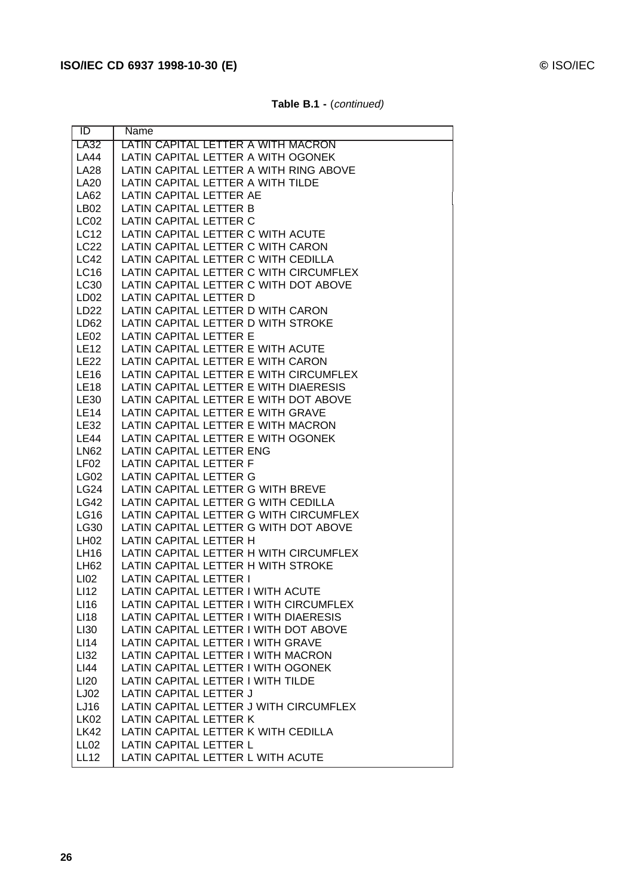| $\overline{1}$      | Name                                                                     |
|---------------------|--------------------------------------------------------------------------|
| LA32                | LATIN CAPITAL LETTER A WITH MACRON                                       |
| <b>LA44</b>         | LATIN CAPITAL LETTER A WITH OGONEK                                       |
| <b>LA28</b>         | LATIN CAPITAL LETTER A WITH RING ABOVE                                   |
| <b>LA20</b>         | LATIN CAPITAL LETTER A WITH TILDE                                        |
| LA62                | LATIN CAPITAL LETTER AE                                                  |
| LB <sub>02</sub>    | LATIN CAPITAL LETTER B                                                   |
| LC <sub>02</sub>    | LATIN CAPITAL LETTER C                                                   |
| <b>LC12</b>         | LATIN CAPITAL LETTER C WITH ACUTE                                        |
| <b>LC22</b>         | LATIN CAPITAL LETTER C WITH CARON                                        |
| <b>LC42</b>         | LATIN CAPITAL LETTER C WITH CEDILLA                                      |
| <b>LC16</b>         | LATIN CAPITAL LETTER C WITH CIRCUMFLEX                                   |
| LC30                | LATIN CAPITAL LETTER C WITH DOT ABOVE                                    |
| LD <sub>02</sub>    | LATIN CAPITAL LETTER D                                                   |
| LD22                | LATIN CAPITAL LETTER D WITH CARON                                        |
| LD <sub>62</sub>    | LATIN CAPITAL LETTER D WITH STROKE                                       |
| LE <sub>02</sub>    | LATIN CAPITAL LETTER E                                                   |
| <b>LE12</b>         | LATIN CAPITAL LETTER E WITH ACUTE                                        |
| <b>LE22</b>         | LATIN CAPITAL LETTER E WITH CARON                                        |
| <b>LE16</b>         | LATIN CAPITAL LETTER E WITH CIRCUMFLEX                                   |
| <b>LE18</b>         | LATIN CAPITAL LETTER E WITH DIAERESIS                                    |
| <b>LE30</b>         | LATIN CAPITAL LETTER E WITH DOT ABOVE                                    |
| <b>LE14</b>         | LATIN CAPITAL LETTER E WITH GRAVE                                        |
| <b>LE32</b>         | LATIN CAPITAL LETTER E WITH MACRON                                       |
| <b>LE44</b>         | LATIN CAPITAL LETTER E WITH OGONEK                                       |
| <b>LN62</b>         | LATIN CAPITAL LETTER ENG                                                 |
| LF <sub>02</sub>    | LATIN CAPITAL LETTER F                                                   |
| <b>LG02</b>         | LATIN CAPITAL LETTER G                                                   |
| <b>LG24</b>         | LATIN CAPITAL LETTER G WITH BREVE                                        |
| <b>LG42</b>         | LATIN CAPITAL LETTER G WITH CEDILLA                                      |
| <b>LG16</b>         | LATIN CAPITAL LETTER G WITH CIRCUMFLEX                                   |
| <b>LG30</b>         | LATIN CAPITAL LETTER G WITH DOT ABOVE                                    |
| <b>LH02</b>         | LATIN CAPITAL LETTER H                                                   |
| LH16                | LATIN CAPITAL LETTER H WITH CIRCUMFLEX                                   |
| LH62                | LATIN CAPITAL LETTER H WITH STROKE                                       |
| LI02                | <b>LATIN CAPITAL LETTER I</b>                                            |
| LI <sub>12</sub>    | LATIN CAPITAL LETTER I WITH ACUTE                                        |
| LI16                | LATIN CAPITAL LETTER I WITH CIRCUMFLEX                                   |
| LI18                | LATIN CAPITAL LETTER I WITH DIAERESIS                                    |
| LI30                | LATIN CAPITAL LETTER I WITH DOT ABOVE                                    |
| LI14                | LATIN CAPITAL LETTER I WITH GRAVE                                        |
| LI32<br>LI44        | LATIN CAPITAL LETTER I WITH MACRON<br>LATIN CAPITAL LETTER I WITH OGONEK |
| <b>LI20</b>         | LATIN CAPITAL LETTER I WITH TILDE                                        |
| LJ02                | LATIN CAPITAL LETTER J                                                   |
|                     | LATIN CAPITAL LETTER J WITH CIRCUMFLEX                                   |
| LJ16<br><b>LK02</b> | <b>LATIN CAPITAL LETTER K</b>                                            |
| <b>LK42</b>         | LATIN CAPITAL LETTER K WITH CEDILLA                                      |
| LL <sub>02</sub>    | LATIN CAPITAL LETTER L                                                   |
| <b>LL12</b>         | LATIN CAPITAL LETTER L WITH ACUTE                                        |
|                     |                                                                          |

**Table B.1 -** (continued)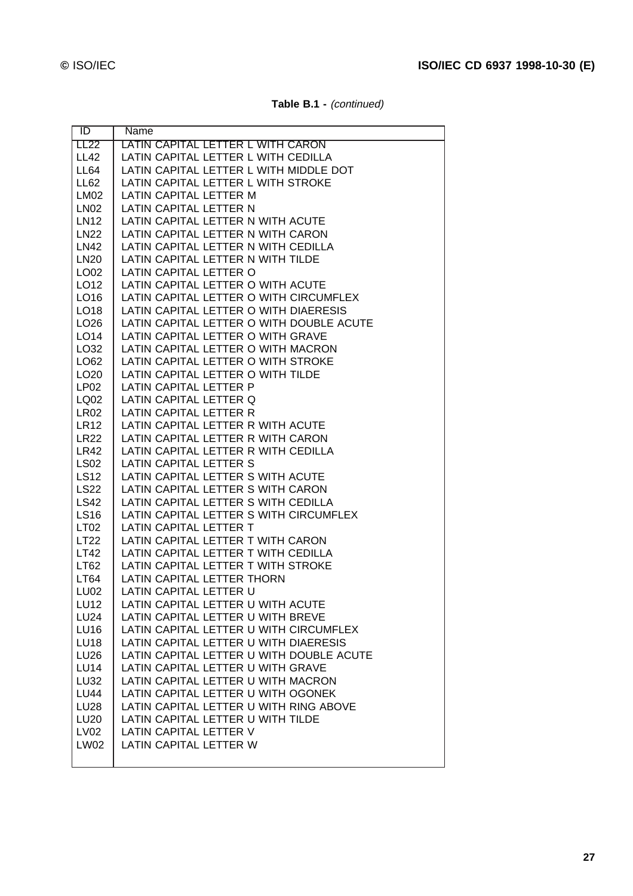| Table B.1 - (continued) |  |
|-------------------------|--|
|-------------------------|--|

| ID               | Name                                     |
|------------------|------------------------------------------|
| <b>LL22</b>      | <u>LATIN CAPITAL LETTER L WITH CARON</u> |
| <b>LL42</b>      | LATIN CAPITAL LETTER L WITH CEDILLA      |
| LL64             | LATIN CAPITAL LETTER L WITH MIDDLE DOT   |
| LL62             | LATIN CAPITAL LETTER L WITH STROKE       |
| <b>LM02</b>      | LATIN CAPITAL LETTER M                   |
| <b>LN02</b>      | LATIN CAPITAL LETTER N                   |
| LN12             | LATIN CAPITAL LETTER N WITH ACUTE        |
| <b>LN22</b>      | LATIN CAPITAL LETTER N WITH CARON        |
| LN42             | LATIN CAPITAL LETTER N WITH CEDILLA      |
| LN <sub>20</sub> | LATIN CAPITAL LETTER N WITH TILDE        |
| LO02             | LATIN CAPITAL LETTER O                   |
| LO12             | LATIN CAPITAL LETTER O WITH ACUTE        |
| LO16             | LATIN CAPITAL LETTER O WITH CIRCUMFLEX   |
| LO18             | LATIN CAPITAL LETTER O WITH DIAERESIS    |
| LO <sub>26</sub> | LATIN CAPITAL LETTER O WITH DOUBLE ACUTE |
| LO14             | LATIN CAPITAL LETTER O WITH GRAVE        |
| LO32             | LATIN CAPITAL LETTER O WITH MACRON       |
| LO62             | LATIN CAPITAL LETTER O WITH STROKE       |
| LO <sub>20</sub> | LATIN CAPITAL LETTER O WITH TILDE        |
| LP <sub>02</sub> | LATIN CAPITAL LETTER P                   |
| LQ02             | LATIN CAPITAL LETTER Q                   |
| <b>LR02</b>      | LATIN CAPITAL LETTER R                   |
| <b>LR12</b>      | LATIN CAPITAL LETTER R WITH ACUTE        |
| <b>LR22</b>      | LATIN CAPITAL LETTER R WITH CARON        |
| LR42             | LATIN CAPITAL LETTER R WITH CEDILLA      |
| <b>LS02</b>      | LATIN CAPITAL LETTER S                   |
| <b>LS12</b>      | LATIN CAPITAL LETTER S WITH ACUTE        |
| <b>LS22</b>      | LATIN CAPITAL LETTER S WITH CARON        |
| <b>LS42</b>      | LATIN CAPITAL LETTER S WITH CEDILLA      |
| <b>LS16</b>      | LATIN CAPITAL LETTER S WITH CIRCUMFLEX   |
| LT <sub>02</sub> | LATIN CAPITAL LETTER T                   |
| LT22             | LATIN CAPITAL LETTER T WITH CARON        |
| LT42             | LATIN CAPITAL LETTER T WITH CEDILLA      |
| LT <sub>62</sub> | LATIN CAPITAL LETTER T WITH STROKE       |
| LT64             | LATIN CAPITAL LETTER THORN               |
| <b>LU02</b>      | LATIN CAPITAL LETTER U                   |
| <b>LU12</b>      | LATIN CAPITAL LETTER U WITH ACUTE        |
| <b>LU24</b>      | LATIN CAPITAL LETTER U WITH BREVE        |
| <b>LU16</b>      | LATIN CAPITAL LETTER U WITH CIRCUMFLEX   |
| <b>LU18</b>      | LATIN CAPITAL LETTER U WITH DIAERESIS    |
| <b>LU26</b>      | LATIN CAPITAL LETTER U WITH DOUBLE ACUTE |
| <b>LU14</b>      | LATIN CAPITAL LETTER U WITH GRAVE        |
| <b>LU32</b>      | LATIN CAPITAL LETTER U WITH MACRON       |
| <b>LU44</b>      | LATIN CAPITAL LETTER U WITH OGONEK       |
| <b>LU28</b>      | LATIN CAPITAL LETTER U WITH RING ABOVE   |
| <b>LU20</b>      | LATIN CAPITAL LETTER U WITH TILDE        |
| LV02             | LATIN CAPITAL LETTER V                   |
| <b>LW02</b>      | LATIN CAPITAL LETTER W                   |
|                  |                                          |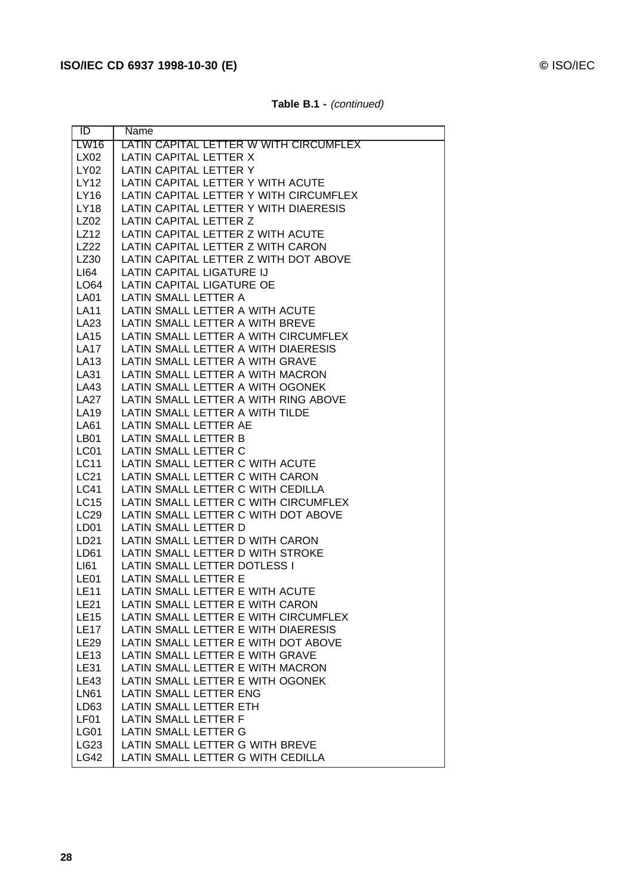ID Name

| AL LETTER W WITH CIRCUMFLEX   |  |
|-------------------------------|--|
| AL LETTER X                   |  |
| AL LETTER Y                   |  |
| AL LETTER Y WITH ACUTE        |  |
| AL LETTER Y WITH CIRCLIMELEX. |  |

**Table B.1 -** (continued)

| <b>LW16</b>      | <u>LATIN CAPITAL LETTER W WITH CIRCUMFLEX</u> |
|------------------|-----------------------------------------------|
| LX02             | LATIN CAPITAL LETTER X                        |
| LY02             | LATIN CAPITAL LETTER Y                        |
| LY12             | LATIN CAPITAL LETTER Y WITH ACUTE             |
| LY16             | LATIN CAPITAL LETTER Y WITH CIRCUMFLEX        |
| <b>LY18</b>      | LATIN CAPITAL LETTER Y WITH DIAERESIS         |
| LZ02             | LATIN CAPITAL LETTER Z                        |
| LZ12             | LATIN CAPITAL LETTER Z WITH ACUTE             |
| <b>LZ22</b>      | LATIN CAPITAL LETTER Z WITH CARON             |
| LZ30             | LATIN CAPITAL LETTER Z WITH DOT ABOVE         |
| LI64             | LATIN CAPITAL LIGATURE IJ                     |
| LO64             | LATIN CAPITAL LIGATURE OE                     |
| <b>LA01</b>      | LATIN SMALL LETTER A                          |
| <b>LA11</b>      | LATIN SMALL LETTER A WITH ACUTE               |
| LA23             | LATIN SMALL LETTER A WITH BREVE               |
| <b>LA15</b>      | LATIN SMALL LETTER A WITH CIRCUMFLEX          |
| <b>LA17</b>      | LATIN SMALL LETTER A WITH DIAERESIS           |
| <b>LA13</b>      | LATIN SMALL LETTER A WITH GRAVE               |
| LA31             | LATIN SMALL LETTER A WITH MACRON              |
| LA43             | LATIN SMALL LETTER A WITH OGONEK              |
| <b>LA27</b>      | LATIN SMALL LETTER A WITH RING ABOVE          |
| <b>LA19</b>      | LATIN SMALL LETTER A WITH TILDE               |
| <b>LA61</b>      | LATIN SMALL LETTER AE                         |
| <b>LB01</b>      | LATIN SMALL LETTER B                          |
| LC01             | LATIN SMALL LETTER C                          |
| <b>LC11</b>      | LATIN SMALL LETTER C WITH ACUTE               |
| <b>LC21</b>      | LATIN SMALL LETTER C WITH CARON               |
| <b>LC41</b>      | LATIN SMALL LETTER C WITH CEDILLA             |
| <b>LC15</b>      | LATIN SMALL LETTER C WITH CIRCUMFLEX          |
| <b>LC29</b>      | LATIN SMALL LETTER C WITH DOT ABOVE           |
| LD <sub>01</sub> | LATIN SMALL LETTER D                          |
| LD21             | LATIN SMALL LETTER D WITH CARON               |
| LD61             | LATIN SMALL LETTER D WITH STROKE              |
| LI61             | LATIN SMALL LETTER DOTLESS I                  |
| LE01             | <b>LATIN SMALL LETTER E</b>                   |
| <b>LE11</b>      | LATIN SMALL LETTER E WITH ACUTE               |
| <b>LE21</b>      | LATIN SMALL LETTER E WITH CARON               |
| <b>LE15</b>      | LATIN SMALL LETTER E WITH CIRCUMFLEX          |
| <b>LE17</b>      | LATIN SMALL LETTER E WITH DIAERESIS           |
| <b>LE29</b>      | LATIN SMALL LETTER E WITH DOT ABOVE           |
| <b>LE13</b>      | LATIN SMALL LETTER E WITH GRAVE               |
| <b>LE31</b>      | LATIN SMALL LETTER E WITH MACRON              |
| <b>LE43</b>      | LATIN SMALL LETTER E WITH OGONEK              |
| <b>LN61</b>      | LATIN SMALL LETTER ENG                        |
| LD63             | LATIN SMALL LETTER ETH                        |
| LF01             | LATIN SMALL LETTER F                          |
| <b>LG01</b>      | LATIN SMALL LETTER G                          |
| LG23             | LATIN SMALL LETTER G WITH BREVE               |
| <b>LG42</b>      | LATIN SMALL LETTER G WITH CEDILLA             |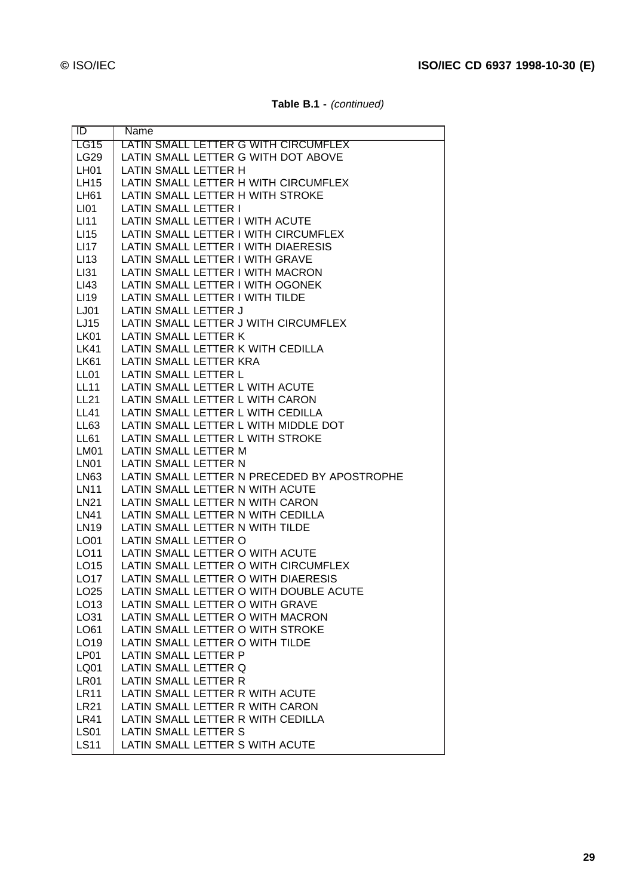| Table B.1 - (continued) |  |
|-------------------------|--|
|-------------------------|--|

| ID                  | Name                                                                           |
|---------------------|--------------------------------------------------------------------------------|
| LG15                | LATIN SMALL LETTER G WITH CIRCUMFLEX                                           |
| LG29                | LATIN SMALL LETTER G WITH DOT ABOVE                                            |
| LH <sub>01</sub>    | LATIN SMALL LETTER H                                                           |
| <b>LH15</b>         | LATIN SMALL LETTER H WITH CIRCUMFLEX                                           |
| LH61                | LATIN SMALL LETTER H WITH STROKE                                               |
| LI <sub>01</sub>    | LATIN SMALL LETTER I                                                           |
| LI11                | LATIN SMALL LETTER I WITH ACUTE                                                |
| LI <sub>15</sub>    | LATIN SMALL LETTER I WITH CIRCUMFLEX                                           |
| LI17                | LATIN SMALL LETTER I WITH DIAERESIS                                            |
| LI <sub>13</sub>    | LATIN SMALL LETTER I WITH GRAVE                                                |
| LI31                | LATIN SMALL LETTER I WITH MACRON                                               |
| LI43                | LATIN SMALL LETTER I WITH OGONEK                                               |
| LI <sub>19</sub>    | LATIN SMALL LETTER I WITH TILDE                                                |
| LJ01                | LATIN SMALL LETTER J                                                           |
| LJ15                | LATIN SMALL LETTER J WITH CIRCUMFLEX                                           |
| <b>LK01</b>         | LATIN SMALL LETTER K                                                           |
| <b>LK41</b>         | LATIN SMALL LETTER K WITH CEDILLA                                              |
| <b>LK61</b>         | LATIN SMALL LETTER KRA                                                         |
| LL <sub>01</sub>    | LATIN SMALL LETTER L                                                           |
| <b>LL11</b>         | LATIN SMALL LETTER L WITH ACUTE                                                |
| <b>LL21</b>         | LATIN SMALL LETTER L WITH CARON                                                |
| <b>LL41</b>         | LATIN SMALL LETTER L WITH CEDILLA                                              |
| LL63                | LATIN SMALL LETTER L WITH MIDDLE DOT                                           |
| LL61                | LATIN SMALL LETTER L WITH STROKE                                               |
| <b>LM01</b>         | LATIN SMALL LETTER M                                                           |
| <b>LN01</b>         | LATIN SMALL LETTER N                                                           |
| LN63<br><b>LN11</b> | LATIN SMALL LETTER N PRECEDED BY APOSTROPHE<br>LATIN SMALL LETTER N WITH ACUTE |
| LN21                | LATIN SMALL LETTER N WITH CARON                                                |
| LN41                | LATIN SMALL LETTER N WITH CEDILLA                                              |
| LN19                | LATIN SMALL LETTER N WITH TILDE                                                |
| LO01                | LATIN SMALL LETTER O                                                           |
| LO11                | LATIN SMALL LETTER O WITH ACUTE                                                |
| LO15                | LATIN SMALL LETTER O WITH CIRCUMFLEX                                           |
| LO17                | LATIN SMALL LETTER O WITH DIAERESIS                                            |
| LO <sub>25</sub>    | LATIN SMALL LETTER O WITH DOUBLE ACUTE                                         |
| LO13                | LATIN SMALL LETTER O WITH GRAVE                                                |
| LO31                | LATIN SMALL LETTER O WITH MACRON                                               |
| LO61                | LATIN SMALL LETTER O WITH STROKE                                               |
| LO19                | LATIN SMALL LETTER O WITH TILDE                                                |
| LP01                | LATIN SMALL LETTER P                                                           |
| LQ01                | LATIN SMALL LETTER Q                                                           |
| LR01                | LATIN SMALL LETTER R                                                           |
| <b>LR11</b>         | LATIN SMALL LETTER R WITH ACUTE                                                |
| <b>LR21</b>         | LATIN SMALL LETTER R WITH CARON                                                |
| <b>LR41</b>         | LATIN SMALL LETTER R WITH CEDILLA                                              |
| <b>LS01</b>         | LATIN SMALL LETTER S                                                           |
| <b>LS11</b>         | LATIN SMALL LETTER S WITH ACUTE                                                |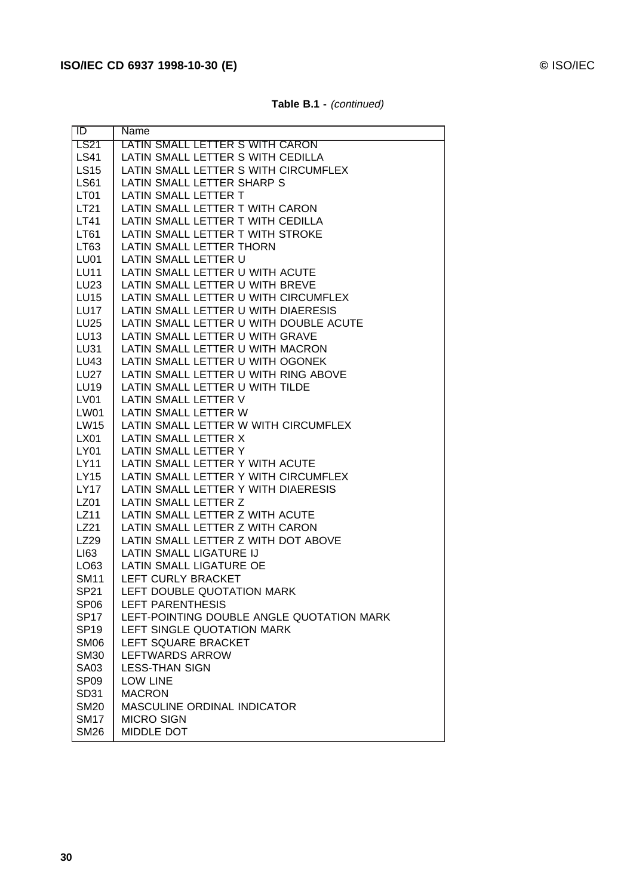| $\overline{1}$ D | Name                                      |
|------------------|-------------------------------------------|
| <b>LS21</b>      | LATIN SMALL LETTER S WITH CARON           |
| <b>LS41</b>      | LATIN SMALL LETTER S WITH CEDILLA         |
| <b>LS15</b>      | LATIN SMALL LETTER S WITH CIRCUMFLEX      |
| <b>LS61</b>      | LATIN SMALL LETTER SHARP S                |
| LT01             | LATIN SMALL LETTER T                      |
| LT21             | LATIN SMALL LETTER T WITH CARON           |
| LT41             | LATIN SMALL LETTER T WITH CEDILLA         |
| LT61             | LATIN SMALL LETTER T WITH STROKE          |
| LT63             | LATIN SMALL LETTER THORN                  |
| LU01             | LATIN SMALL LETTER U                      |
| <b>LU11</b>      | LATIN SMALL LETTER U WITH ACUTE           |
| LU23             | LATIN SMALL LETTER U WITH BREVE           |
| <b>LU15</b>      | LATIN SMALL LETTER U WITH CIRCUMFLEX      |
| LU17             | LATIN SMALL LETTER U WITH DIAERESIS       |
| <b>LU25</b>      | LATIN SMALL LETTER U WITH DOUBLE ACUTE    |
| <b>LU13</b>      | LATIN SMALL LETTER U WITH GRAVE           |
| <b>LU31</b>      | LATIN SMALL LETTER U WITH MACRON          |
| LU43             | LATIN SMALL LETTER U WITH OGONEK          |
| <b>LU27</b>      | LATIN SMALL LETTER U WITH RING ABOVE      |
| <b>LU19</b>      | LATIN SMALL LETTER U WITH TILDE           |
| LV01             | LATIN SMALL LETTER V                      |
| LW01             | LATIN SMALL LETTER W                      |
| <b>LW15</b>      | LATIN SMALL LETTER W WITH CIRCUMFLEX      |
| LX01             | LATIN SMALL LETTER X                      |
| <b>LY01</b>      | LATIN SMALL LETTER Y                      |
| LY11             | LATIN SMALL LETTER Y WITH ACUTE           |
| <b>LY15</b>      | LATIN SMALL LETTER Y WITH CIRCUMFLEX      |
| <b>LY17</b>      | LATIN SMALL LETTER Y WITH DIAERESIS       |
| LZ01             | LATIN SMALL LETTER Z                      |
| LZ11             | LATIN SMALL LETTER Z WITH ACUTE           |
| LZ21             | LATIN SMALL LETTER Z WITH CARON           |
| LZ29             | LATIN SMALL LETTER Z WITH DOT ABOVE       |
| LI63             | LATIN SMALL LIGATURE IJ                   |
| LO63             | LATIN SMALL LIGATURE OE                   |
| <b>SM11</b>      | LEFT CURLY BRACKET                        |
| <b>SP21</b>      | LEFT DOUBLE QUOTATION MARK                |
| SP <sub>06</sub> | LEFT PARENTHESIS                          |
| <b>SP17</b>      | LEFT-POINTING DOUBLE ANGLE QUOTATION MARK |
| <b>SP19</b>      | LEFT SINGLE QUOTATION MARK                |
| <b>SM06</b>      | LEFT SQUARE BRACKET                       |
| <b>SM30</b>      | <b>LEFTWARDS ARROW</b>                    |
| <b>SA03</b>      | <b>LESS-THAN SIGN</b>                     |
| SP <sub>09</sub> | <b>LOW LINE</b>                           |
| SD31             | <b>MACRON</b>                             |
| <b>SM20</b>      | <b>MASCULINE ORDINAL INDICATOR</b>        |
| <b>SM17</b>      | <b>MICRO SIGN</b>                         |
| <b>SM26</b>      | MIDDLE DOT                                |

| Table B.1 - (continued) |  |
|-------------------------|--|
|-------------------------|--|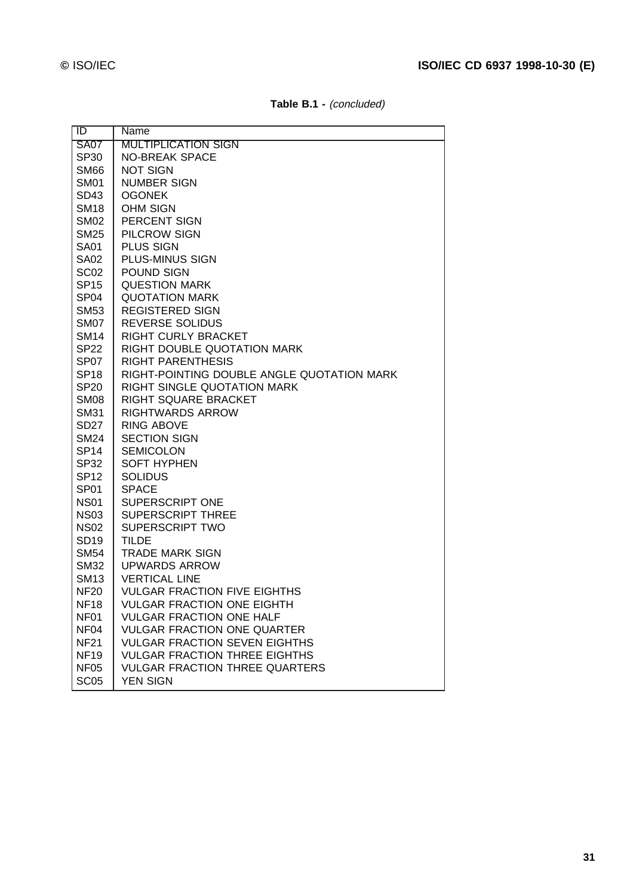| <b>SA07</b><br><b>MULTIPLICATION SIGN</b><br><b>NO-BREAK SPACE</b><br>SP30<br><b>NOT SIGN</b><br><b>SM66</b><br><b>NUMBER SIGN</b><br><b>SM01</b><br><b>OGONEK</b><br>SD43<br><b>OHM SIGN</b><br><b>SM18</b><br>PERCENT SIGN<br><b>SM02</b><br>PILCROW SIGN<br><b>SM25</b><br>PLUS SIGN<br><b>SA01</b><br>PLUS-MINUS SIGN<br><b>SA02</b><br>SC <sub>02</sub><br>POUND SIGN<br><b>SP15</b><br><b>QUESTION MARK</b><br><b>QUOTATION MARK</b><br>SP <sub>04</sub><br><b>REGISTERED SIGN</b><br><b>SM53</b><br><b>REVERSE SOLIDUS</b><br><b>SM07</b><br>RIGHT CURLY BRACKET<br><b>SM14</b><br>RIGHT DOUBLE QUOTATION MARK<br>SP22<br><b>RIGHT PARENTHESIS</b><br>SP <sub>07</sub><br>RIGHT-POINTING DOUBLE ANGLE QUOTATION MARK<br><b>SP18</b><br>RIGHT SINGLE QUOTATION MARK<br><b>SP20</b><br>RIGHT SQUARE BRACKET<br><b>SM08</b><br><b>RIGHTWARDS ARROW</b><br><b>SM31</b><br><b>RING ABOVE</b><br>SD <sub>27</sub><br><b>SECTION SIGN</b><br><b>SM24</b><br><b>SEMICOLON</b><br>SP <sub>14</sub><br><b>SOFT HYPHEN</b><br><b>SP32</b><br><b>SOLIDUS</b><br><b>SP12</b><br><b>SPACE</b><br>SP <sub>01</sub><br>SUPERSCRIPT ONE<br><b>NS01</b><br><b>SUPERSCRIPT THREE</b><br><b>NS03</b><br><b>SUPERSCRIPT TWO</b><br><b>NS02</b><br><b>TILDE</b><br><b>SD19</b><br><b>TRADE MARK SIGN</b><br><b>SM54</b><br><b>UPWARDS ARROW</b><br><b>SM32</b><br><b>VERTICAL LINE</b><br><b>SM13</b><br><b>VULGAR FRACTION FIVE EIGHTHS</b><br><b>NF20</b><br><b>NF18</b><br><b>VULGAR FRACTION ONE EIGHTH</b><br><b>VULGAR FRACTION ONE HALF</b><br>NF01<br><b>VULGAR FRACTION ONE QUARTER</b><br>NF <sub>04</sub><br><b>VULGAR FRACTION SEVEN EIGHTHS</b><br><b>NF21</b><br><b>VULGAR FRACTION THREE EIGHTHS</b><br><b>NF19</b><br><b>VULGAR FRACTION THREE QUARTERS</b><br>NF <sub>05</sub><br><b>SC05</b><br><b>YEN SIGN</b> | ID | Name |
|--------------------------------------------------------------------------------------------------------------------------------------------------------------------------------------------------------------------------------------------------------------------------------------------------------------------------------------------------------------------------------------------------------------------------------------------------------------------------------------------------------------------------------------------------------------------------------------------------------------------------------------------------------------------------------------------------------------------------------------------------------------------------------------------------------------------------------------------------------------------------------------------------------------------------------------------------------------------------------------------------------------------------------------------------------------------------------------------------------------------------------------------------------------------------------------------------------------------------------------------------------------------------------------------------------------------------------------------------------------------------------------------------------------------------------------------------------------------------------------------------------------------------------------------------------------------------------------------------------------------------------------------------------------------------------------------------------------------------------------------------------------------------------------------------------------------|----|------|
|                                                                                                                                                                                                                                                                                                                                                                                                                                                                                                                                                                                                                                                                                                                                                                                                                                                                                                                                                                                                                                                                                                                                                                                                                                                                                                                                                                                                                                                                                                                                                                                                                                                                                                                                                                                                                    |    |      |
|                                                                                                                                                                                                                                                                                                                                                                                                                                                                                                                                                                                                                                                                                                                                                                                                                                                                                                                                                                                                                                                                                                                                                                                                                                                                                                                                                                                                                                                                                                                                                                                                                                                                                                                                                                                                                    |    |      |
|                                                                                                                                                                                                                                                                                                                                                                                                                                                                                                                                                                                                                                                                                                                                                                                                                                                                                                                                                                                                                                                                                                                                                                                                                                                                                                                                                                                                                                                                                                                                                                                                                                                                                                                                                                                                                    |    |      |
|                                                                                                                                                                                                                                                                                                                                                                                                                                                                                                                                                                                                                                                                                                                                                                                                                                                                                                                                                                                                                                                                                                                                                                                                                                                                                                                                                                                                                                                                                                                                                                                                                                                                                                                                                                                                                    |    |      |
|                                                                                                                                                                                                                                                                                                                                                                                                                                                                                                                                                                                                                                                                                                                                                                                                                                                                                                                                                                                                                                                                                                                                                                                                                                                                                                                                                                                                                                                                                                                                                                                                                                                                                                                                                                                                                    |    |      |
|                                                                                                                                                                                                                                                                                                                                                                                                                                                                                                                                                                                                                                                                                                                                                                                                                                                                                                                                                                                                                                                                                                                                                                                                                                                                                                                                                                                                                                                                                                                                                                                                                                                                                                                                                                                                                    |    |      |
|                                                                                                                                                                                                                                                                                                                                                                                                                                                                                                                                                                                                                                                                                                                                                                                                                                                                                                                                                                                                                                                                                                                                                                                                                                                                                                                                                                                                                                                                                                                                                                                                                                                                                                                                                                                                                    |    |      |
|                                                                                                                                                                                                                                                                                                                                                                                                                                                                                                                                                                                                                                                                                                                                                                                                                                                                                                                                                                                                                                                                                                                                                                                                                                                                                                                                                                                                                                                                                                                                                                                                                                                                                                                                                                                                                    |    |      |
|                                                                                                                                                                                                                                                                                                                                                                                                                                                                                                                                                                                                                                                                                                                                                                                                                                                                                                                                                                                                                                                                                                                                                                                                                                                                                                                                                                                                                                                                                                                                                                                                                                                                                                                                                                                                                    |    |      |
|                                                                                                                                                                                                                                                                                                                                                                                                                                                                                                                                                                                                                                                                                                                                                                                                                                                                                                                                                                                                                                                                                                                                                                                                                                                                                                                                                                                                                                                                                                                                                                                                                                                                                                                                                                                                                    |    |      |
|                                                                                                                                                                                                                                                                                                                                                                                                                                                                                                                                                                                                                                                                                                                                                                                                                                                                                                                                                                                                                                                                                                                                                                                                                                                                                                                                                                                                                                                                                                                                                                                                                                                                                                                                                                                                                    |    |      |
|                                                                                                                                                                                                                                                                                                                                                                                                                                                                                                                                                                                                                                                                                                                                                                                                                                                                                                                                                                                                                                                                                                                                                                                                                                                                                                                                                                                                                                                                                                                                                                                                                                                                                                                                                                                                                    |    |      |
|                                                                                                                                                                                                                                                                                                                                                                                                                                                                                                                                                                                                                                                                                                                                                                                                                                                                                                                                                                                                                                                                                                                                                                                                                                                                                                                                                                                                                                                                                                                                                                                                                                                                                                                                                                                                                    |    |      |
|                                                                                                                                                                                                                                                                                                                                                                                                                                                                                                                                                                                                                                                                                                                                                                                                                                                                                                                                                                                                                                                                                                                                                                                                                                                                                                                                                                                                                                                                                                                                                                                                                                                                                                                                                                                                                    |    |      |
|                                                                                                                                                                                                                                                                                                                                                                                                                                                                                                                                                                                                                                                                                                                                                                                                                                                                                                                                                                                                                                                                                                                                                                                                                                                                                                                                                                                                                                                                                                                                                                                                                                                                                                                                                                                                                    |    |      |
|                                                                                                                                                                                                                                                                                                                                                                                                                                                                                                                                                                                                                                                                                                                                                                                                                                                                                                                                                                                                                                                                                                                                                                                                                                                                                                                                                                                                                                                                                                                                                                                                                                                                                                                                                                                                                    |    |      |
|                                                                                                                                                                                                                                                                                                                                                                                                                                                                                                                                                                                                                                                                                                                                                                                                                                                                                                                                                                                                                                                                                                                                                                                                                                                                                                                                                                                                                                                                                                                                                                                                                                                                                                                                                                                                                    |    |      |
|                                                                                                                                                                                                                                                                                                                                                                                                                                                                                                                                                                                                                                                                                                                                                                                                                                                                                                                                                                                                                                                                                                                                                                                                                                                                                                                                                                                                                                                                                                                                                                                                                                                                                                                                                                                                                    |    |      |
|                                                                                                                                                                                                                                                                                                                                                                                                                                                                                                                                                                                                                                                                                                                                                                                                                                                                                                                                                                                                                                                                                                                                                                                                                                                                                                                                                                                                                                                                                                                                                                                                                                                                                                                                                                                                                    |    |      |
|                                                                                                                                                                                                                                                                                                                                                                                                                                                                                                                                                                                                                                                                                                                                                                                                                                                                                                                                                                                                                                                                                                                                                                                                                                                                                                                                                                                                                                                                                                                                                                                                                                                                                                                                                                                                                    |    |      |
|                                                                                                                                                                                                                                                                                                                                                                                                                                                                                                                                                                                                                                                                                                                                                                                                                                                                                                                                                                                                                                                                                                                                                                                                                                                                                                                                                                                                                                                                                                                                                                                                                                                                                                                                                                                                                    |    |      |
|                                                                                                                                                                                                                                                                                                                                                                                                                                                                                                                                                                                                                                                                                                                                                                                                                                                                                                                                                                                                                                                                                                                                                                                                                                                                                                                                                                                                                                                                                                                                                                                                                                                                                                                                                                                                                    |    |      |
|                                                                                                                                                                                                                                                                                                                                                                                                                                                                                                                                                                                                                                                                                                                                                                                                                                                                                                                                                                                                                                                                                                                                                                                                                                                                                                                                                                                                                                                                                                                                                                                                                                                                                                                                                                                                                    |    |      |
|                                                                                                                                                                                                                                                                                                                                                                                                                                                                                                                                                                                                                                                                                                                                                                                                                                                                                                                                                                                                                                                                                                                                                                                                                                                                                                                                                                                                                                                                                                                                                                                                                                                                                                                                                                                                                    |    |      |
|                                                                                                                                                                                                                                                                                                                                                                                                                                                                                                                                                                                                                                                                                                                                                                                                                                                                                                                                                                                                                                                                                                                                                                                                                                                                                                                                                                                                                                                                                                                                                                                                                                                                                                                                                                                                                    |    |      |
|                                                                                                                                                                                                                                                                                                                                                                                                                                                                                                                                                                                                                                                                                                                                                                                                                                                                                                                                                                                                                                                                                                                                                                                                                                                                                                                                                                                                                                                                                                                                                                                                                                                                                                                                                                                                                    |    |      |
|                                                                                                                                                                                                                                                                                                                                                                                                                                                                                                                                                                                                                                                                                                                                                                                                                                                                                                                                                                                                                                                                                                                                                                                                                                                                                                                                                                                                                                                                                                                                                                                                                                                                                                                                                                                                                    |    |      |
|                                                                                                                                                                                                                                                                                                                                                                                                                                                                                                                                                                                                                                                                                                                                                                                                                                                                                                                                                                                                                                                                                                                                                                                                                                                                                                                                                                                                                                                                                                                                                                                                                                                                                                                                                                                                                    |    |      |
|                                                                                                                                                                                                                                                                                                                                                                                                                                                                                                                                                                                                                                                                                                                                                                                                                                                                                                                                                                                                                                                                                                                                                                                                                                                                                                                                                                                                                                                                                                                                                                                                                                                                                                                                                                                                                    |    |      |
|                                                                                                                                                                                                                                                                                                                                                                                                                                                                                                                                                                                                                                                                                                                                                                                                                                                                                                                                                                                                                                                                                                                                                                                                                                                                                                                                                                                                                                                                                                                                                                                                                                                                                                                                                                                                                    |    |      |
|                                                                                                                                                                                                                                                                                                                                                                                                                                                                                                                                                                                                                                                                                                                                                                                                                                                                                                                                                                                                                                                                                                                                                                                                                                                                                                                                                                                                                                                                                                                                                                                                                                                                                                                                                                                                                    |    |      |
|                                                                                                                                                                                                                                                                                                                                                                                                                                                                                                                                                                                                                                                                                                                                                                                                                                                                                                                                                                                                                                                                                                                                                                                                                                                                                                                                                                                                                                                                                                                                                                                                                                                                                                                                                                                                                    |    |      |
|                                                                                                                                                                                                                                                                                                                                                                                                                                                                                                                                                                                                                                                                                                                                                                                                                                                                                                                                                                                                                                                                                                                                                                                                                                                                                                                                                                                                                                                                                                                                                                                                                                                                                                                                                                                                                    |    |      |
|                                                                                                                                                                                                                                                                                                                                                                                                                                                                                                                                                                                                                                                                                                                                                                                                                                                                                                                                                                                                                                                                                                                                                                                                                                                                                                                                                                                                                                                                                                                                                                                                                                                                                                                                                                                                                    |    |      |
|                                                                                                                                                                                                                                                                                                                                                                                                                                                                                                                                                                                                                                                                                                                                                                                                                                                                                                                                                                                                                                                                                                                                                                                                                                                                                                                                                                                                                                                                                                                                                                                                                                                                                                                                                                                                                    |    |      |
|                                                                                                                                                                                                                                                                                                                                                                                                                                                                                                                                                                                                                                                                                                                                                                                                                                                                                                                                                                                                                                                                                                                                                                                                                                                                                                                                                                                                                                                                                                                                                                                                                                                                                                                                                                                                                    |    |      |
|                                                                                                                                                                                                                                                                                                                                                                                                                                                                                                                                                                                                                                                                                                                                                                                                                                                                                                                                                                                                                                                                                                                                                                                                                                                                                                                                                                                                                                                                                                                                                                                                                                                                                                                                                                                                                    |    |      |
|                                                                                                                                                                                                                                                                                                                                                                                                                                                                                                                                                                                                                                                                                                                                                                                                                                                                                                                                                                                                                                                                                                                                                                                                                                                                                                                                                                                                                                                                                                                                                                                                                                                                                                                                                                                                                    |    |      |
|                                                                                                                                                                                                                                                                                                                                                                                                                                                                                                                                                                                                                                                                                                                                                                                                                                                                                                                                                                                                                                                                                                                                                                                                                                                                                                                                                                                                                                                                                                                                                                                                                                                                                                                                                                                                                    |    |      |
|                                                                                                                                                                                                                                                                                                                                                                                                                                                                                                                                                                                                                                                                                                                                                                                                                                                                                                                                                                                                                                                                                                                                                                                                                                                                                                                                                                                                                                                                                                                                                                                                                                                                                                                                                                                                                    |    |      |
|                                                                                                                                                                                                                                                                                                                                                                                                                                                                                                                                                                                                                                                                                                                                                                                                                                                                                                                                                                                                                                                                                                                                                                                                                                                                                                                                                                                                                                                                                                                                                                                                                                                                                                                                                                                                                    |    |      |
|                                                                                                                                                                                                                                                                                                                                                                                                                                                                                                                                                                                                                                                                                                                                                                                                                                                                                                                                                                                                                                                                                                                                                                                                                                                                                                                                                                                                                                                                                                                                                                                                                                                                                                                                                                                                                    |    |      |
|                                                                                                                                                                                                                                                                                                                                                                                                                                                                                                                                                                                                                                                                                                                                                                                                                                                                                                                                                                                                                                                                                                                                                                                                                                                                                                                                                                                                                                                                                                                                                                                                                                                                                                                                                                                                                    |    |      |

**Table B.1 -** (concluded)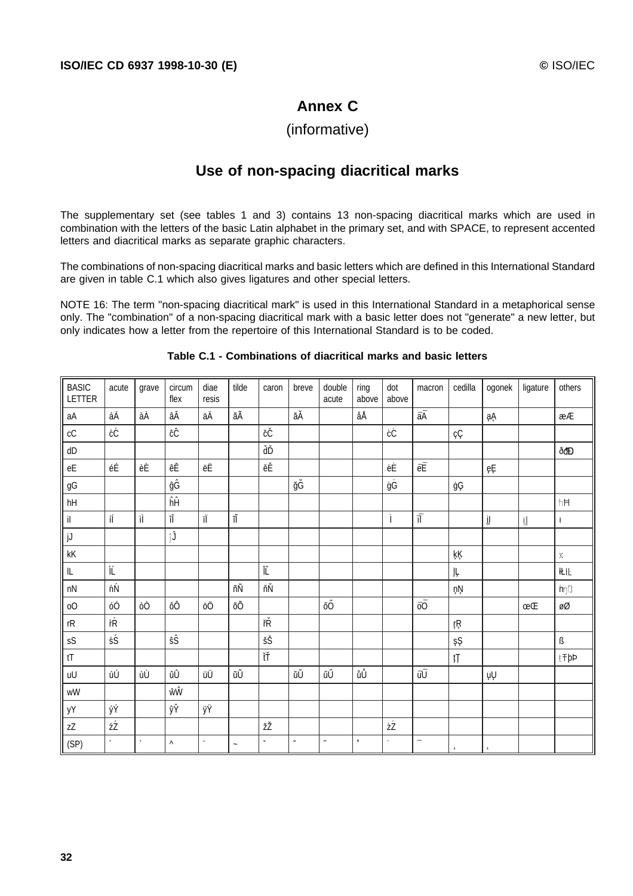# **Annex C**

# (informative)

# **Use of non-spacing diacritical marks**

The supplementary set (see tables 1 and 3) contains 13 non-spacing diacritical marks which are used in combination with the letters of the basic Latin alphabet in the primary set, and with SPACE, to represent accented letters and diacritical marks as separate graphic characters.

The combinations of non-spacing diacritical marks and basic letters which are defined in this International Standard are given in table C.1 which also gives ligatures and other special letters.

NOTE 16: The term "non-spacing diacritical mark" is used in this International Standard in a metaphorical sense only. The "combination" of a non-spacing diacritical mark with a basic letter does not "generate" a new letter, but only indicates how a letter from the repertoire of this International Standard is to be coded.

| <b>BASIC</b><br>LETTER                           | acute      | grave        | circum<br>flex        | diae<br>resis | tilde                | caron                | breve       | double<br>acute | ring<br>above | dot<br>above | macron                   | cedilla            | ogonek         | ligature        | others       |
|--------------------------------------------------|------------|--------------|-----------------------|---------------|----------------------|----------------------|-------------|-----------------|---------------|--------------|--------------------------|--------------------|----------------|-----------------|--------------|
| aA                                               | áÁ         | àÀ           | âÂ                    | äÄ            | ãÃ                   |                      | ăĂ          |                 | åÅ            |              | āĀ                       |                    | ąĄ             |                 | æÆ           |
| $\rm cC$                                         | ćĆ         |              | ĉĈ                    |               |                      | čČ                   |             |                 |               | ċĊ           |                          | çÇ                 |                |                 |              |
| ${\sf d}{\sf D}$                                 |            |              |                       |               |                      | ďĎ                   |             |                 |               |              |                          |                    |                |                 | ðđĐ          |
| $\mathsf{e}\mathsf{E}$                           | éÉ         | èÈ           | êÊ                    | ëË            |                      | ěĚ                   |             |                 |               | ėĖ           | ēĒ                       |                    | ęĘ             |                 |              |
| $\mathfrak{g}\mathsf{G}$                         |            |              | ĝĜ                    |               |                      |                      | ğĞ          |                 |               | ġĠ           |                          | ģĢ                 |                |                 |              |
| hH                                               |            |              | ĥĤ                    |               |                      |                      |             |                 |               |              |                          |                    |                |                 | hH           |
| $\mathsf{il}$                                    | íĺ         | ìÌ           | îÎ                    | ïÏ            | $\tilde{\mathbb{I}}$ |                      |             |                 |               | İ            | $\vec{\text{II}}$        |                    | $\mathfrak{y}$ | $\  \text{ }\ $ | $\mathbf{I}$ |
| jJ                                               |            |              | ĵĴ                    |               |                      |                      |             |                 |               |              |                          |                    |                |                 |              |
| $\mathsf{k}\mathsf{K}$                           |            |              |                       |               |                      |                      |             |                 |               |              |                          | ķĶ                 |                |                 | $\rm X$      |
| $\mathsf{IL}$                                    | ĺĹ         |              |                       |               |                      | $\check{\mathbb{L}}$ |             |                 |               |              |                          | ļĻ.                |                |                 | 化比           |
| $\mathsf{n}\mathsf{N}$                           | ńŃ         |              |                       |               | ñÑ                   | ňŇ                   |             |                 |               |              |                          | ņŅ                 |                |                 | $h\eta$      |
| $\rm{O}O$                                        | óÓ         | òÒ           | ôÔ                    | öÖ            | õÕ                   |                      |             | őŐ              |               |              | ōŌ                       |                    |                | œŒ              | øØ           |
| $\mathsf{r}\mathsf{R}$                           | ŕŔ         |              |                       |               |                      | řŘ                   |             |                 |               |              |                          | ŗŖ                 |                |                 |              |
| ${\sf s}{\sf S}$                                 | śŚ         |              | ŝŜ                    |               |                      | šŠ                   |             |                 |               |              |                          | şŞ                 |                |                 | ß            |
| tT                                               |            |              |                       |               |                      | ťŤ                   |             |                 |               |              |                          | ţŢ                 |                |                 | ŧŦþÞ         |
| uU                                               | úÚ         | ùÙ           | ûÛ                    | üÜ            | ũŨ                   |                      | ŭŬ          | űŰ              | ůŮ            |              | ūŪ                       |                    | ųŲ             |                 |              |
| $\ensuremath{\mathsf{w}}\ensuremath{\mathsf{W}}$ |            |              | ŵŴ                    |               |                      |                      |             |                 |               |              |                          |                    |                |                 |              |
| уY                                               | ýÝ         |              | ŷŶ                    | ÿΫ            |                      |                      |             |                 |               |              |                          |                    |                |                 |              |
| zZ                                               | źŹ         |              |                       |               |                      | žŽ                   |             |                 |               | żŻ           |                          |                    |                |                 |              |
| (SP)                                             | $\epsilon$ | $\mathbf{v}$ | $\boldsymbol{\wedge}$ | $\cdot$       | $\tilde{}$           | $\check{~}$          | $\check{~}$ | $\overline{a}$  | $\circ$       | $\bullet$    | $\overline{\phantom{a}}$ | $\bar{\mathbf{s}}$ | $\mathbf{t}$   |                 |              |

#### **Table C.1 - Combinations of diacritical marks and basic letters**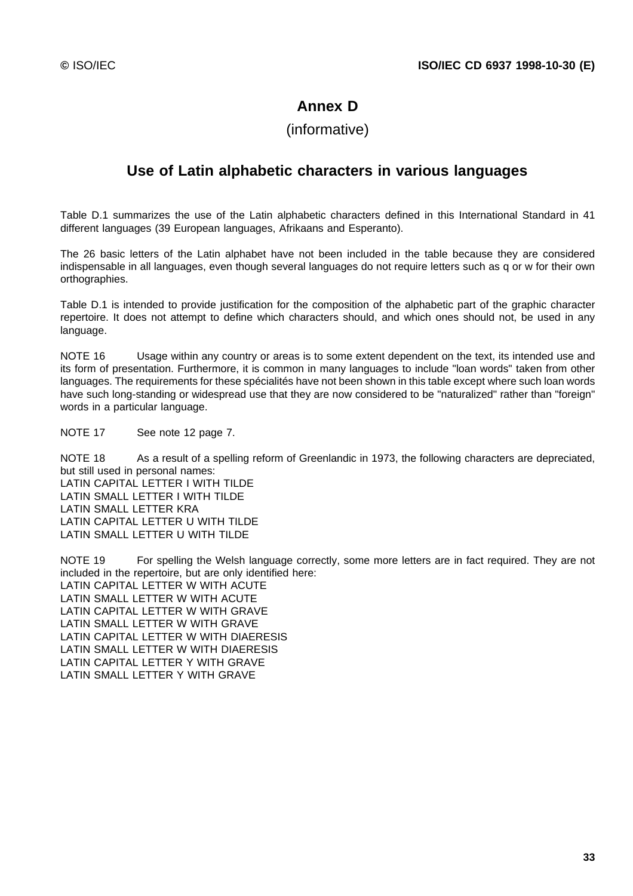# **Annex D**

# (informative)

# **Use of Latin alphabetic characters in various languages**

Table D.1 summarizes the use of the Latin alphabetic characters defined in this International Standard in 41 different languages (39 European languages, Afrikaans and Esperanto).

The 26 basic letters of the Latin alphabet have not been included in the table because they are considered indispensable in all languages, even though several languages do not require letters such as q or w for their own orthographies.

Table D.1 is intended to provide justification for the composition of the alphabetic part of the graphic character repertoire. It does not attempt to define which characters should, and which ones should not, be used in any language.

NOTE 16 Usage within any country or areas is to some extent dependent on the text, its intended use and its form of presentation. Furthermore, it is common in many languages to include "loan words" taken from other languages. The requirements for these spécialités have not been shown in this table except where such loan words have such long-standing or widespread use that they are now considered to be "naturalized" rather than "foreign" words in a particular language.

NOTE 17 See note 12 page 7.

NOTE 18 As a result of a spelling reform of Greenlandic in 1973, the following characters are depreciated, but still used in personal names: LATIN CAPITAL LETTER I WITH TILDE LATIN SMALL LETTER I WITH TILDE LATIN SMALL LETTER KRA LATIN CAPITAL LETTER U WITH TILDE LATIN SMALL LETTER U WITH TILDE

NOTE 19 For spelling the Welsh language correctly, some more letters are in fact required. They are not included in the repertoire, but are only identified here: LATIN CAPITAL LETTER W WITH ACUTE LATIN SMALL LETTER W WITH ACUTE LATIN CAPITAL LETTER W WITH GRAVE LATIN SMALL LETTER W WITH GRAVE LATIN CAPITAL LETTER W WITH DIAERESIS LATIN SMALL LETTER W WITH DIAERESIS LATIN CAPITAL LETTER Y WITH GRAVE LATIN SMALL LETTER Y WITH GRAVE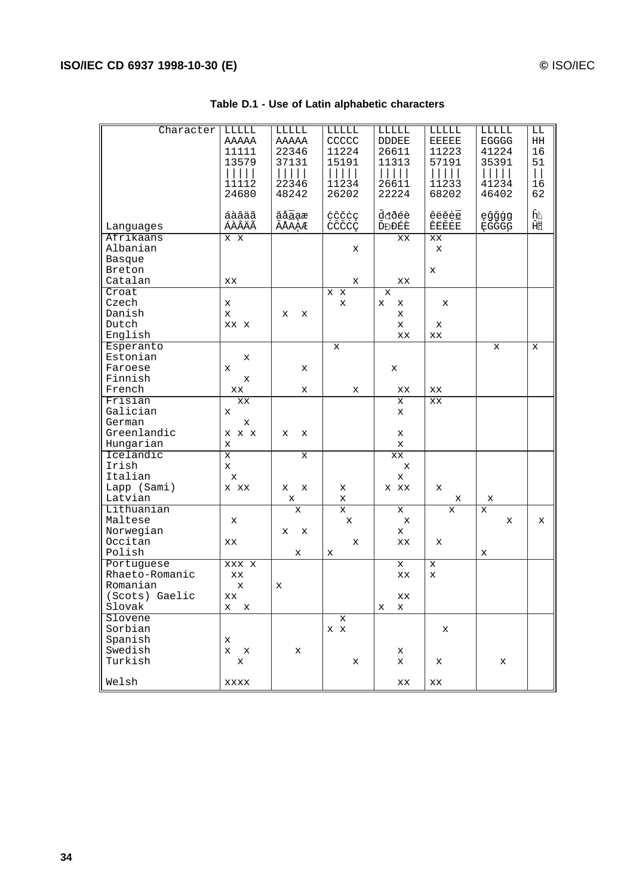| Table D.1 - Use of Latin alphabetic characters |  |  |  |
|------------------------------------------------|--|--|--|
|------------------------------------------------|--|--|--|

| Character      | LLLLL        | LLLLL  | LLLLL         | LLLLL       | LLLLL        | LLLLL        | LL            |
|----------------|--------------|--------|---------------|-------------|--------------|--------------|---------------|
|                | AAAAA        | AAAAA  | CCCCC         | DDDEE       | <b>EEEEE</b> | <b>EGGGG</b> | HH            |
|                | 11111        | 22346  | 11224         | 26611       | 11223        | 41224        | 16            |
|                | 13579        | 37131  | 15191         | 11313       | 57191        | 35391        | 51            |
|                |              |        |               |             |              |              |               |
|                |              | $\Box$ | $\vert \vert$ |             |              |              | $\vert \vert$ |
|                | 11112        | 22346  | 11234         | 26611       | 11233        | 41234        | 16            |
|                | 24680        | 48242  | 26202         | 22224       | 68202        | 46402        | 62            |
|                |              |        |               |             |              |              |               |
|                |              |        |               |             |              |              |               |
|                | áàâäã        | ăåāąæ  | ćĉčcç         | ddðéè       | êëěeē        | ęĝğġģ        | ĥħ            |
| Languages      | ÁÀÂÄÃ        | ĂÅĀẠÆ  | ĆĈČĊÇ         | ĎĐĐÉÈ       | ÊËĚĖĒ        | ĘĜĞĠĢ        | ĤĦ            |
| Afrikaans      | x x          |        |               | XX          | XX           |              |               |
| Albanian       |              |        | х             |             | x            |              |               |
|                |              |        |               |             |              |              |               |
| <b>Basque</b>  |              |        |               |             |              |              |               |
| Breton         |              |        |               |             | х            |              |               |
| Catalan        | XX           |        | x             | XX          |              |              |               |
| Croat          |              |        | X X           | X           |              |              |               |
|                |              |        |               |             |              |              |               |
| Czech          | х            |        | x             | X<br>х      | x            |              |               |
| Danish         | X            | x<br>x |               | x           |              |              |               |
| Dutch          | XX X         |        |               | X           | x            |              |               |
| English        |              |        |               | XX          | XX           |              |               |
| Esperanto      |              |        | х             |             |              | x            | x             |
|                |              |        |               |             |              |              |               |
| Estonian       | х            |        |               |             |              |              |               |
| Faroese        | x            | x      |               | x           |              |              |               |
| Finnish        | x            |        |               |             |              |              |               |
| French         | XX           | x      | x             | XX          | ХX           |              |               |
| Frisian        | XX           |        |               | x           | XX           |              |               |
|                |              |        |               |             |              |              |               |
| Galician       | x            |        |               | x           |              |              |               |
| German         | х            |        |               |             |              |              |               |
| Greenlandic    | x x x        | X<br>X |               | X           |              |              |               |
| Hungarian      | x            |        |               | x           |              |              |               |
| Icelandic      | $\mathbf{x}$ |        |               |             |              |              |               |
|                |              | х      |               | XX          |              |              |               |
| Irish          | x            |        |               | x           |              |              |               |
| Italian        | x            |        |               | x           |              |              |               |
| Lapp (Sami)    | x xx         | x<br>x | х             | X XX        | x            |              |               |
| Latvian        |              | x      | x             |             | x            | x            |               |
|                |              |        |               |             |              |              |               |
| Lithuanian     |              | X      | X             | x           | X            | X            |               |
| Maltese        | x            |        | x             | x           |              | X            | x             |
| Norwegian      |              | x<br>х |               | x           |              |              |               |
| Occitan        | XX           |        | х             | XX          | x            |              |               |
| Polish         |              | х      | x             |             |              | x            |               |
|                |              |        |               |             |              |              |               |
| Portuguese     | XXX X        |        |               | $\mathbf x$ | X            |              |               |
| Rhaeto-Romanic | XX           |        |               | XX          | X            |              |               |
| Romanian       | X            | x      |               |             |              |              |               |
| (Scots) Gaelic | XX           |        |               | XX          |              |              |               |
| Slovak         | х<br>х       |        |               | X<br>x      |              |              |               |
|                |              |        |               |             |              |              |               |
| Slovene        |              |        | X             |             |              |              |               |
| Sorbian        |              |        | X X           |             | х            |              |               |
| Spanish        | х            |        |               |             |              |              |               |
| Swedish        | x<br>x       | X      |               | x           |              |              |               |
| Turkish        | x            |        | x             | x           |              | х            |               |
|                |              |        |               |             | х            |              |               |
|                |              |        |               |             |              |              |               |
| Welsh          | XXXX         |        |               | XX          | XX           |              |               |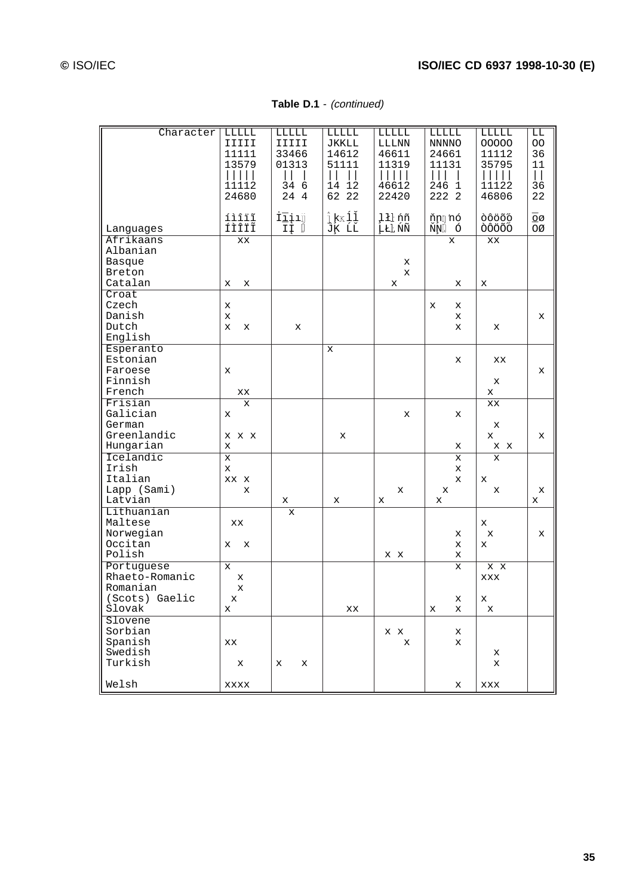**Table D.1** - (continued)

| Character      | LLLLL        | LLLLL     | LLLLL        | LLLLL       | LLLLL               | LLLLL  | LL            |
|----------------|--------------|-----------|--------------|-------------|---------------------|--------|---------------|
|                | IIIII        | IIIII     | JKKLL        | LLLNN       | NNNNO               | 00000  | OO.           |
|                | 11111        | 33466     | 14612        | 46611       | 24661               | 11112  | 36            |
|                | 13579        | 01313     | 51111        | 11319       | 11131               | 35795  | 11            |
|                |              |           | $\Box$       |             |                     | $\Box$ | $\vert \vert$ |
|                | 11112        | 34<br>- 6 | 12<br>14     | 46612       | 246<br>$\mathbf{1}$ | 11122  | 36            |
|                | 24680        | 24 4      | 62 22        | 22420       | 222 2               | 46806  | 22            |
|                |              |           |              |             |                     |        |               |
|                |              |           |              |             |                     |        |               |
|                | íìîïĩ        | İīįıij    | ĵķĸĺľ        | lłŀ ńñ      | ňņ] nó              | òôöõő  | ōø            |
| Languages      | fìîïĩ        | īĮ D      | ĴĶ ĹĽ        | ĻŁĿ ŃÑ      | ŇŅĪ Ó               | ÒÔÖÕŐ  | ŌØ            |
| Afrikaans      | XX           |           |              |             | x                   | XX     |               |
| Albanian       |              |           |              |             |                     |        |               |
| <b>Basque</b>  |              |           |              | х           |                     |        |               |
| Breton         |              |           |              | $\mathbf x$ |                     |        |               |
| Catalan        | x<br>х       |           |              | X           | х                   | х      |               |
| Croat          |              |           |              |             |                     |        |               |
| Czech          | x            |           |              |             | х<br>х              |        |               |
| Danish         | X            |           |              |             | x                   |        | x             |
| Dutch          | x<br>x       | X         |              |             | X                   | x      |               |
| English        |              |           |              |             |                     |        |               |
|                |              |           |              |             |                     |        |               |
| Esperanto      |              |           | $\mathbf{x}$ |             |                     |        |               |
| Estonian       |              |           |              |             | x                   | XX     |               |
| Faroese        | x            |           |              |             |                     |        | x             |
| Finnish        |              |           |              |             |                     | x      |               |
| French         | XX           |           |              |             |                     | x      |               |
| Frisian        | X            |           |              |             |                     | XX     |               |
| Galician       | x            |           |              | х           | x                   |        |               |
| German         |              |           |              |             |                     | x      |               |
| Greenlandic    | <b>x</b> x x |           | х            |             |                     | x      | x             |
| Hungarian      | X            |           |              |             | х                   | X X    |               |
| Icelandic      | $\mathbf x$  |           |              |             | x                   | х      |               |
| Irish          | X            |           |              |             | x                   |        |               |
| Italian        | XX X         |           |              |             | X                   | х      |               |
| Lapp (Sami)    | x            |           |              | x           | x                   | x      | x             |
| Latvian        |              | x         | х            | x           | х                   |        | x             |
| Lithuanian     |              |           |              |             |                     |        |               |
| Maltese        |              | х         |              |             |                     |        |               |
|                | XX           |           |              |             |                     | x      |               |
| Norwegian      |              |           |              |             | х                   | х      | x             |
| Occitan        | x<br>х       |           |              |             | х                   | x      |               |
| Polish         |              |           |              | X X         | x                   |        |               |
| Portuguese     | $\mathbf x$  |           |              |             | х                   | x x    |               |
| Rhaeto-Romanic | х            |           |              |             |                     | XXX    |               |
| Romanian       | X            |           |              |             |                     |        |               |
| (Scots) Gaelic | X            |           |              |             | х                   | X      |               |
| Slovak         | х            |           | XX           |             | х<br>х              | х      |               |
| Slovene        |              |           |              |             |                     |        |               |
| Sorbian        |              |           |              | X X         | х                   |        |               |
| Spanish        | XX           |           |              | х           | x                   |        |               |
| Swedish        |              |           |              |             |                     | х      |               |
| Turkish        | х            | x<br>х    |              |             |                     | x      |               |
|                |              |           |              |             |                     |        |               |
| Welsh          | XXXX         |           |              |             | х                   | XXX    |               |
|                |              |           |              |             |                     |        |               |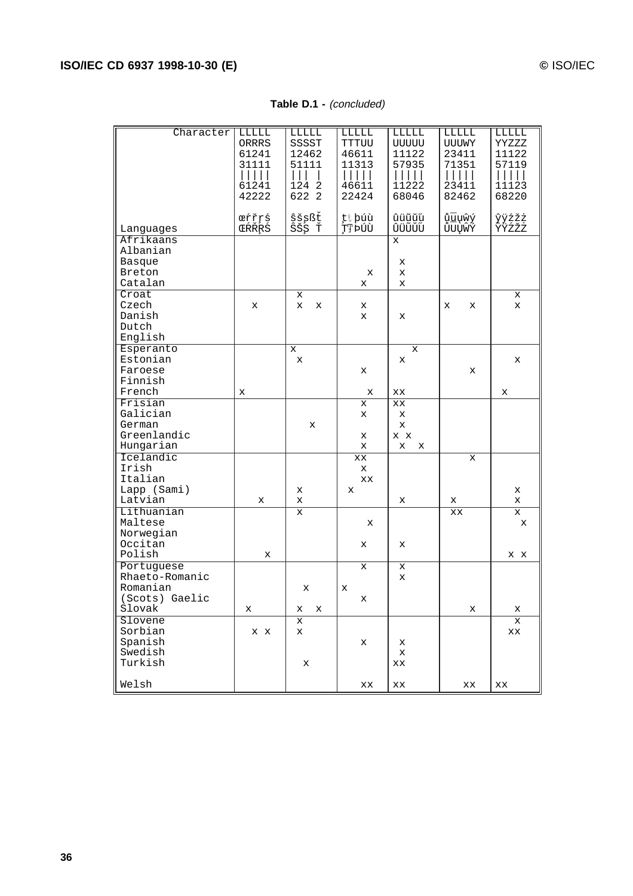### **Table D.1 -** (concluded)

| Character                                                                      | LLLLL<br>ORRRS<br>61241<br>31111<br>61241<br>42222 | LLLLL<br>SSSST<br>12462<br>51111<br>1242<br>622 2 | LLLLL<br>TTTUU<br>46611<br>11313<br>46611<br>22424 | LLLLL<br>UUUUU<br>11122<br>57935<br>11222<br>68046 | LLLLL<br>UUUWY<br>23411<br>71351<br>23411<br>82462 | LLLLL<br>YYZZZ<br>11122<br>57119<br>11123<br>68220 |
|--------------------------------------------------------------------------------|----------------------------------------------------|---------------------------------------------------|----------------------------------------------------|----------------------------------------------------|----------------------------------------------------|----------------------------------------------------|
| Languages<br>Afrikaans                                                         | œŕřŗś<br>ŒŔŘŖŚ                                     | ŝšşßť<br>ŜŠŞ Ť                                    | țt púù<br>ŢŢ ÞÚÙ                                   | ûüũŭű<br>ÛÜŨŬŰ<br>$\mathbf{x}$                     | ůūųŵý<br>ŮŪŲŴÝ                                     | ŷÿźžż<br>ŶŸźžż                                     |
| Albanian<br>Basque<br>Breton<br>Catalan                                        |                                                    |                                                   | х<br>x                                             | X<br>X<br>X                                        |                                                    |                                                    |
| $C_{\text{roat}}$<br>Czech<br>Danish<br>Dutch<br>English                       | х                                                  | X<br>X<br>х                                       | х<br>x                                             | X                                                  | x<br>х                                             | x<br>x                                             |
| Esperanto<br>Estonian<br>Faroese<br>Finnish                                    |                                                    | X<br>$\mathbf x$                                  | x                                                  | x<br>X                                             | X                                                  | X                                                  |
| French<br>Frisian                                                              | x                                                  |                                                   | x<br>x                                             | XX<br>XX                                           |                                                    | X                                                  |
| Galician<br>German<br>Greenlandic<br>Hungarian                                 |                                                    | x                                                 | x<br>х<br>x                                        | X<br>x<br>$X$ $X$<br>X<br>x                        |                                                    |                                                    |
| Icelandic<br>Irish<br>Italian<br>Lapp (Sami)<br>Latvian                        | x                                                  | х<br>X                                            | XX<br>x<br>XX<br>x                                 | X                                                  | x                                                  | x<br>x                                             |
| Lithuanian<br>Maltese<br>Norwegian<br>Occitan                                  |                                                    | X                                                 | x<br>х                                             | х                                                  | х<br>XX                                            | X<br>x                                             |
| Polish<br>Portuguese<br>Rhaeto-Romanic<br>Romanian<br>(Scots) Gaelic<br>Slovak | x<br>х                                             | X<br>х<br>х                                       | x<br>х<br>x                                        | х<br>X                                             | х                                                  | x x<br>Х                                           |
| Slovene<br>Sorbian<br>Spanish<br>Swedish<br>Turkish                            | X X                                                | х<br>x<br>х                                       | x                                                  | х<br>х<br>XX                                       |                                                    | Х<br>XX                                            |
| Welsh                                                                          |                                                    |                                                   | xх                                                 | XX                                                 | $\mathbf{X} \mathbf{X}$                            | XX                                                 |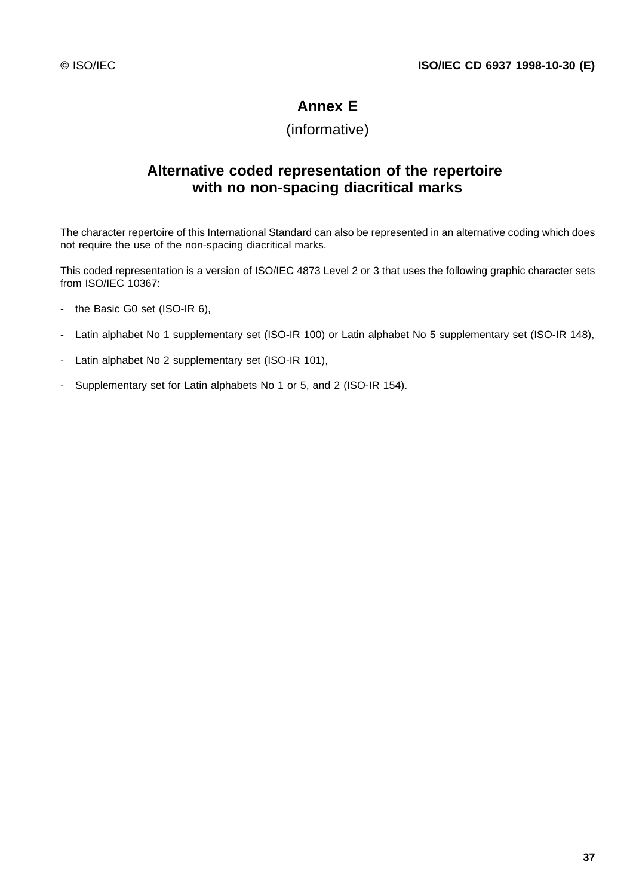# **Annex E**

# (informative)

# **Alternative coded representation of the repertoire with no non-spacing diacritical marks**

The character repertoire of this International Standard can also be represented in an alternative coding which does not require the use of the non-spacing diacritical marks.

This coded representation is a version of ISO/IEC 4873 Level 2 or 3 that uses the following graphic character sets from ISO/IEC 10367:

- the Basic G0 set (ISO-IR 6),
- Latin alphabet No 1 supplementary set (ISO-IR 100) or Latin alphabet No 5 supplementary set (ISO-IR 148),
- Latin alphabet No 2 supplementary set (ISO-IR 101),
- Supplementary set for Latin alphabets No 1 or 5, and 2 (ISO-IR 154).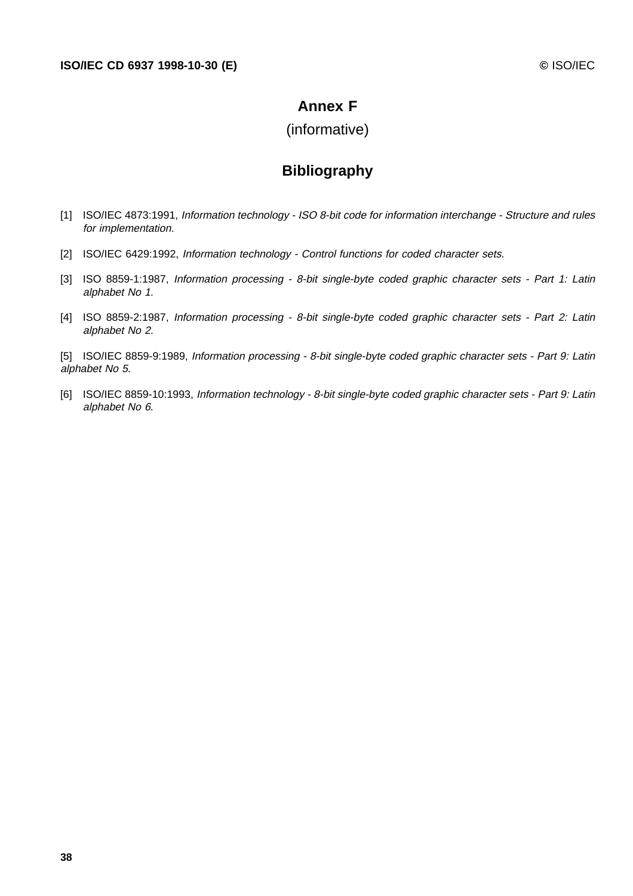### **Annex F**

### (informative)

# **Bibliography**

- [1] ISO/IEC 4873:1991, Information technology ISO 8-bit code for information interchange Structure and rules for implementation.
- [2] ISO/IEC 6429:1992, Information technology Control functions for coded character sets.
- [3] ISO 8859-1:1987, Information processing 8-bit single-byte coded graphic character sets Part 1: Latin alphabet No 1.
- [4] ISO 8859-2:1987, Information processing 8-bit single-byte coded graphic character sets Part 2: Latin alphabet No 2.

[5] ISO/IEC 8859-9:1989, Information processing - 8-bit single-byte coded graphic character sets - Part 9: Latin alphabet No 5.

[6] ISO/IEC 8859-10:1993, Information technology - 8-bit single-byte coded graphic character sets - Part 9: Latin alphabet No 6.